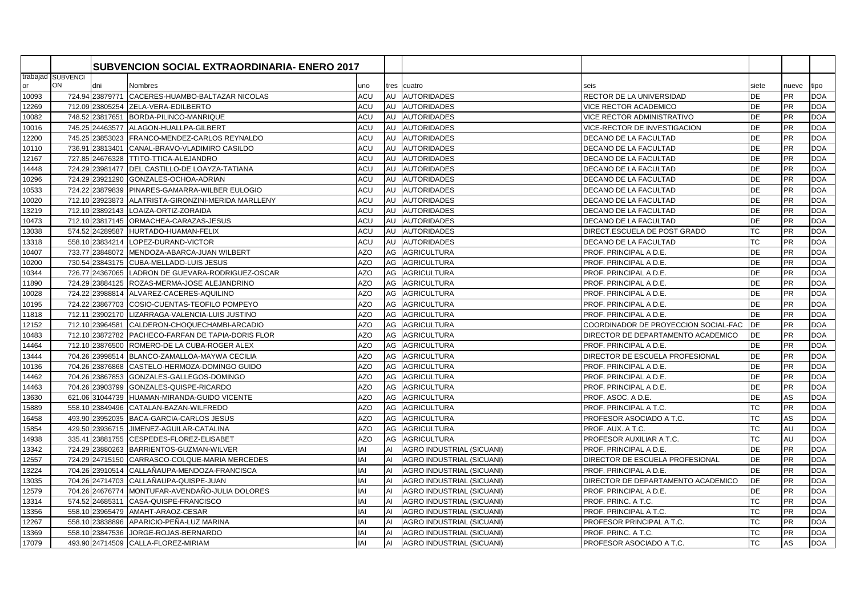|       |                   |                 | <b>SUBVENCION SOCIAL EXTRAORDINARIA- ENERO 2017</b> |            |    |                           |                                      |           |           |            |
|-------|-------------------|-----------------|-----------------------------------------------------|------------|----|---------------------------|--------------------------------------|-----------|-----------|------------|
|       | trabajad SUBVENCI |                 |                                                     |            |    |                           |                                      |           |           |            |
| or    | <b>ON</b>         | dni             | Nombres                                             | uno        |    | tres cuatro               | seis                                 | siete     | nueve     | tipo       |
| 10093 |                   |                 | 724.94 23879771 CACERES-HUAMBO-BALTAZAR NICOLAS     | ACU        |    | AU AUTORIDADES            | RECTOR DE LA UNIVERSIDAD             | <b>DE</b> | <b>PR</b> | <b>DOA</b> |
| 12269 |                   |                 | 712.09 23805254 ZELA-VERA-EDILBERTO                 | ACU        | AU | <b>AUTORIDADES</b>        | <b>VICE RECTOR ACADEMICO</b>         | DE        | <b>PR</b> | <b>DOA</b> |
| 10082 |                   |                 | 748.52 23817651 BORDA-PILINCO-MANRIQUE              | ACU        | AU | <b>AUTORIDADES</b>        | VICE RECTOR ADMINISTRATIVO           | <b>DE</b> | <b>PR</b> | <b>DOA</b> |
| 10016 |                   |                 | 745.25 24463577 ALAGON-HUALLPA-GILBERT              | ACU        | AU | <b>AUTORIDADES</b>        | VICE-RECTOR DE INVESTIGACION         | DE        | PR        | <b>DOA</b> |
| 12200 |                   |                 | 745.25 23853023 FRANCO-MENDEZ-CARLOS REYNALDO       | ACU        | AU | <b>AUTORIDADES</b>        | DECANO DE LA FACULTAD                | DE        | <b>PR</b> | <b>DOA</b> |
| 10110 |                   |                 | 736.91 23813401 CANAL-BRAVO-VLADIMIRO CASILDO       | ACU        |    | AU AUTORIDADES            | DECANO DE LA FACULTAD                | <b>DE</b> | <b>PR</b> | <b>DOA</b> |
| 12167 |                   |                 | 727.85 24676328 TTITO-TTICA-ALEJANDRO               | ACU        | AU | <b>AUTORIDADES</b>        | DECANO DE LA FACULTAD                | <b>DE</b> | <b>PR</b> | <b>DOA</b> |
| 14448 |                   |                 | 724.29 23981477 DEL CASTILLO-DE LOAYZA-TATIANA      | ACU        | AU | <b>AUTORIDADES</b>        | DECANO DE LA FACULTAD                | <b>DE</b> | <b>PR</b> | <b>DOA</b> |
| 10296 |                   |                 | 724.29 23921290 GONZALES-OCHOA-ADRIAN               | ACU        |    | AU AUTORIDADES            | DECANO DE LA FACULTAD                | DE        | <b>PR</b> | <b>DOA</b> |
| 10533 |                   |                 | 724.22 23879839 PINARES-GAMARRA-WILBER EULOGIO      | ACU        | AU | <b>AUTORIDADES</b>        | DECANO DE LA FACULTAD                | DE        | <b>PR</b> | <b>DOA</b> |
| 10020 |                   |                 | 712.10 23923873 ALATRISTA-GIRONZINI-MERIDA MARLLENY | ACU        | AU | <b>AUTORIDADES</b>        | DECANO DE LA FACULTAD                | <b>DE</b> | <b>PR</b> | <b>DOA</b> |
| 13219 |                   |                 | 712.10 23892143 LOAIZA-ORTIZ-ZORAIDA                | ACU        | AU | <b>AUTORIDADES</b>        | DECANO DE LA FACULTAD                | <b>DE</b> | <b>PR</b> | <b>DOA</b> |
| 10473 |                   |                 | 712.10 23817145 ORMACHEA-CARAZAS-JESUS              | ACU        |    | AU AUTORIDADES            | DECANO DE LA FACULTAD                | <b>DE</b> | <b>PR</b> | <b>DOA</b> |
| 13038 |                   |                 | 574.52 24289587 HURTADO-HUAMAN-FELIX                | ACU        | AU | <b>AUTORIDADES</b>        | DIRECT.ESCUELA DE POST GRADO         | <b>TC</b> | <b>PR</b> | <b>DOA</b> |
| 13318 |                   |                 | 558.10 23834214 LOPEZ-DURAND-VICTOR                 | ACU        | AU | <b>AUTORIDADES</b>        | DECANO DE LA FACULTAD                | <b>TC</b> | <b>PR</b> | <b>DOA</b> |
| 10407 |                   |                 | 733.77 23848072 MENDOZA-ABARCA-JUAN WILBERT         | AZO        | AG | <b>AGRICULTURA</b>        | PROF. PRINCIPAL A D.E.               | <b>DE</b> | <b>PR</b> | <b>DOA</b> |
| 10200 |                   |                 | 730.54 23843175 CUBA-MELLADO-LUIS JESUS             | <b>AZO</b> | AG | <b>AGRICULTURA</b>        | PROF. PRINCIPAL A D.E.               | <b>DE</b> | <b>PR</b> | <b>DOA</b> |
| 10344 |                   |                 | 726.77 24367065 LADRON DE GUEVARA-RODRIGUEZ-OSCAR   | AZO        | AG | <b>AGRICULTURA</b>        | PROF. PRINCIPAL A D.E.               | <b>DE</b> | <b>PR</b> | <b>DOA</b> |
| 11890 |                   |                 | 724.29 23884125 ROZAS-MERMA-JOSE ALEJANDRINO        | <b>AZO</b> | AG | <b>AGRICULTURA</b>        | PROF. PRINCIPAL A D.E.               | <b>DE</b> | PR        | <b>DOA</b> |
| 10028 |                   |                 | 724.22 23988814 ALVAREZ-CACERES-AQUILINO            | <b>AZO</b> | AG | <b>AGRICULTURA</b>        | PROF. PRINCIPAL A D.E.               | <b>DE</b> | <b>PR</b> | <b>DOA</b> |
| 10195 |                   |                 | 724.22 23867703 COSIO-CUENTAS-TEOFILO POMPEYO       | <b>AZO</b> | AG | <b>AGRICULTURA</b>        | PROF. PRINCIPAL A D.E.               | <b>DE</b> | <b>PR</b> | <b>DOA</b> |
| 11818 |                   | 712.11 23902170 | LIZARRAGA-VALENCIA-LUIS JUSTINO                     | <b>AZO</b> | AG | <b>AGRICULTURA</b>        | PROF. PRINCIPAL A D.E.               | <b>DE</b> | <b>PR</b> | <b>DOA</b> |
| 12152 |                   |                 | 712.10 23964581 CALDERON-CHOQUECHAMBI-ARCADIO       | <b>AZO</b> | AG | <b>AGRICULTURA</b>        | COORDINADOR DE PROYECCION SOCIAL-FAC | DE        | <b>PR</b> | <b>DOA</b> |
| 10483 |                   |                 | 712.10 23872782 PACHECO-FARFAN DE TAPIA-DORIS FLOR  | <b>AZO</b> | AG | <b>AGRICULTURA</b>        | DIRECTOR DE DEPARTAMENTO ACADEMICO   | DE        | <b>PR</b> | <b>DOA</b> |
| 14464 |                   |                 | 712.10 23876500 ROMERO-DE LA CUBA-ROGER ALEX        | <b>AZO</b> | AG | <b>AGRICULTURA</b>        | PROF. PRINCIPAL A D.E.               | DE        | <b>PR</b> | <b>DOA</b> |
| 13444 |                   |                 | 704.26 23998514 BLANCO-ZAMALLOA-MAYWA CECILIA       | <b>AZO</b> | AG | <b>AGRICULTURA</b>        | DIRECTOR DE ESCUELA PROFESIONAL      | DE        | <b>PR</b> | <b>DOA</b> |
| 10136 |                   |                 | 704.26 23876868 CASTELO-HERMOZA-DOMINGO GUIDO       | <b>AZO</b> | AG | <b>AGRICULTURA</b>        | PROF. PRINCIPAL A D.E.               | DE        | <b>PR</b> | <b>DOA</b> |
| 14462 |                   |                 | 704.26 23867853 GONZALES-GALLEGOS-DOMINGO           | AZO        | AG | <b>AGRICULTURA</b>        | PROF. PRINCIPAL A D.E.               | <b>DE</b> | <b>PR</b> | <b>DOA</b> |
| 14463 |                   | 704.26 23903799 | GONZALES-QUISPE-RICARDO                             | <b>AZO</b> | AG | <b>AGRICULTURA</b>        | PROF. PRINCIPAL A D.E.               | DE        | <b>PR</b> | <b>DOA</b> |
| 13630 |                   |                 | 621.06 31044739 HUAMAN-MIRANDA-GUIDO VICENTE        | <b>AZO</b> | AG | <b>AGRICULTURA</b>        | PROF. ASOC. A D.E.                   | DE        | AS        | <b>DOA</b> |
| 15889 |                   |                 | 558.10 23849496 CATALAN-BAZAN-WILFREDO              | <b>AZO</b> | AG | <b>AGRICULTURA</b>        | PROF. PRINCIPAL A T.C.               | <b>TC</b> | PR        | <b>DOA</b> |
| 16458 |                   |                 | 493.90 23952035 BACA-GARCIA-CARLOS JESUS            | <b>AZO</b> | AG | <b>AGRICULTURA</b>        | PROFESOR ASOCIADO A T.C.             | <b>TC</b> | AS        | <b>DOA</b> |
| 15854 | 429.50            |                 | 23936715 JIMENEZ-AGUILAR-CATALINA                   | <b>AZO</b> | AG | <b>AGRICULTURA</b>        | PROF. AUX. A T.C.                    | <b>TC</b> | AU        | <b>DOA</b> |
| 14938 |                   |                 | 335.41 23881755 CESPEDES-FLOREZ-ELISABET            | <b>AZO</b> | AG | <b>AGRICULTURA</b>        | PROFESOR AUXILIAR A T.C.             | <b>TC</b> | AU        | <b>DOA</b> |
| 13342 |                   |                 | 724.29 23880263 BARRIENTOS-GUZMAN-WILVER            | IAI        | AI | AGRO INDUSTRIAL (SICUANI) | PROF. PRINCIPAL A D.E.               | <b>DE</b> | <b>PR</b> | <b>DOA</b> |
| 12557 |                   |                 | 724.29 24715150 CARRASCO-COLQUE-MARIA MERCEDES      | IAI        | AI | AGRO INDUSTRIAL (SICUANI) | DIRECTOR DE ESCUELA PROFESIONAL      | <b>DE</b> | <b>PR</b> | <b>DOA</b> |
| 13224 |                   |                 | 704.26 23910514 CALLAÑAUPA-MENDOZA-FRANCISCA        | IAI        | AI | AGRO INDUSTRIAL (SICUANI) | PROF. PRINCIPAL A D.E.               | DE        | PR        | <b>DOA</b> |
| 13035 |                   |                 | 704.26 24714703 CALLAÑAUPA-QUISPE-JUAN              | IAI        | AI | AGRO INDUSTRIAL (SICUANI) | DIRECTOR DE DEPARTAMENTO ACADEMICO   | <b>DE</b> | <b>PR</b> | <b>DOA</b> |
| 12579 |                   |                 | 704.26 24676774 MONTUFAR-AVENDAÑO-JULIA DOLORES     | IAI        | AI | AGRO INDUSTRIAL (SICUANI) | PROF. PRINCIPAL A D.E.               | <b>DE</b> | <b>PR</b> | <b>DOA</b> |
| 13314 |                   |                 | 574.52 24685311 CASA-QUISPE-FRANCISCO               | IAI        | AI | AGRO INDUSTRIAL (SICUANI) | PROF. PRINC. A T.C.                  | <b>TC</b> | <b>PR</b> | <b>DOA</b> |
| 13356 |                   |                 | 558.10 23965479 AMAHT-ARAOZ-CESAR                   | IAI        | AI | AGRO INDUSTRIAL (SICUANI) | PROF. PRINCIPAL A T.C.               | <b>TC</b> | <b>PR</b> | <b>DOA</b> |
| 12267 |                   |                 | 558.10 23838896 APARICIO-PEÑA-LUZ MARINA            | IAI        | AI | AGRO INDUSTRIAL (SICUANI) | PROFESOR PRINCIPAL A T.C.            | <b>TC</b> | <b>PR</b> | <b>DOA</b> |
| 13369 |                   | 558.10 23847536 | JORGE-ROJAS-BERNARDO                                | IAI        |    | AGRO INDUSTRIAL (SICUANI) | PROF. PRINC. A T.C.                  | <b>TC</b> | <b>PR</b> | <b>DOA</b> |
| 17079 |                   |                 | 493.90 24714509 CALLA-FLOREZ-MIRIAM                 | IAI        | AI | AGRO INDUSTRIAL (SICUANI) | PROFESOR ASOCIADO A T.C.             | <b>TC</b> | AS        | <b>DOA</b> |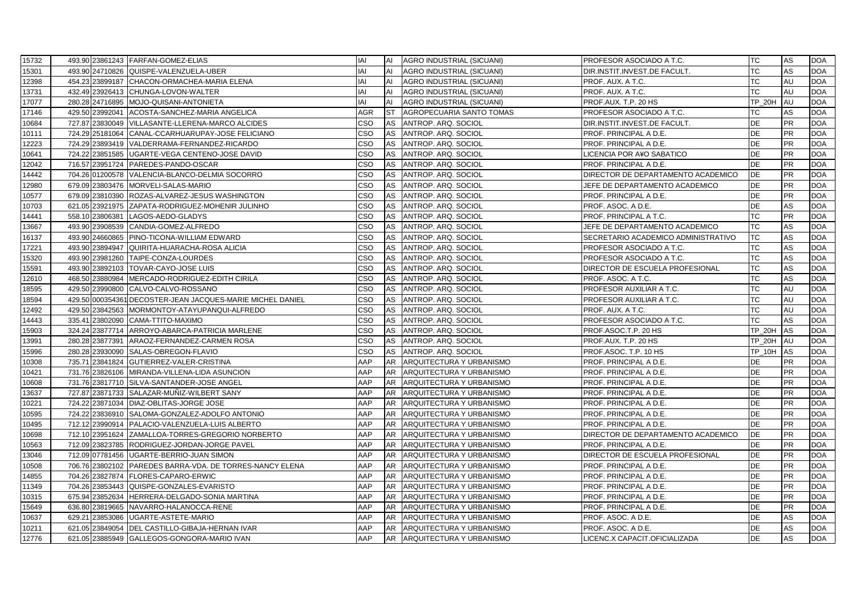| 15732 |                 | 493.90 23861243 FARFAN-GOMEZ-ELIAS                         | IAI        | AI        | AGRO INDUSTRIAL (SICUANI) | <b>PROFESOR ASOCIADO A T.C.</b>        | TC            | AS        | <b>DOA</b> |
|-------|-----------------|------------------------------------------------------------|------------|-----------|---------------------------|----------------------------------------|---------------|-----------|------------|
| 15301 |                 | 493.90 24710826 QUISPE-VALENZUELA-UBER                     | IAI        | AI        | AGRO INDUSTRIAL (SICUANI) | DIR.INSTIT.INVEST.DE FACULT.           | ТC            | AS        | <b>DOA</b> |
| 12398 |                 | 454.23 23899187 CHACON-ORMACHEA-MARIA ELENA                | IAI        | AI        | AGRO INDUSTRIAL (SICUANI) | PROF. AUX. A T.C.                      | ТC            | AU        | <b>DOA</b> |
| 13731 |                 | 432.49 23926413 CHUNGA-LOVON-WALTER                        | IAI        | AI        | AGRO INDUSTRIAL (SICUANI) | PROF. AUX. A T.C.                      | TC            | AU        | <b>DOA</b> |
| 17077 |                 | 280.28 24716895 MOJO-QUISANI-ANTONIETA                     | IAI        | AI        | AGRO INDUSTRIAL (SICUANI) | PROF.AUX. T.P. 20 HS                   | <b>TP 20H</b> | AU        | <b>DOA</b> |
| 17146 |                 | 429.50 23992041 ACOSTA-SANCHEZ-MARIA ANGELICA              | <b>AGR</b> | <b>ST</b> | AGROPECUARIA SANTO TOMAS  | PROFESOR ASOCIADO A T.C.               | ТC            | AS        | <b>DOA</b> |
| 10684 |                 | 727.87 23830049 VILLASANTE-LLERENA-MARCO ALCIDES           | CSO        | AS        | ANTROP. ARQ. SOCIOL       | DIR.INSTIT.INVEST.DE FACULT.           | <b>DE</b>     | <b>PR</b> | <b>DOA</b> |
| 10111 |                 | 724.29 25181064 CANAL-CCARHUARUPAY-JOSE FELICIANO          | CSO        | AS        | ANTROP. ARQ. SOCIOL       | PROF. PRINCIPAL A D.E.                 | DE            | PR        | <b>DOA</b> |
| 12223 |                 | 724.29 23893419 VALDERRAMA-FERNANDEZ-RICARDO               | CSO        | AS        | ANTROP. ARQ. SOCIOL       | PROF. PRINCIPAL A D.E.                 | DE            | PR        | <b>DOA</b> |
| 10641 |                 | 724.22 23851585 UGARTE-VEGA CENTENO-JOSE DAVID             | <b>CSO</b> | AS        | ANTROP. ARQ. SOCIOL       | LICENCIA POR A¥O SABATICO              | DE            | <b>PR</b> | <b>DOA</b> |
| 12042 |                 | 716.57 23951724 PAREDES-PANDO-OSCAR                        | CSO        | AS        | ANTROP. ARQ. SOCIOL       | PROF. PRINCIPAL A D.E.                 | <b>DE</b>     | <b>PR</b> | <b>DOA</b> |
| 14442 |                 | 704.26 01200578 VALENCIA-BLANCO-DELMIA SOCORRO             | CSO        | AS        | ANTROP. ARQ. SOCIOL       | DIRECTOR DE DEPARTAMENTO ACADEMICO     | DE            | <b>PR</b> | <b>DOA</b> |
| 12980 |                 | 679.09 23803476 MORVELI-SALAS-MARIO                        | CSO        | AS        | ANTROP. ARQ. SOCIOL       | JEFE DE DEPARTAMENTO ACADEMICO         | DE            | <b>PR</b> | <b>DOA</b> |
| 10577 |                 | 679.09 23810390 ROZAS-ALVAREZ-JESUS WASHINGTON             | CSO        | AS        | ANTROP. ARQ. SOCIOL       | PROF. PRINCIPAL A D.E.                 | DE            | PR        | <b>DOA</b> |
| 10703 |                 | 621.05 23921975 ZAPATA-RODRIGUEZ-MOHENIR JULINHO           | CSO        | AS        | ANTROP. ARQ. SOCIOL       | PROF. ASOC. A D.E.                     | DE            | AS        | <b>DOA</b> |
| 14441 | 558.10 23806381 | LAGOS-AEDO-GLADYS                                          | CSO        | AS        | ANTROP. ARQ. SOCIOL       | PROF. PRINCIPAL A T.C.                 | <b>TC</b>     | <b>PR</b> | <b>DOA</b> |
| 13667 |                 | 493.90 23908539 CANDIA-GOMEZ-ALFREDO                       | <b>CSO</b> | AS        | ANTROP. ARQ. SOCIOL       | JEFE DE DEPARTAMENTO ACADEMICO         | <b>TC</b>     | AS        | <b>DOA</b> |
| 16137 |                 | 493.90 24660865 PINO-TICONA-WILLIAM EDWARD                 | CSO        | AS        | ANTROP. ARQ. SOCIOL       | SECRETARIO ACADEMICO ADMINISTRATIVO    | <b>TC</b>     | AS        | <b>DOA</b> |
| 17221 |                 | 493.90 23894947 QUIRITA-HUARACHA-ROSA ALICIA               | CSO        | AS        | ANTROP. ARQ. SOCIOL       | PROFESOR ASOCIADO A T.C.               | ТC            | AS        | <b>DOA</b> |
| 15320 |                 | 493.90 23981260 TAIPE-CONZA-LOURDES                        | <b>CSO</b> | AS        | ANTROP. ARQ. SOCIOL       | PROFESOR ASOCIADO A T.C.               | <b>TC</b>     | AS        | <b>DOA</b> |
| 15591 |                 | 493.90 23892103 TOVAR-CAYO-JOSE LUIS                       | <b>CSO</b> | AS        | ANTROP. ARQ. SOCIOL       | DIRECTOR DE ESCUELA PROFESIONAL        | <b>TC</b>     | AS        | <b>DOA</b> |
| 12610 |                 | 468.50 23880984 MERCADO-RODRIGUEZ-EDITH CIRILA             | CSO        | AS        | ANTROP. ARQ. SOCIOL       | PROF. ASOC. A T.C.                     | TC            | <b>AS</b> | <b>DOA</b> |
| 18595 |                 | 429.50 23990800 CALVO-CALVO-ROSSANO                        | CSO        | AS        | ANTROP. ARQ. SOCIOL       | PROFESOR AUXILIAR A T.C.               | <b>TC</b>     | AU        | <b>DOA</b> |
| 18594 |                 | 429.50 000354361 DECOSTER-JEAN JACQUES-MARIE MICHEL DANIEL | CSO        | AS        | ANTROP. ARQ. SOCIOL       | PROFESOR AUXILIAR A T.C.               | ТC            | AU        | <b>DOA</b> |
| 12492 |                 | 429.50 23842563 MORMONTOY-ATAYUPANQUI-ALFREDO              | CSO        | AS        | ANTROP. ARQ. SOCIOL       | PROF. AUX. A T.C.                      | ТC            | AU        | <b>DOA</b> |
| 14443 | 335.41 23802090 | CAMA-TTITO-MAXIMO                                          | CSO        | AS        | ANTROP. ARQ. SOCIOL       | PROFESOR ASOCIADO A T.C.               | TC            | AS        | <b>DOA</b> |
| 15903 |                 | 324.24 23877714 ARROYO-ABARCA-PATRICIA MARLENE             | CSO        | AS        | ANTROP. ARQ. SOCIOL       | PROF.ASOC.T.P. 20 HS                   | <b>TP 20H</b> | <b>AS</b> | <b>DOA</b> |
| 13991 |                 | 280.28 23877391 ARAOZ-FERNANDEZ-CARMEN ROSA                | <b>CSO</b> | AS        | ANTROP. ARQ. SOCIOL       | PROF.AUX. T.P. 20 HS                   | <b>TP 20H</b> | AU        | <b>DOA</b> |
| 15996 | 280.28 23930090 | SALAS-OBREGON-FLAVIO                                       | <b>CSO</b> | AS        | ANTROP. ARQ. SOCIOL       | PROF ASOC. T.P. 10 HS                  | <b>TP_10H</b> | <b>AS</b> | <b>DOA</b> |
| 10308 |                 | 735.71 23841824 GUTIERREZ-VALER-CRISTINA                   | AAP        | <b>AR</b> | ARQUITECTURA Y URBANISMO  | PROF. PRINCIPAL A D.E.                 | DE            | PR        | <b>DOA</b> |
| 10421 |                 | 731.76 23826106 MIRANDA-VILLENA-LIDA ASUNCION              | AAP        | <b>AR</b> | ARQUITECTURA Y URBANISMO  | PROF. PRINCIPAL A D.E.                 | <b>DE</b>     | <b>PR</b> | <b>DOA</b> |
| 10608 |                 | 731.76 23817710 SILVA-SANTANDER-JOSE ANGEL                 | AAP        | <b>AR</b> | ARQUITECTURA Y URBANISMO  | PROF. PRINCIPAL A D.E.                 | <b>DE</b>     | <b>PR</b> | <b>DOA</b> |
| 13637 |                 | 727.87 23871733 SALAZAR-MUÑIZ-WILBERT SANY                 | AAP        | AR        | ARQUITECTURA Y URBANISMO  | PROF. PRINCIPAL A D.E.                 | DE            | <b>PR</b> | <b>DOA</b> |
| 10221 |                 | 724.22 23871034 DIAZ-OBLITAS-JORGE JOSE                    | AAP        | <b>AR</b> | ARQUITECTURA Y URBANISMO  | PROF. PRINCIPAL A D.E.                 | <b>DE</b>     | PR        | <b>DOA</b> |
| 10595 |                 | 724.22 23836910 SALOMA-GONZALEZ-ADOLFO ANTONIO             | AAP        | <b>AR</b> | ARQUITECTURA Y URBANISMO  | PROF. PRINCIPAL A D.E.                 | DE            | <b>PR</b> | <b>DOA</b> |
| 10495 |                 | 712.12 23990914 PALACIO-VALENZUELA-LUIS ALBERTO            | AAP        | AR        | ARQUITECTURA Y URBANISMO  | PROF. PRINCIPAL A D.E.                 | DE            | <b>PR</b> | <b>DOA</b> |
| 10698 |                 | 712.10 23951624 ZAMALLOA-TORRES-GREGORIO NORBERTO          | AAP        | AR        | ARQUITECTURA Y URBANISMO  | DIRECTOR DE DEPARTAMENTO ACADEMICO     | DE            | <b>PR</b> | <b>DOA</b> |
| 10563 |                 | 712.09 23823785 RODRIGUEZ-JORDAN-JORGE PAVEL               | AAP        | <b>AR</b> | ARQUITECTURA Y URBANISMO  | PROF. PRINCIPAL A D.E.                 | <b>DE</b>     | PR        | <b>DOA</b> |
| 13046 |                 | 712.09 07781456 UGARTE-BERRIO-JUAN SIMON                   | AAP        | <b>AR</b> | ARQUITECTURA Y URBANISMO  | <b>DIRECTOR DE ESCUELA PROFESIONAL</b> | DE            | <b>PR</b> | <b>DOA</b> |
| 10508 |                 | 706.76 23802102 PAREDES BARRA-VDA. DE TORRES-NANCY ELENA   | AAP        | <b>AR</b> | ARQUITECTURA Y URBANISMO  | PROF. PRINCIPAL A D.E.                 | <b>DE</b>     | <b>PR</b> | <b>DOA</b> |
| 14855 |                 | 704.26 23827874 FLORES-CAPARO-ERWIC                        | AAP        | AR        | ARQUITECTURA Y URBANISMO  | PROF. PRINCIPAL A D.E.                 | DE            | PR        | <b>DOA</b> |
| 11349 |                 | 704.26 23853443 QUISPE-GONZALES-EVARISTO                   | AAP        | <b>AR</b> | ARQUITECTURA Y URBANISMO  | PROF. PRINCIPAL A D.E.                 | <b>DE</b>     | <b>PR</b> | <b>DOA</b> |
| 10315 | 675.94 23852634 | HERRERA-DELGADO-SONIA MARTINA                              | AAP        | <b>AR</b> | ARQUITECTURA Y URBANISMO  | PROF. PRINCIPAL A D.E.                 | <b>DE</b>     | <b>PR</b> | <b>DOA</b> |
| 15649 |                 | 636.80 23819665 NAVARRO-HALANOCCA-RENE                     | AAP        | AR        | ARQUITECTURA Y URBANISMO  | PROF. PRINCIPAL A D.E.                 | DE            | <b>PR</b> | <b>DOA</b> |
| 10637 | 629.21 23853086 | UGARTE-ASTETE-MARIO                                        | AAP        | <b>AR</b> | ARQUITECTURA Y URBANISMO  | PROF. ASOC. A D.E.                     | DE            | AS        | <b>DOA</b> |
| 10211 | 621.05 23849054 | DEL CASTILLO-GIBAJA-HERNAN IVAR                            | AAP        | AR        | ARQUITECTURA Y URBANISMO  | PROF. ASOC. A D.E.                     | <b>DE</b>     | AS        | <b>DOA</b> |
| 12776 |                 | 621.05 23885949 GALLEGOS-GONGORA-MARIO IVAN                | AAP        | <b>AR</b> | ARQUITECTURA Y URBANISMO  | LICENC.X CAPACIT.OFICIALIZADA          | DE            | AS        | <b>DOA</b> |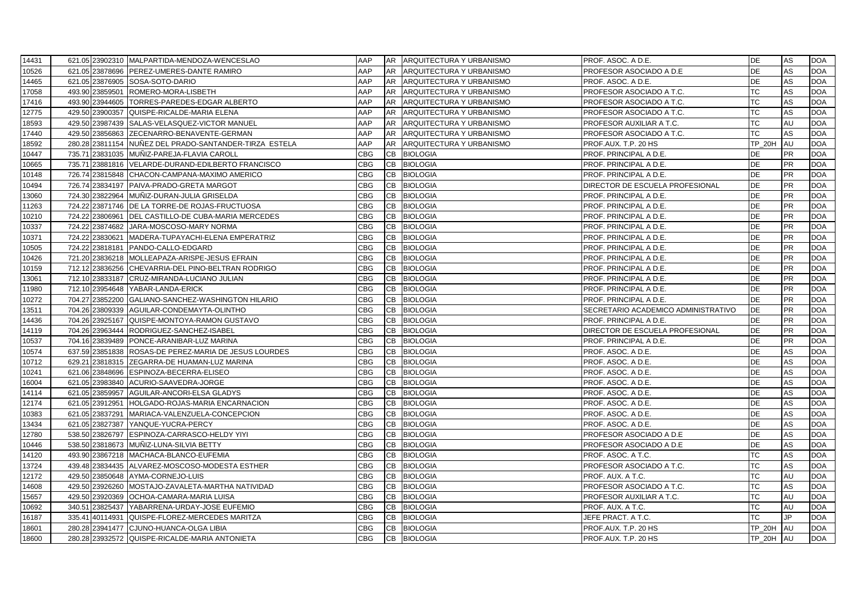| 14431 |        |                 | 621.05 23902310 MALPARTIDA-MENDOZA-WENCESLAO           | AAP        |           | AR ARQUITECTURA Y URBANISMO | PROF. ASOC. A D.E.                  | DE               | AS        | <b>DOA</b> |
|-------|--------|-----------------|--------------------------------------------------------|------------|-----------|-----------------------------|-------------------------------------|------------------|-----------|------------|
| 10526 |        |                 | 621.05 23878696 PEREZ-UMERES-DANTE RAMIRO              | AAP        | AR        | ARQUITECTURA Y URBANISMO    | PROFESOR ASOCIADO A D.E.            | DE               | AS        | <b>DOA</b> |
| 14465 |        |                 | 621.05 23876905 SOSA-SOTO-DARIO                        | AAP        | <b>AR</b> | ARQUITECTURA Y URBANISMO    | PROF. ASOC. A D.E.                  | DE               | AS        | <b>DOA</b> |
| 17058 |        |                 | 493.90 23859501 ROMERO-MORA-LISBETH                    | AAP        | <b>AR</b> | ARQUITECTURA Y URBANISMO    | PROFESOR ASOCIADO A T.C.            | <b>TC</b>        | AS        | <b>DOA</b> |
| 17416 |        |                 | 493.90 23944605 TORRES-PAREDES-EDGAR ALBERTO           | AAP        | <b>AR</b> | ARQUITECTURA Y URBANISMO    | PROFESOR ASOCIADO A T.C.            | <b>TC</b>        | AS        | <b>DOA</b> |
| 12775 |        |                 | 429.50 23900357 QUISPE-RICALDE-MARIA ELENA             | AAP        | AR        | ARQUITECTURA Y URBANISMO    | PROFESOR ASOCIADO A T.C.            | TC               | AS        | <b>DOA</b> |
| 18593 |        |                 | 429.50 23987439 SALAS-VELASQUEZ-VICTOR MANUEL          | AAP        | <b>AR</b> | ARQUITECTURA Y URBANISMO    | PROFESOR AUXILIAR A T.C.            | <b>TC</b>        | AU        | <b>DOA</b> |
| 17440 |        |                 | 429.50 23856863 ZECENARRO-BENAVENTE-GERMAN             | AAP        | <b>AR</b> | ARQUITECTURA Y URBANISMO    | PROFESOR ASOCIADO A T.C.            | ТC               | AS        | <b>DOA</b> |
| 18592 |        |                 | 280.28 23811154 NUÑEZ DEL PRADO-SANTANDER-TIRZA ESTELA | AAP        | AR        | ARQUITECTURA Y URBANISMO    | PROF.AUX. T.P. 20 HS                | <b>TP 20H</b>    | AU        | <b>DOA</b> |
| 10447 |        |                 | 735.71 23831035 MUNIZ-PAREJA-FLAVIA CAROLL             | CBG        | CВ        | <b>BIOLOGIA</b>             | PROF. PRINCIPAL A D.E.              | DE               | <b>PR</b> | <b>DOA</b> |
| 10665 |        |                 | 735.71 23881816 VELARDE-DURAND-EDILBERTO FRANCISCO     | <b>CBG</b> | <b>CB</b> | <b>BIOLOGIA</b>             | PROF. PRINCIPAL A D.E.              | <b>DE</b>        | <b>PR</b> | <b>DOA</b> |
| 10148 |        |                 | 726.74 23815848 CHACON-CAMPANA-MAXIMO AMERICO          | <b>CBG</b> | CB        | <b>BIOLOGIA</b>             | PROF. PRINCIPAL A D.E.              | <b>DE</b>        | <b>PR</b> | <b>DOA</b> |
| 10494 |        |                 | 726.74 23834197 PAIVA-PRADO-GRETA MARGOT               | CBG        | CB        | <b>BIOLOGIA</b>             | DIRECTOR DE ESCUELA PROFESIONAL     | DE               | <b>PR</b> | <b>DOA</b> |
| 13060 |        |                 | 724.30 23822964 MUNIZ-DURAN-JULIA GRISELDA             | CBG        | CВ        | <b>BIOLOGIA</b>             | PROF. PRINCIPAL A D.E.              | DE               | PR        | <b>DOA</b> |
| 11263 |        |                 | 724.22 23871746   DE LA TORRE-DE ROJAS-FRUCTUOSA       | <b>CBG</b> | CВ        | <b>BIOLOGIA</b>             | PROF. PRINCIPAL A D.E.              | DE               | <b>PR</b> | <b>DOA</b> |
| 10210 |        |                 | 724.22 23806961 DEL CASTILLO-DE CUBA-MARIA MERCEDES    | <b>CBG</b> | <b>CB</b> | <b>BIOLOGIA</b>             | PROF. PRINCIPAL A D.E.              | <b>DE</b>        | <b>PR</b> | <b>DOA</b> |
| 10337 |        |                 | 724.22 23874682 JARA-MOSCOSO-MARY NORMA                | CBG        | CВ        | <b>BIOLOGIA</b>             | PROF. PRINCIPAL A D.E.              | DE               | PR        | <b>DOA</b> |
| 10371 |        |                 | 724.22 23830621 MADERA-TUPAYACHI-ELENA EMPERATRIZ      | CBG        | CB        | <b>BIOLOGIA</b>             | PROF. PRINCIPAL A D.E.              | DE               | PR        | <b>DOA</b> |
| 10505 |        |                 | 724.22 23818181 PANDO-CALLO-EDGARD                     | CBG        | CB        | <b>BIOLOGIA</b>             | PROF. PRINCIPAL A D.E.              | DE               | <b>PR</b> | <b>DOA</b> |
| 10426 |        |                 | 721.20 23836218 MOLLEAPAZA-ARISPE-JESUS EFRAIN         | CBG        | CB        | <b>BIOLOGIA</b>             | PROF. PRINCIPAL A D.E.              | DE               | <b>PR</b> | <b>DOA</b> |
| 10159 |        |                 | 712.12 23836256 CHEVARRIA-DEL PINO-BELTRAN RODRIGO     | <b>CBG</b> | CВ        | <b>BIOLOGIA</b>             | PROF. PRINCIPAL A D.E.              | <b>DE</b>        | <b>PR</b> | <b>DOA</b> |
| 13061 |        |                 | 712.10 23833187 CRUZ-MIRANDA-LUCIANO JULIAN            | <b>CBG</b> | <b>CB</b> | <b>BIOLOGIA</b>             | PROF. PRINCIPAL A D.E.              | <b>DE</b>        | <b>PR</b> | <b>DOA</b> |
| 11980 |        |                 | 712.10 23954648 YABAR-LANDA-ERICK                      | <b>CBG</b> | CB        | <b>BIOLOGIA</b>             | PROF. PRINCIPAL A D.E.              | <b>DE</b>        | <b>PR</b> | <b>DOA</b> |
| 10272 |        |                 | 704.27 23852200 GALIANO-SANCHEZ-WASHINGTON HILARIO     | CBG        | CB        | <b>BIOLOGIA</b>             | PROF. PRINCIPAL A D.E.              | <b>DE</b>        | <b>PR</b> | <b>DOA</b> |
| 13511 |        |                 | 704.26 23809339 AGUILAR-CONDEMAYTA-OLINTHO             | CBG        | CВ        | <b>BIOLOGIA</b>             | SECRETARIO ACADEMICO ADMINISTRATIVO | DE               | PR        | <b>DOA</b> |
| 14436 |        | 704.26 23925167 | QUISPE-MONTOYA-RAMON GUSTAVO                           | <b>CBG</b> | <b>CB</b> | <b>BIOLOGIA</b>             | PROF. PRINCIPAL A D.E.              | <b>DE</b>        | <b>PR</b> | <b>DOA</b> |
| 14119 |        |                 | 704.26 23963444 RODRIGUEZ-SANCHEZ-ISABEL               | <b>CBG</b> | <b>CB</b> | <b>BIOLOGIA</b>             | DIRECTOR DE ESCUELA PROFESIONAL     | <b>DE</b>        | <b>PR</b> | <b>DOA</b> |
| 10537 |        |                 | 704.16 23839489 PONCE-ARANIBAR-LUZ MARINA              | <b>CBG</b> | CВ        | <b>BIOLOGIA</b>             | PROF. PRINCIPAL A D.E.              | <b>DE</b>        | <b>PR</b> | <b>DOA</b> |
| 10574 |        |                 | 637.59 23851838 ROSAS-DE PEREZ-MARIA DE JESUS LOURDES  | CBG        | CВ        | <b>BIOLOGIA</b>             | PROF. ASOC. A D.E.                  | DE               | AS        | <b>DOA</b> |
| 10712 |        |                 | 629.21 23818315 ZEGARRA-DE HUAMAN-LUZ MARINA           | CBG        | CB        | <b>BIOLOGIA</b>             | PROF. ASOC. A D.E.                  | <b>DE</b>        | AS        | <b>DOA</b> |
| 10241 |        |                 | 621.06 23848696 ESPINOZA-BECERRA-ELISEO                | <b>CBG</b> | CB        | <b>BIOLOGIA</b>             | PROF. ASOC. A D.E.                  | <b>DE</b>        | AS        | <b>DOA</b> |
| 16004 |        |                 | 621.05 23983840 ACURIO-SAAVEDRA-JORGE                  | <b>CBG</b> | CB        | <b>BIOLOGIA</b>             | PROF. ASOC. A D.E.                  | <b>DE</b>        | AS        | <b>DOA</b> |
| 14114 |        |                 | 621.05 23859957 AGUILAR-ANCORI-ELSA GLADYS             | CBG        | CВ        | <b>BIOLOGIA</b>             | PROF. ASOC. A D.E.                  | <b>DE</b>        | AS        | <b>DOA</b> |
| 12174 |        |                 | 621.05 23912951 HOLGADO-ROJAS-MARIA ENCARNACION        | <b>CBG</b> | CB        | <b>BIOLOGIA</b>             | PROF. ASOC. A D.E.                  | <b>DE</b>        | AS        | <b>DOA</b> |
| 10383 |        |                 | 621.05 23837291 MARIACA-VALENZUELA-CONCEPCION          | CBG        | <b>CB</b> | <b>BIOLOGIA</b>             | PROF. ASOC. A D.E.                  | DE               | AS        | <b>DOA</b> |
| 13434 |        |                 | 621.05 23827387 YANQUE-YUCRA-PERCY                     | CBG        | CВ        | <b>BIOLOGIA</b>             | PROF. ASOC. A D.E.                  | DE               | AS        | <b>DOA</b> |
| 12780 |        |                 | 538.50 23826797 ESPINOZA-CARRASCO-HELDY YIYI           | CBG        | CВ        | <b>BIOLOGIA</b>             | PROFESOR ASOCIADO A D.E             | DE               | AS        | <b>DOA</b> |
| 10446 |        |                 | 538.50 23818673 MUÑIZ-LUNA-SILVIA BETTY                | <b>CBG</b> | <b>CB</b> | <b>BIOLOGIA</b>             | PROFESOR ASOCIADO A D.E             | <b>DE</b>        | AS        | <b>DOA</b> |
| 14120 |        |                 | 493.90 23867218 MACHACA-BLANCO-EUFEMIA                 | CBG        | CB        | <b>BIOLOGIA</b>             | PROF. ASOC. A T.C.                  | <b>TC</b>        | AS        | <b>DOA</b> |
| 13724 |        |                 | 439.48 23834435 ALVAREZ-MOSCOSO-MODESTA ESTHER         | <b>CBG</b> | CB        | <b>BIOLOGIA</b>             | PROFESOR ASOCIADO A T.C.            | TC               | AS        | <b>DOA</b> |
| 12172 | 429.50 |                 | 23850648 AYMA-CORNEJO-LUIS                             | CBG        | CВ        | <b>BIOLOGIA</b>             | PROF. AUX. A T.C.                   | <b>TC</b>        | AU        | <b>DOA</b> |
| 14608 |        |                 | 429.50 23926260 MOSTAJO-ZAVALETA-MARTHA NATIVIDAD      | <b>CBG</b> | CB        | <b>BIOLOGIA</b>             | PROFESOR ASOCIADO A T.C.            | <b>TC</b>        | AS        | <b>DOA</b> |
| 15657 |        |                 | 429.50 23920369 OCHOA-CAMARA-MARIA LUISA               | <b>CBG</b> | <b>CB</b> | <b>BIOLOGIA</b>             | PROFESOR AUXILIAR A T.C.            | <b>TC</b>        | AU        | <b>DOA</b> |
| 10692 |        |                 | 340.51 23825437 YABARRENA-URDAY-JOSE EUFEMIO           | CBG        | CВ        | <b>BIOLOGIA</b>             | PROF. AUX. A T.C.                   | <b>TC</b>        | AU        | <b>DOA</b> |
| 16187 |        | 335.41 40114931 | QUISPE-FLOREZ-MERCEDES MARITZA                         | CBG        | CB        | <b>BIOLOGIA</b>             | JEFE PRACT. A T.C.                  | <b>TC</b>        | IP.       | <b>DOA</b> |
| 18601 |        |                 | 280.28 23941477 CJUNO-HUANCA-OLGA LIBIA                | CBG        | <b>CB</b> | <b>BIOLOGIA</b>             | PROF.AUX. T.P. 20 HS                | TP_20H           | AU        | <b>DOA</b> |
| 18600 |        |                 | 280.28 23932572 QUISPE-RICALDE-MARIA ANTONIETA         | <b>CBG</b> | CB        | <b>BIOLOGIA</b>             | PROF.AUX. T.P. 20 HS                | <b>TP 20H AU</b> |           | <b>DOA</b> |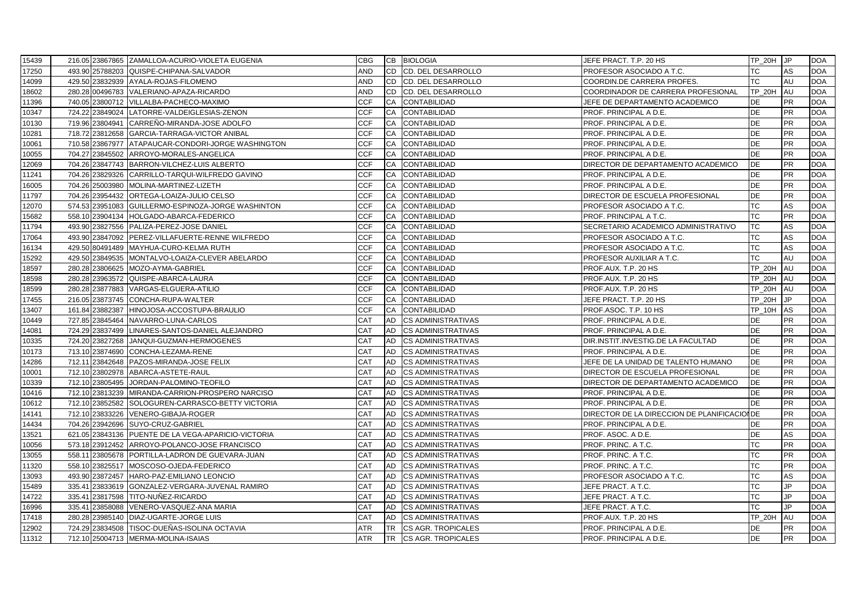| 15439          |                 | 216.05 23867865 ZAMALLOA-ACURIO-VIOLETA EUGENIA                        | <b>CBG</b>        |           | CB BIOLOGIA                                            | JEFE PRACT. T.P. 20 HS                        | $TP$ 20H JP         |           | <b>DOA</b>               |
|----------------|-----------------|------------------------------------------------------------------------|-------------------|-----------|--------------------------------------------------------|-----------------------------------------------|---------------------|-----------|--------------------------|
| 17250          |                 | 493.90 25788203 QUISPE-CHIPANA-SALVADOR                                | <b>AND</b>        | CD        | CD. DEL DESARROLLO                                     | PROFESOR ASOCIADO A T.C.                      | ТC                  | AS        | <b>DOA</b>               |
| 14099          |                 | 429.50 23832939 AYALA-ROJAS-FILOMENO                                   | AND               | CD        | <b>CD. DEL DESARROLLO</b>                              | COORDIN.DE CARRERA PROFES.                    | TС                  | AU        | <b>DOA</b>               |
| 18602          |                 | 280.28 00496783 VALERIANO-APAZA-RICARDO                                | <b>AND</b>        | <b>CD</b> | CD. DEL DESARROLLO                                     | COORDINADOR DE CARRERA PROFESIONAL            | <b>TP 20H</b>       | AU        | <b>DOA</b>               |
| 11396          |                 | 740.05 23800712 VILLALBA-PACHECO-MAXIMO                                | <b>CCF</b>        | CA        | <b>CONTABILIDAD</b>                                    | JEFE DE DEPARTAMENTO ACADEMICO                | DE                  | <b>PR</b> | <b>DOA</b>               |
| 10347          |                 | 724.22 23849024 LATORRE-VALDEIGLESIAS-ZENON                            | <b>CCF</b>        | CA        | <b>CONTABILIDAD</b>                                    | PROF. PRINCIPAL A D.E.                        | DE                  | <b>PR</b> | <b>DOA</b>               |
| 10130          |                 | 719.96 23804941 CARREÑO-MIRANDA-JOSE ADOLFO                            | <b>CCF</b>        | CA        | <b>CONTABILIDAD</b>                                    | PROF. PRINCIPAL A D.E.                        | DE                  | PR        | <b>DOA</b>               |
| 10281          |                 | 718.72 23812658 GARCIA-TARRAGA-VICTOR ANIBAL                           | <b>CCF</b>        | CA        | <b>CONTABILIDAD</b>                                    | PROF. PRINCIPAL A D.E.                        | DE                  | <b>PR</b> | <b>DOA</b>               |
| 10061          |                 | 710.58 23867977 ATAPAUCAR-CONDORI-JORGE WASHINGTON                     | <b>CCF</b>        | CA        | <b>CONTABILIDAD</b>                                    | PROF. PRINCIPAL A D.E.                        | DE                  | <b>PR</b> | <b>DOA</b>               |
| 10055          | 704.27 23845502 | ARROYO-MORALES-ANGELICA                                                | <b>CCF</b>        | CA        | <b>CONTABILIDAD</b>                                    | PROF. PRINCIPAL A D.E.                        | DE                  | <b>PR</b> | <b>DOA</b>               |
| 12069          |                 | 704.26 23847743 BARRON-VILCHEZ-LUIS ALBERTO                            | <b>CCF</b>        | CA        | <b>CONTABILIDAD</b>                                    | DIRECTOR DE DEPARTAMENTO ACADEMICO            | <b>DE</b>           | <b>PR</b> | <b>DOA</b>               |
| 11241          |                 | 704.26 23829326 CARRILLO-TARQUI-WILFREDO GAVINO                        | <b>CCF</b>        | CA        | <b>CONTABILIDAD</b>                                    | PROF. PRINCIPAL A D.E.                        | DE                  | <b>PR</b> | <b>DOA</b>               |
| 16005          |                 | 704.26 25003980 MOLINA-MARTINEZ-LIZETH                                 | <b>CCF</b>        | CA        | <b>CONTABILIDAD</b>                                    | PROF. PRINCIPAL A D.E.                        | <b>DE</b>           | <b>PR</b> | <b>DOA</b>               |
| 11797          |                 | 704.26 23954432 ORTEGA-LOAIZA-JULIO CELSO                              | <b>CCF</b>        | CA        | <b>CONTABILIDAD</b>                                    | DIRECTOR DE ESCUELA PROFESIONAL               | DE                  | <b>PR</b> | <b>DOA</b>               |
| 12070          |                 | 574.53 23951083 GUILLERMO-ESPINOZA-JORGE WASHINTON                     | <b>CCF</b>        | CA        | <b>CONTABILIDAD</b>                                    | PROFESOR ASOCIADO A T.C.                      | ТC                  | AS        | <b>DOA</b>               |
| 15682          |                 | 558.10 23904134 HOLGADO-ABARCA-FEDERICO                                | <b>CCF</b>        | <b>CA</b> | <b>CONTABILIDAD</b>                                    | PROF. PRINCIPAL A T.C.                        | <b>TC</b>           | <b>PR</b> | <b>DOA</b>               |
| 11794          |                 | 493.90 23827556 PALIZA-PEREZ-JOSE DANIEL                               | <b>CCF</b>        | CA        | <b>CONTABILIDAD</b>                                    | SECRETARIO ACADEMICO ADMINISTRATIVO           | <b>TC</b>           | AS        | <b>DOA</b>               |
| 17064          |                 | 493.90 23847092 PEREZ-VILLAFUERTE-RENNE WILFREDO                       | <b>CCF</b>        | CA        | <b>CONTABILIDAD</b>                                    | PROFESOR ASOCIADO A T.C.                      | <b>TC</b>           | AS        | <b>DOA</b>               |
| 16134          | 429.50 80491489 | MAYHUA-CURO-KELMA RUTH                                                 | <b>CCF</b>        | CA        | <b>CONTABILIDAD</b>                                    | PROFESOR ASOCIADO A T.C.                      | ТC                  | AS        | <b>DOA</b>               |
| 15292          |                 | 429.50 23849535 MONTALVO-LOAIZA-CLEVER ABELARDO                        | <b>CCF</b>        | CA        | <b>CONTABILIDAD</b>                                    | PROFESOR AUXILIAR A T.C.                      | TС                  | AU        | <b>DOA</b>               |
| 18597          | 280.28 23806625 | MOZO-AYMA-GABRIEL                                                      | <b>CCF</b>        | CA        | <b>CONTABILIDAD</b>                                    | PROF.AUX. T.P. 20 HS                          | <b>TP 20H</b>       | AU        | <b>DOA</b>               |
| 18598          |                 | 280.28 23963572 QUISPE-ABARCA-LAURA                                    | <b>CCF</b>        | <b>CA</b> | <b>CONTABILIDAD</b>                                    | PROF AUX T.P. 20 HS                           | TP_20H              | AU        | <b>DOA</b>               |
| 18599          |                 | 280.28 23877883 VARGAS-ELGUERA-ATILIO                                  | <b>CCF</b>        | CA        | <b>CONTABILIDAD</b>                                    | PROF AUX T.P. 20 HS                           | <b>TP 20H</b>       | AU        | <b>DOA</b>               |
| 17455          |                 | 216.05 23873745 CONCHA-RUPA-WALTER                                     | <b>CCF</b>        | CA        | <b>CONTABILIDAD</b>                                    | JEFE PRACT. T.P. 20 HS                        | <b>TP_20H</b>       | <b>JP</b> | <b>DOA</b>               |
| 13407          | 161.84 23882387 | HINOJOSA-ACCOSTUPA-BRAULIO                                             | <b>CCF</b>        | CA        | <b>CONTABILIDAD</b>                                    | PROF ASOC. T.P. 10 HS                         | TP_10H              | AS        | <b>DOA</b>               |
| 10449          | 727.85 23845464 | NAVARRO-LUNA-CARLOS                                                    | <b>CAT</b>        | AD        | <b>CS ADMINISTRATIVAS</b>                              | PROF. PRINCIPAL A D.E.                        | <b>DE</b>           | <b>PR</b> | <b>DOA</b>               |
| 14081          | 724.29 23837499 | LINARES-SANTOS-DANIEL ALEJANDRO                                        | CAT               | <b>AD</b> | <b>CS ADMINISTRATIVAS</b>                              | PROF. PRINCIPAL A D.E.                        | <b>DE</b>           | <b>PR</b> | <b>DOA</b>               |
| 10335          |                 | 724.20 23827268 JANQUI-GUZMAN-HERMOGENES                               | <b>CAT</b>        | AD        | <b>CS ADMINISTRATIVAS</b>                              | DIR.INSTIT.INVESTIG.DE LA FACULTAD            | <b>DE</b>           | <b>PR</b> | <b>DOA</b>               |
| 10173          | 713.10 23874690 | CONCHA-LEZAMA-RENE                                                     | <b>CAT</b>        | <b>AD</b> | <b>CS ADMINISTRATIVAS</b>                              | PROF. PRINCIPAL A D.E.                        | DE                  | <b>PR</b> | <b>DOA</b>               |
| 14286          |                 | 712.11 23842648 PAZOS-MIRANDA-JOSE FELIX                               | <b>CAT</b>        | AD        | <b>CS ADMINISTRATIVAS</b>                              | JEFE DE LA UNIDAD DE TALENTO HUMANO           | DE                  | <b>PR</b> | <b>DOA</b>               |
| 10001          |                 | 712.10 23802978 ABARCA-ASTETE-RAUL                                     | CAT               | AD        | <b>CS ADMINISTRATIVAS</b>                              | DIRECTOR DE ESCUELA PROFESIONAL               | DE                  | <b>PR</b> | <b>DOA</b>               |
| 10339          |                 | 712.10 23805495 JORDAN-PALOMINO-TEOFILO                                | <b>CAT</b>        | <b>AD</b> | <b>CS ADMINISTRATIVAS</b>                              | DIRECTOR DE DEPARTAMENTO ACADEMICO            | DE                  | <b>PR</b> | <b>DOA</b>               |
| 10416          |                 | 712.10 23813239 MIRANDA-CARRION-PROSPERO NARCISO                       | <b>CAT</b>        | AD        | <b>CS ADMINISTRATIVAS</b>                              | PROF. PRINCIPAL A D.E.                        | <b>DE</b>           | <b>PR</b> | <b>DOA</b>               |
| 10612          |                 | 712.10 23852582 SOLOGUREN-CARRASCO-BETTY VICTORIA                      | <b>CAT</b>        | AD        | <b>CS ADMINISTRATIVAS</b>                              | PROF. PRINCIPAL A D.E.                        | <b>DE</b>           | PR        | <b>DOA</b>               |
| 14141          |                 | 712.10 23833226 VENERO-GIBAJA-ROGER                                    | <b>CAT</b>        | AD        | <b>CS ADMINISTRATIVAS</b>                              | DIRECTOR DE LA DIRECCION DE PLANIFICACIONDE   |                     | <b>PR</b> | <b>DOA</b>               |
| 14434          |                 | 704.26 23942696 SUYO-CRUZ-GABRIEL                                      | <b>CAT</b>        | AD        | <b>CS ADMINISTRATIVAS</b>                              | PROF. PRINCIPAL A D.E.                        | DE                  | <b>PR</b> | <b>DOA</b>               |
| 13521          |                 | 621.05 23843136 PUENTE DE LA VEGA-APARICIO-VICTORIA                    | <b>CAT</b>        | AD        | <b>CS ADMINISTRATIVAS</b>                              | PROF. ASOC. A D.E.                            | DE                  | AS        | <b>DOA</b>               |
| 10056          |                 | 573.18 23912452 ARROYO-POLANCO-JOSE FRANCISCO                          | <b>CAT</b>        | <b>AD</b> | <b>CS ADMINISTRATIVAS</b>                              | PROF. PRINC. A T.C.                           | <b>TC</b>           | <b>PR</b> | <b>DOA</b>               |
| 13055          |                 | 558.11 23805678 PORTILLA-LADRON DE GUEVARA-JUAN                        | <b>CAT</b>        | AD        | <b>CS ADMINISTRATIVAS</b>                              | PROF. PRINC. A T.C.                           | TC                  | <b>PR</b> | <b>DOA</b>               |
| 11320          |                 | 558.10 23825517 MOSCOSO-OJEDA-FEDERICO                                 | <b>CAT</b>        | <b>AD</b> | <b>CS ADMINISTRATIVAS</b>                              | PROF. PRINC. A T.C.                           | <b>TC</b>           | PR        | <b>DOA</b>               |
| 13093          | 493.90 23872457 | HARO-PAZ-EMILIANO LEONCIO                                              | <b>CAT</b>        | AD<br>AD  | <b>CS ADMINISTRATIVAS</b>                              | PROFESOR ASOCIADO A T.C.                      | <b>TC</b>           | AS<br>JP. | <b>DOA</b><br><b>DOA</b> |
| 15489          |                 | 335.41 23833619 GONZALEZ-VERGARA-JUVENAL RAMIRO                        | CAT               | AD        | <b>CS ADMINISTRATIVAS</b>                              | JEFE PRACT. A T.C.                            | TC<br><b>TC</b>     | JP        |                          |
| 14722          |                 | 335.41 23817598 TITO-NUNEZ-RICARDO                                     | <b>CAT</b>        | <b>AD</b> | <b>CS ADMINISTRATIVAS</b>                              | JEFE PRACT. A T.C.                            |                     | .IP.      | <b>DOA</b>               |
| 16996          |                 | 335.41 23858088 VENERO-VASQUEZ-ANA MARIA                               | CAT<br><b>CAT</b> | AD        | <b>CS ADMINISTRATIVAS</b>                              | JEFE PRACT. A T.C.                            | ТC<br><b>TP 20H</b> | AU        | <b>DOA</b><br><b>DOA</b> |
| 17418<br>12902 | 280.28 23985140 | DIAZ-UGARTE-JORGE LUIS<br>724.29 23834508 TISOC-DUEÑAS-ISOLINA OCTAVIA | <b>ATR</b>        | <b>TR</b> | <b>CS ADMINISTRATIVAS</b><br><b>CS AGR. TROPICALES</b> | PROF AUX T.P. 20 HS<br>PROF. PRINCIPAL A D.E. | <b>DE</b>           | <b>PR</b> | <b>DOA</b>               |
| 11312          |                 | 712.10 25004713 MERMA-MOLINA-ISAIAS                                    | <b>ATR</b>        | <b>TR</b> | <b>CS AGR. TROPICALES</b>                              | PROF. PRINCIPAL A D.E.                        | <b>DE</b>           | <b>PR</b> | <b>DOA</b>               |
|                |                 |                                                                        |                   |           |                                                        |                                               |                     |           |                          |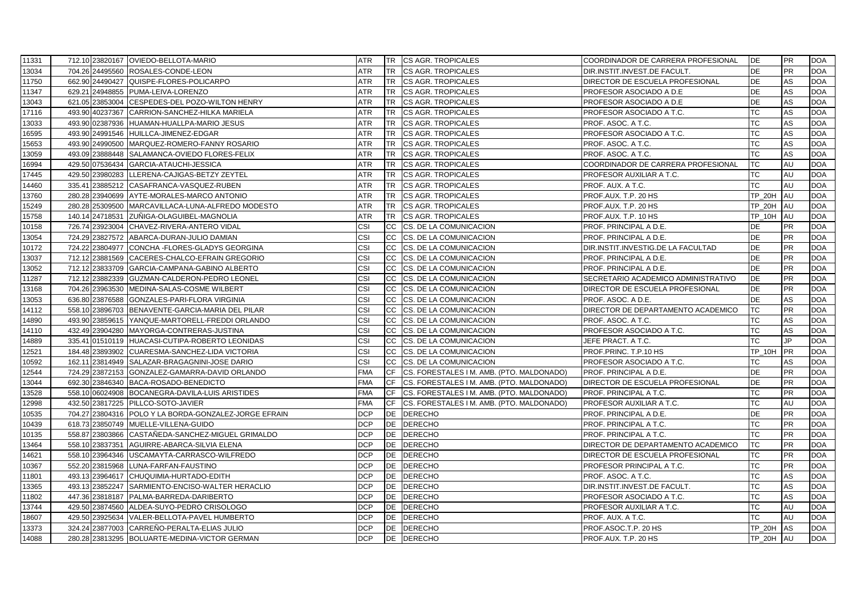| 11331 |        |                 | 712.10 23820167 OVIEDO-BELLOTA-MARIO                                                        | ATR                      |           | TR CS AGR. TROPICALES                     | COORDINADOR DE CARRERA PROFESIONAL                       | IDE.                       | <b>PR</b>              | <b>DOA</b>               |
|-------|--------|-----------------|---------------------------------------------------------------------------------------------|--------------------------|-----------|-------------------------------------------|----------------------------------------------------------|----------------------------|------------------------|--------------------------|
| 13034 |        |                 | 704.26 24495560 ROSALES-CONDE-LEON                                                          | ATR                      | <b>TR</b> | CS AGR. TROPICALES                        | DIR.INSTIT.INVEST.DE FACULT.                             | DE                         | <b>PR</b>              | <b>DOA</b>               |
| 11750 |        |                 | 662.90 24490427 QUISPE-FLORES-POLICARPO                                                     | <b>ATR</b>               | <b>TR</b> | <b>CS AGR. TROPICALES</b>                 | DIRECTOR DE ESCUELA PROFESIONAL                          | DE                         | AS                     | <b>DOA</b>               |
| 11347 |        |                 | 629.21 24948855 PUMA-LEIVA-LORENZO                                                          | ATR                      | <b>TR</b> | <b>CS AGR. TROPICALES</b>                 | PROFESOR ASOCIADO A D.E.                                 | <b>DE</b>                  | AS                     | <b>DOA</b>               |
| 13043 |        |                 | 621.05 23853004 CESPEDES-DEL POZO-WILTON HENRY                                              | ATR                      | <b>TR</b> | <b>CS AGR. TROPICALES</b>                 | PROFESOR ASOCIADO A D.E.                                 | DE                         | AS                     | <b>DOA</b>               |
| 17116 |        |                 | 493.90 40237367 CARRION-SANCHEZ-HILKA MARIELA                                               | ATR                      | <b>TR</b> | <b>CS AGR. TROPICALES</b>                 | PROFESOR ASOCIADO A T.C.                                 | TC                         | AS                     | <b>DOA</b>               |
| 13033 | 493.90 |                 | 02387936 HUAMAN-HUALLPA-MARIO JESUS                                                         | ATR                      | <b>TR</b> | <b>CS AGR. TROPICALES</b>                 | PROF. ASOC. A T.C.                                       | <b>TC</b>                  | AS                     | <b>DOA</b>               |
| 16595 | 493.90 |                 | 24991546 HUILLCA-JIMENEZ-EDGAR                                                              | <b>ATR</b>               | <b>TR</b> | CS AGR. TROPICALES                        | PROFESOR ASOCIADO A T.C.                                 | <b>TC</b>                  | AS                     | <b>DOA</b>               |
| 15653 |        |                 | 493.90 24990500 MARQUEZ-ROMERO-FANNY ROSARIO                                                | ATR                      | TR        | <b>CS AGR. TROPICALES</b>                 | PROF. ASOC. A T.C.                                       | <b>TC</b>                  | AS                     | <b>DOA</b>               |
| 13059 |        |                 | 493.09 23888448 SALAMANCA-OVIEDO FLORES-FELIX                                               | ATR                      | TR        | CS AGR. TROPICALES                        | PROF. ASOC. A T.C.                                       | TC                         | AS                     | <b>DOA</b>               |
| 16994 |        |                 | 429.50 07536434 GARCIA-ATAUCHI-JESSICA                                                      | <b>ATR</b>               | <b>TR</b> | <b>CS AGR. TROPICALES</b>                 | COORDINADOR DE CARRERA PROFESIONAL                       | <b>TC</b>                  | AU                     | <b>DOA</b>               |
| 17445 | 429.50 |                 | 23980283 LLERENA-CAJIGAS-BETZY ZEYTEL                                                       | ATR                      | <b>TR</b> | <b>CS AGR. TROPICALES</b>                 | PROFESOR AUXILIAR A T.C.                                 | <b>TC</b>                  | AU                     | <b>DOA</b>               |
| 14460 | 335.41 |                 | 23885212 CASAFRANCA-VASQUEZ-RUBEN                                                           | <b>ATR</b>               | <b>TR</b> | <b>CS AGR. TROPICALES</b>                 | PROF. AUX. A T.C.                                        | TC                         | AU                     | <b>DOA</b>               |
| 13760 |        |                 | 280.28 23940699 AYTE-MORALES-MARCO ANTONIO                                                  | ATR                      | <b>TR</b> | <b>CS AGR. TROPICALES</b>                 | PROF.AUX. T.P. 20 HS                                     | TP_20H                     | AU                     | <b>DOA</b>               |
| 15249 |        |                 | 280.28 25309500 MARCAVILLACA-LUNA-ALFREDO MODESTO                                           | ATR                      | <b>TR</b> | <b>CS AGR. TROPICALES</b>                 | PROF.AUX. T.P. 20 HS                                     | <b>TP 20H</b>              | AU                     | <b>DOA</b>               |
| 15758 |        | 140.14 24718531 | ZUÑIGA-OLAGUIBEL-MAGNOLIA                                                                   | <b>ATR</b>               | <b>TR</b> | CS AGR. TROPICALES                        | PROF.AUX. T.P. 10 HS                                     | <b>TP 10H</b>              | AU                     | <b>DOA</b>               |
| 10158 |        |                 | 726.74 23923004 CHAVEZ-RIVERA-ANTERO VIDAL                                                  | CSI                      | CC        | CS. DE LA COMUNICACION                    | PROF. PRINCIPAL A D.E.                                   | DE                         | <b>PR</b>              | <b>DOA</b>               |
| 13054 |        |                 | 724.29 23827572 ABARCA-DURAN-JULIO DAMIAN                                                   | CSI                      | cc        | CS. DE LA COMUNICACION                    | PROF. PRINCIPAL A D.E.                                   | DE                         | <b>PR</b>              | <b>DOA</b>               |
| 10172 |        |                 | 724.22 23804977 CONCHA - FLORES-GLADYS GEORGINA                                             | CSI                      | <b>CC</b> | CS. DE LA COMUNICACION                    | DIR.INSTIT.INVESTIG.DE LA FACULTAD                       | DE                         | <b>PR</b>              | <b>DOA</b>               |
| 13037 |        |                 | 712.12 23881569 CACERES-CHALCO-EFRAIN GREGORIO                                              | CSI                      | CC        | CS. DE LA COMUNICACION                    | PROF. PRINCIPAL A D.E.                                   | DE                         | <b>PR</b>              | <b>DOA</b>               |
| 13052 |        |                 | 712.12 23833709 GARCIA-CAMPANA-GABINO ALBERTO                                               | CSI                      | <b>CC</b> | CS. DE LA COMUNICACION                    | PROF. PRINCIPAL A D.E.                                   | <b>DE</b>                  | <b>PR</b>              | <b>DOA</b>               |
| 11287 |        |                 | 712.12 23882339 GUZMAN-CALDERON-PEDRO LEONEL                                                | CSI                      |           | CC CS. DE LA COMUNICACION                 | SECRETARIO ACADEMICO ADMINISTRATIVO                      | DE                         | <b>PR</b>              | <b>DOA</b>               |
| 13168 |        |                 | 704.26 23963530 MEDINA-SALAS-COSME WILBERT                                                  | CSI                      | CC        | <b>CS. DE LA COMUNICACION</b>             | DIRECTOR DE ESCUELA PROFESIONAL                          | <b>DE</b>                  | <b>PR</b>              | <b>DOA</b>               |
| 13053 | 636.80 | 23876588        | GONZALES-PARI-FLORA VIRGINIA                                                                | CSI                      | <b>CC</b> | CS. DE LA COMUNICACION                    | PROF. ASOC. A D.E.                                       | <b>DE</b>                  | AS                     | <b>DOA</b>               |
| 14112 |        |                 | 558.10 23896703 BENAVENTE-GARCIA-MARIA DEL PILAR                                            | CSI                      | CC        | CS. DE LA COMUNICACION                    | DIRECTOR DE DEPARTAMENTO ACADEMICO                       | ТC                         | <b>PR</b>              | <b>DOA</b>               |
| 14890 |        |                 | 493.90 23859615 YANQUE-MARTORELL-FREDDI ORLANDO                                             | CSI                      | <b>CC</b> | CS. DE LA COMUNICACION                    | PROF. ASOC. A T.C.                                       | <b>TC</b>                  | AS                     | <b>DOA</b>               |
| 14110 |        |                 | 432.49 23904280 MAYORGA-CONTRERAS-JUSTINA                                                   | CSI                      |           | CC CS. DE LA COMUNICACION                 | PROFESOR ASOCIADO A T.C.                                 | TC                         | AS                     | <b>DOA</b>               |
| 14889 |        |                 | 335.41 01510119 HUACASI-CUTIPA-ROBERTO LEONIDAS                                             | CSI                      | CC        | CS. DE LA COMUNICACION                    | JEFE PRACT. A T.C.                                       | <b>TC</b>                  | JP.                    | <b>DOA</b>               |
| 12521 |        |                 | 184.48 23893902 CUARESMA-SANCHEZ-LIDA VICTORIA                                              | CSI                      | CC        | CS. DE LA COMUNICACION                    | PROF.PRINC. T.P.10 HS                                    | <b>TP 10H</b>              | <b>PR</b>              | <b>DOA</b>               |
| 10592 |        |                 | 162.11 23814949 SALAZAR-BRAGAGNINI-JOSE DARIO                                               | CSI                      | <b>CC</b> | CS. DE LA COMUNICACION                    | PROFESOR ASOCIADO A T.C.                                 | ТC                         | AS                     | <b>DOA</b>               |
| 12544 |        |                 | 724.29 23872153 GONZALEZ-GAMARRA-DAVID ORLANDO                                              | <b>FMA</b>               | <b>CF</b> | CS. FORESTALES I M. AMB. (PTO. MALDONADO) | <b>PROF. PRINCIPAL A D.E.</b>                            | <b>DE</b>                  | <b>PR</b>              | <b>DOA</b>               |
| 13044 |        |                 | 692.30 23846340 BACA-ROSADO-BENEDICTO                                                       | <b>FMA</b>               | <b>CF</b> | CS. FORESTALES I M. AMB. (PTO. MALDONADO) | <b>DIRECTOR DE ESCUELA PROFESIONAL</b>                   | DE                         | <b>PR</b>              | <b>DOA</b>               |
| 13528 |        |                 | 558.10 06024908 BOCANEGRA-DAVILA-LUIS ARISTIDES                                             | <b>FMA</b>               | CF        | CS. FORESTALES I M. AMB. (PTO. MALDONADO) | <b>PROF. PRINCIPAL A T.C.</b>                            | TC                         | <b>PR</b>              | <b>DOA</b>               |
| 12998 |        |                 | 432.50 23817225 PILLCO-SOTO-JAVIER                                                          | <b>FMA</b>               | <b>CF</b> | CS. FORESTALES I M. AMB. (PTO. MALDONADO) | PROFESOR AUXILIAR A T.C.                                 | <b>TC</b>                  | AU                     | <b>DOA</b>               |
| 10535 |        |                 | 704.27 23804316 POLO Y LA BORDA-GONZALEZ-JORGE EFRAIN                                       | <b>DCP</b>               | DE        | <b>DERECHO</b>                            | PROF. PRINCIPAL A D.E.                                   | DE                         | <b>PR</b>              | <b>DOA</b>               |
| 10439 |        |                 | 618.73 23850749 MUELLE-VILLENA-GUIDO                                                        | <b>DCP</b>               | DE        | <b>DERECHO</b>                            | PROF. PRINCIPAL A T.C.                                   | TC                         | <b>PR</b>              | <b>DOA</b>               |
| 10135 |        |                 | 558.87 23803866 CASTANEDA-SANCHEZ-MIGUEL GRIMALDO                                           | <b>DCP</b>               | DE        | DERECHO                                   | PROF. PRINCIPAL A T.C.                                   | ТC                         | <b>PR</b><br><b>PR</b> | <b>DOA</b>               |
| 13464 |        |                 | 558.10 23837351 AGUIRRE-ABARCA-SILVIA ELENA                                                 | <b>DCP</b>               | <b>DE</b> | <b>DERECHO</b>                            | DIRECTOR DE DEPARTAMENTO ACADEMICO                       | <b>TC</b>                  |                        | <b>DOA</b>               |
| 14621 |        |                 | 558.10 23964346 USCAMAYTA-CARRASCO-WILFREDO                                                 | <b>DCP</b>               | DE        | <b>DERECHO</b>                            | DIRECTOR DE ESCUELA PROFESIONAL                          | <b>TC</b>                  | <b>PR</b>              | <b>DOA</b>               |
| 10367 | 552.20 |                 | 23815968 LUNA-FARFAN-FAUSTINO                                                               | <b>DCP</b>               | DE        | <b>DERECHO</b>                            | PROFESOR PRINCIPAL A T.C.                                | TC<br><b>TC</b>            | <b>PR</b>              | <b>DOA</b><br><b>DOA</b> |
| 11801 |        | 493.13 23964617 | CHUQUIMIA-HURTADO-EDITH                                                                     | <b>DCP</b><br><b>DCP</b> | <b>DE</b> | <b>DERECHO</b><br>DE DERECHO              | PROF. ASOC. A T.C.                                       |                            | AS<br>AS               | <b>DOA</b>               |
| 13365 |        |                 | 493.13 23852247 SARMIENTO-ENCISO-WALTER HERACLIO<br>447.36 23818187 PALMA-BARREDA-DARIBERTO | <b>DCP</b>               | <b>DE</b> | <b>DERECHO</b>                            | DIR.INSTIT.INVEST.DE FACULT.<br>PROFESOR ASOCIADO A T.C. | ТC<br><b>TC</b>            | AS                     | <b>DOA</b>               |
| 11802 |        |                 |                                                                                             |                          |           |                                           |                                                          |                            |                        |                          |
| 13744 |        |                 | 429.50 23874560 ALDEA-SUYO-PEDRO CRISOLOGO                                                  | <b>DCP</b><br><b>DCP</b> | DE        | DE DERECHO<br><b>DERECHO</b>              | PROFESOR AUXILIAR A T.C.                                 | <b>TC</b><br><b>TC</b>     | AU                     | <b>DOA</b><br><b>DOA</b> |
| 18607 |        |                 | 429.50 23925634 VALER-BELLOTA-PAVEL HUMBERTO<br>324.24 23877003 CARREÑO-PERALTA-ELIAS JULIO | <b>DCP</b>               | DE        |                                           | PROF. AUX. A T.C.                                        |                            | AU                     |                          |
| 13373 |        |                 |                                                                                             | <b>DCP</b>               |           | <b>DERECHO</b><br>DE DERECHO              | PROF ASOC T.P. 20 HS                                     | TP_20H<br><b>TP 20H AU</b> | AS                     | <b>DOA</b><br><b>DOA</b> |
| 14088 |        |                 | 280.28 23813295 BOLUARTE-MEDINA-VICTOR GERMAN                                               |                          |           |                                           | PROF.AUX. T.P. 20 HS                                     |                            |                        |                          |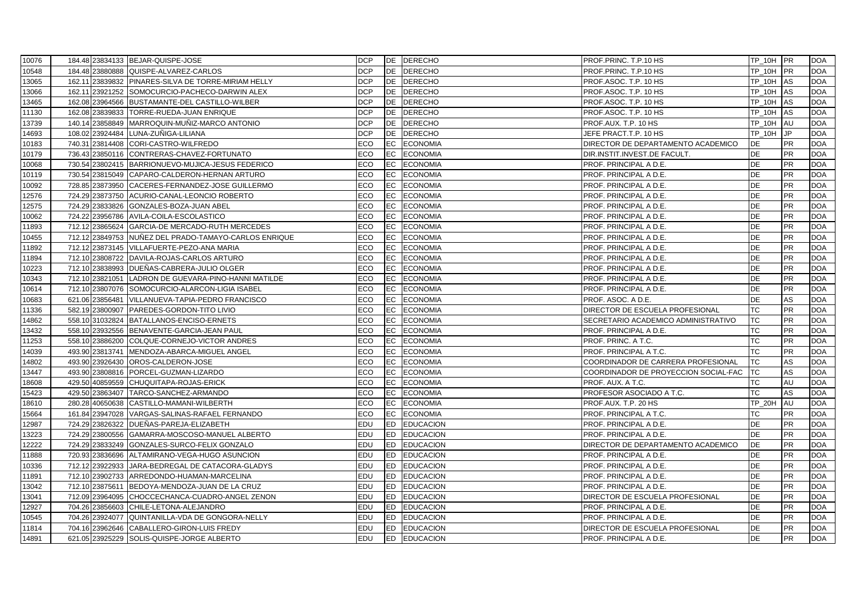| 10076 |        |                 | 184.48 23834133 BEJAR-QUISPE-JOSE                     | <b>DCP</b> |           | DE DERECHO          | PROF PRINC. T.P.10 HS                | <b>TP 10H PR</b> |            | <b>DOA</b> |
|-------|--------|-----------------|-------------------------------------------------------|------------|-----------|---------------------|--------------------------------------|------------------|------------|------------|
| 10548 |        |                 | 184.48 23880888 QUISPE-ALVAREZ-CARLOS                 | <b>DCP</b> | DE        | <b>DERECHO</b>      | PROF PRINC. T.P.10 HS                | TP_10H           | <b>IPR</b> | <b>DOA</b> |
| 13065 |        |                 | 162.11 23839832 PINARES-SILVA DE TORRE-MIRIAM HELLY   | <b>DCP</b> |           | DE DERECHO          | PROF ASOC. T.P. 10 HS                | TP_10H           | <b>IAS</b> | <b>DOA</b> |
| 13066 |        |                 | 162.11 23921252 SOMOCURCIO-PACHECO-DARWIN ALEX        | <b>DCP</b> | DE        | <b>DERECHO</b>      | PROF ASOC. T.P. 10 HS                | <b>TP 10H</b>    | AS         | <b>DOA</b> |
| 13465 |        |                 | 162.08 23964566 BUSTAMANTE-DEL CASTILLO-WILBER        | <b>DCP</b> | DE        | <b>DERECHO</b>      | PROF ASOC. T.P. 10 HS                | TP_10H           | AS         | <b>DOA</b> |
| 11130 |        |                 | 162.08 23839833 TORRE-RUEDA-JUAN ENRIQUE              | <b>DCP</b> | <b>DE</b> | <b>DERECHO</b>      | PROF ASOC. T.P. 10 HS                | <b>TP 10H</b>    | AS         | <b>DOA</b> |
| 13739 | 140.14 | 23858849        | MARROQUIN-MUÑIZ-MARCO ANTONIO                         | <b>DCP</b> | DE        | <b>DERECHO</b>      | PROF.AUX. T.P. 10 HS                 | TP_10H           | AU         | <b>DOA</b> |
| 14693 |        | 108.02 23924484 | LUNA-ZUÑIGA-LILIANA                                   | <b>DCP</b> | DE        | <b>DERECHO</b>      | JEFE PRACT.T.P. 10 HS                | <b>TP 10H</b>    | JP.        | <b>DOA</b> |
| 10183 |        |                 | 740.31 23814408 CORI-CASTRO-WILFREDO                  | ECO        | EC        | <b>ECONOMIA</b>     | DIRECTOR DE DEPARTAMENTO ACADEMICO   | DE               | <b>PR</b>  | <b>DOA</b> |
| 10179 |        |                 | 736.43 23850116 CONTRERAS-CHAVEZ-FORTUNATO            | ECO.       | EC        | <b>ECONOMIA</b>     | DIR.INSTIT.INVEST.DE FACULT.         | <b>DE</b>        | <b>PR</b>  | <b>DOA</b> |
| 10068 |        |                 | 730.54 23802415 BARRIONUEVO-MUJICA-JESUS FEDERICO     | ECO        | EC        | <b>ECONOMIA</b>     | PROF. PRINCIPAL A D.E.               | DE               | <b>PR</b>  | <b>DOA</b> |
| 10119 |        |                 | 730.54 23815049 CAPARO-CALDERON-HERNAN ARTURO         | ECO        | EC        | <b>ECONOMIA</b>     | PROF. PRINCIPAL A D.E.               | <b>DE</b>        | <b>PR</b>  | <b>DOA</b> |
| 10092 |        |                 | 728.85 23873950 CACERES-FERNANDEZ-JOSE GUILLERMO      | ECO        | EC        | <b>ECONOMIA</b>     | PROF. PRINCIPAL A D.E.               | DE               | <b>PR</b>  | <b>DOA</b> |
| 12576 |        |                 | 724.29 23873750 ACURIO-CANAL-LEONCIO ROBERTO          | ECO        | EC        | <b>ECONOMIA</b>     | PROF. PRINCIPAL A D.E.               | DE               | PR         | <b>DOA</b> |
| 12575 |        |                 | 724.29 23833826 GONZALES-BOZA-JUAN ABEL               | ECO        | EC        | <b>ECONOMIA</b>     | PROF. PRINCIPAL A D.E.               | DE               | PR         | <b>DOA</b> |
| 10062 |        |                 | 724.22 23956786 AVILA-COILA-ESCOLASTICO               | ECO        | EC        | <b>ECONOMIA</b>     | PROF. PRINCIPAL A D.E.               | <b>DE</b>        | <b>PR</b>  | <b>DOA</b> |
| 11893 |        |                 | 712.12 23865624 GARCIA-DE MERCADO-RUTH MERCEDES       | ECO        | EC        | <b>ECONOMIA</b>     | PROF. PRINCIPAL A D.E.               | <b>DE</b>        | <b>PR</b>  | <b>DOA</b> |
| 10455 |        |                 | 712.12 23849753 NUÑEZ DEL PRADO-TAMAYO-CARLOS ENRIQUE | ECO        | EC        | <b>ECONOMIA</b>     | PROF. PRINCIPAL A D.E.               | <b>DE</b>        | <b>PR</b>  | <b>DOA</b> |
| 11892 |        |                 | 712.12 23873145 VILLAFUERTE-PEZO-ANA MARIA            | ECO        | EC        | <b>ECONOMIA</b>     | PROF. PRINCIPAL A D.E.               | DE               | PR         | <b>DOA</b> |
| 11894 |        |                 | 712.10 23808722 DAVILA-ROJAS-CARLOS ARTURO            | <b>ECO</b> | EC        | <b>ECONOMIA</b>     | PROF. PRINCIPAL A D.E.               | <b>DE</b>        | <b>PR</b>  | <b>DOA</b> |
| 10223 |        |                 | 712.10 23838993 DUEÑAS-CABRERA-JULIO OLGER            | <b>ECO</b> | EC        | <b>ECONOMIA</b>     | PROF. PRINCIPAL A D.E.               | <b>DE</b>        | <b>PR</b>  | <b>DOA</b> |
| 10343 |        |                 | 712.10 23821051 LADRON DE GUEVARA-PINO-HANNI MATILDE  | ECO        | EC        | <b>ECONOMIA</b>     | PROF. PRINCIPAL A D.E.               | DE               | PR         | <b>DOA</b> |
| 10614 |        |                 | 712.10 23807076 SOMOCURCIO-ALARCON-LIGIA ISABEL       | ECO        | EC        | <b>ECONOMIA</b>     | PROF. PRINCIPAL A D.E.               | <b>DE</b>        | PR         | <b>DOA</b> |
| 10683 |        | 621.06 23856481 | VILLANUEVA-TAPIA-PEDRO FRANCISCO                      | ECO        | EC        | <b>ECONOMIA</b>     | PROF. ASOC. A D.E.                   | <b>DE</b>        | AS         | <b>DOA</b> |
| 11336 |        | 582.19 23800907 | PAREDES-GORDON-TITO LIVIO                             | ECO.       | EC        | <b>ECONOMIA</b>     | DIRECTOR DE ESCUELA PROFESIONAL      | <b>TC</b>        | <b>PR</b>  | <b>DOA</b> |
| 14862 |        | 558.10 31032824 | BATALLANOS-ENCISO-ERNETS                              | <b>ECO</b> | EC        | <b>ECONOMIA</b>     | SECRETARIO ACADEMICO ADMINISTRATIVO  | <b>TC</b>        | <b>PR</b>  | <b>DOA</b> |
| 13432 |        |                 | 558.10 23932556 BENAVENTE-GARCIA-JEAN PAUL            | ECO        | EC        | <b>ECONOMIA</b>     | PROF. PRINCIPAL A D.E.               | <b>TC</b>        | <b>PR</b>  | <b>DOA</b> |
| 11253 |        |                 | 558.10 23886200 COLQUE-CORNEJO-VICTOR ANDRES          | ECO        | EC        | <b>ECONOMIA</b>     | PROF. PRINC. A T.C.                  | <b>TC</b>        | PR         | <b>DOA</b> |
| 14039 | 493.90 | 23813741        | MENDOZA-ABARCA-MIGUEL ANGEL                           | ECO        | EC        | <b>ECONOMIA</b>     | PROF. PRINCIPAL A T.C.               | <b>TC</b>        | <b>PR</b>  | <b>DOA</b> |
| 14802 |        |                 | 493.90 23926430 OROS-CALDERON-JOSE                    | ECO        | EC        | <b>ECONOMIA</b>     | COORDINADOR DE CARRERA PROFESIONAL   | <b>TC</b>        | AS         | <b>DOA</b> |
| 13447 |        |                 | 493.90 23808816 PORCEL-GUZMAN-LIZARDO                 | ECO        | EC        | <b>ECONOMIA</b>     | COORDINADOR DE PROYECCION SOCIAL-FAC | <b>TC</b>        | AS         | <b>DOA</b> |
| 18608 |        |                 | 429.50 40859559 CHUQUITAPA-ROJAS-ERICK                | ECO        | EC        | <b>ECONOMIA</b>     | PROF. AUX. A T.C.                    | <b>TC</b>        | AU         | <b>DOA</b> |
| 15423 |        |                 | 429.50 23863407 TARCO-SANCHEZ-ARMANDO                 | ECO        | EC        | <b>ECONOMIA</b>     | PROFESOR ASOCIADO A T.C.             | <b>TC</b>        | AS         | <b>DOA</b> |
| 18610 |        |                 | 280.28 40650638 CASTILLO-MAMANI-WILBERTH              | ECO        | EC        | <b>ECONOMIA</b>     | PROF.AUX. T.P. 20 HS                 | <b>TP 20H</b>    | AU         | <b>DOA</b> |
| 15664 |        |                 | 161.84 23947028 VARGAS-SALINAS-RAFAEL FERNANDO        | ECO        | EC        | <b>ECONOMIA</b>     | PROF. PRINCIPAL A T.C.               | ТC               | PR         | <b>DOA</b> |
| 12987 |        |                 | 724.29 23826322 DUEÑAS-PAREJA-ELIZABETH               | EDU        | ED        | <b>EDUCACION</b>    | PROF. PRINCIPAL A D.E.               | DE               | PR         | <b>DOA</b> |
| 13223 |        |                 | 724.29 23800556 GAMARRA-MOSCOSO-MANUEL ALBERTO        | EDU        | ED        | <b>EDUCACION</b>    | PROF. PRINCIPAL A D.E.               | <b>DE</b>        | PR         | <b>DOA</b> |
| 12222 |        |                 | 724.29 23833249 GONZALES-SURCO-FELIX GONZALO          | EDU        | <b>ED</b> | <b>EDUCACION</b>    | DIRECTOR DE DEPARTAMENTO ACADEMICO   | <b>DE</b>        | PR         | <b>DOA</b> |
| 11888 |        |                 | 720.93 23836696 ALTAMIRANO-VEGA-HUGO ASUNCION         | EDU        | ED        | <b>EDUCACION</b>    | PROF. PRINCIPAL A D.E.               | DE               | <b>PR</b>  | <b>DOA</b> |
| 10336 |        |                 | 712.12 23922933 JARA-BEDREGAL DE CATACORA-GLADYS      | EDU        | <b>ED</b> | <b>EDUCACION</b>    | PROF. PRINCIPAL A D.E.               | <b>DE</b>        | <b>PR</b>  | <b>DOA</b> |
| 11891 |        |                 | 712.10 23902733 ARREDONDO-HUAMAN-MARCELINA            | EDU        | <b>ED</b> | <b>EDUCACION</b>    | PROF. PRINCIPAL A D.E.               | DE               | <b>PR</b>  | <b>DOA</b> |
| 13042 |        |                 | 712.10 23875611 BEDOYA-MENDOZA-JUAN DE LA CRUZ        | EDU        |           | ED EDUCACION        | PROF. PRINCIPAL A D.E.               | <b>DE</b>        | <b>PR</b>  | <b>DOA</b> |
| 13041 |        |                 | 712.09 23964095 CHOCCECHANCA-CUADRO-ANGEL ZENON       | EDU        | ED        | <b>EDUCACION</b>    | DIRECTOR DE ESCUELA PROFESIONAL      | <b>DE</b>        | <b>PR</b>  | <b>DOA</b> |
| 12927 |        |                 | 704.26 23856603 CHILE-LETONA-ALEJANDRO                | EDU        |           | ED EDUCACION        | PROF. PRINCIPAL A D.E.               | DE               | <b>PR</b>  | <b>DOA</b> |
| 10545 |        |                 | 704.26 23924077 QUINTANILLA-VDA DE GONGORA-NELLY      | EDU        | <b>ED</b> | <b>EDUCACION</b>    | PROF. PRINCIPAL A D.E.               | <b>DE</b>        | <b>PR</b>  | <b>DOA</b> |
| 11814 |        |                 | 704.16 23962646 CABALLERO-GIRON-LUIS FREDY            | EDU        | <b>ED</b> | <b>EDUCACION</b>    | DIRECTOR DE ESCUELA PROFESIONAL      | <b>DE</b>        | <b>PR</b>  | <b>DOA</b> |
| 14891 |        |                 | 621.05 23925229 SOLIS-QUISPE-JORGE ALBERTO            | EDU        |           | <b>ED EDUCACION</b> | PROF. PRINCIPAL A D.E.               | <b>DE</b>        | <b>PR</b>  | <b>DOA</b> |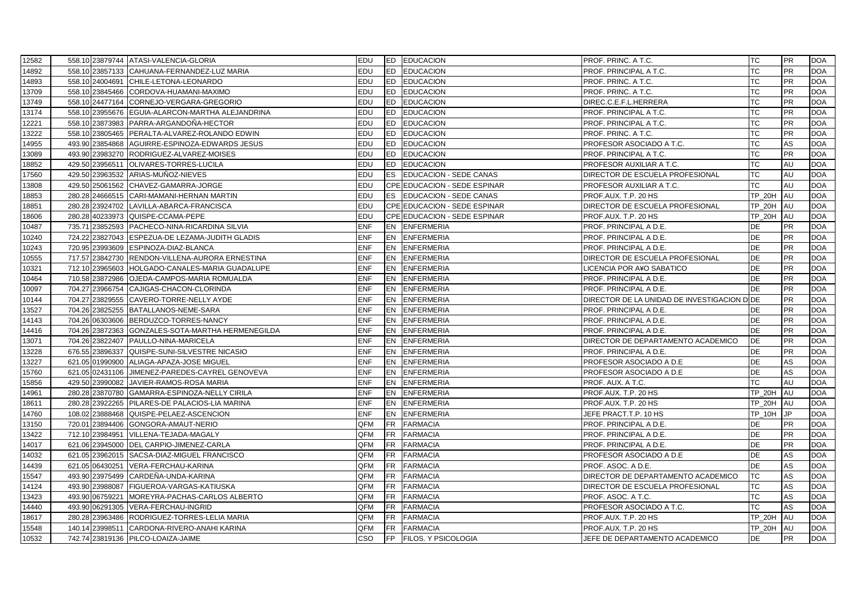| 12582 |                 | 558.10 23879744 ATASI-VALENCIA-GLORIA             | <b>EDU</b> |           | <b>ED EDUCACION</b>           | <b>PROF. PRINC. A T.C.</b>                 | TC            | <b>PR</b> | <b>DOA</b> |
|-------|-----------------|---------------------------------------------------|------------|-----------|-------------------------------|--------------------------------------------|---------------|-----------|------------|
| 14892 |                 | 558.10 23857133 CAHUANA-FERNANDEZ-LUZ MARIA       | <b>EDU</b> | <b>ED</b> | <b>EDUCACION</b>              | PROF. PRINCIPAL A T.C.                     | TC            | <b>PR</b> | <b>DOA</b> |
| 14893 |                 | 558.10 24004691 CHILE-LETONA-LEONARDO             | EDU        |           | ED EDUCACION                  | PROF. PRINC. A T.C.                        | ТC            | <b>PR</b> | <b>DOA</b> |
| 13709 |                 | 558.10 23845466 CORDOVA-HUAMANI-MAXIMO            | <b>EDU</b> | ED.       | <b>EDUCACION</b>              | PROF. PRINC. A T.C.                        | <b>TC</b>     | <b>PR</b> | <b>DOA</b> |
| 13749 |                 | 558.10 24477164 CORNEJO-VERGARA-GREGORIO          | <b>EDU</b> |           | ED EDUCACION                  | DIREC.C.E.F.L.HERRERA                      | <b>TC</b>     | <b>PR</b> | <b>DOA</b> |
| 13174 |                 | 558.10 23955676 EGUIA-ALARCON-MARTHA ALEJANDRINA  | <b>EDU</b> | ED.       | <b>EDUCACION</b>              | PROF. PRINCIPAL A T.C.                     | TC            | <b>PR</b> | <b>DOA</b> |
| 12221 | 558.10 23873983 | PARRA-ARGANDOÑA-HECTOR                            | EDU        | ED        | <b>EDUCACION</b>              | PROF. PRINCIPAL A T.C.                     | <b>TC</b>     | <b>PR</b> | <b>DOA</b> |
| 13222 |                 | 558.10 23805465 PERALTA-ALVAREZ-ROLANDO EDWIN     | EDU        | ED        | <b>EDUCACION</b>              | PROF. PRINC. A T.C.                        | ТC            | PR        | <b>DOA</b> |
| 14955 |                 | 493.90 23854868 AGUIRRE-ESPINOZA-EDWARDS JESUS    | EDU        | ED        | <b>EDUCACION</b>              | PROFESOR ASOCIADO A T.C.                   | <b>TC</b>     | AS        | <b>DOA</b> |
| 13089 |                 | 493.90 23983270 RODRIGUEZ-ALVAREZ-MOISES          | <b>EDU</b> | ED.       | <b>EDUCACION</b>              | PROF. PRINCIPAL A T.C.                     | <b>TC</b>     | <b>PR</b> | <b>DOA</b> |
| 18852 |                 | 429.50 23956511 OLIVARES-TORRES-LUCILA            | <b>EDU</b> | <b>ED</b> | <b>EDUCACION</b>              | PROFESOR AUXILIAR A T.C.                   | <b>TC</b>     | AU        | <b>DOA</b> |
| 17560 | 429.50 23963532 | ARIAS-MUÑOZ-NIEVES                                | <b>EDU</b> | <b>ES</b> | <b>EDUCACION - SEDE CANAS</b> | DIRECTOR DE ESCUELA PROFESIONAL            | TC            | AU        | <b>DOA</b> |
| 13808 |                 | 429.50 25061562 CHAVEZ-GAMARRA-JORGE              | <b>EDU</b> |           | CPE EDUCACION - SEDE ESPINAR  | PROFESOR AUXILIAR A T.C.                   | <b>TC</b>     | AU        | <b>DOA</b> |
| 18853 |                 | 280.28 24666515 CARI-MAMANI-HERNAN MARTIN         | <b>EDU</b> | ES        | <b>EDUCACION - SEDE CANAS</b> | PROF.AUX. T.P. 20 HS                       | TP_20H        | AU        | <b>DOA</b> |
| 18851 |                 | 280.28 23924702 LAVILLA-ABARCA-FRANCISCA          | EDU        |           | CPE EDUCACION - SEDE ESPINAR  | DIRECTOR DE ESCUELA PROFESIONAL            | TP_20H        | AU        | <b>DOA</b> |
| 18606 |                 | 280.28 40233973 QUISPE-CCAMA-PEPE                 | EDU        |           | CPE EDUCACION - SEDE ESPINAR  | PROF AUX T.P. 20 HS                        | <b>TP 20H</b> | AU        | <b>DOA</b> |
| 10487 |                 | 735.71 23852593 PACHECO-NINA-RICARDINA SILVIA     | <b>ENF</b> |           | EN ENFERMERIA                 | PROF. PRINCIPAL A D.E.                     | DE            | <b>PR</b> | <b>DOA</b> |
| 10240 |                 | 724.22 23827043 ESPEZUA-DE LEZAMA-JUDITH GLADIS   | <b>ENF</b> |           | EN ENFERMERIA                 | PROF. PRINCIPAL A D.E.                     | <b>DE</b>     | <b>PR</b> | <b>DOA</b> |
| 10243 |                 | 720.95 23993609 ESPINOZA-DIAZ-BLANCA              | <b>ENF</b> | <b>EN</b> | <b>ENFERMERIA</b>             | PROF. PRINCIPAL A D.E.                     | DE            | <b>PR</b> | <b>DOA</b> |
| 10555 |                 | 717.57 23842730 RENDON-VILLENA-AURORA ERNESTINA   | <b>ENF</b> |           | EN ENFERMERIA                 | DIRECTOR DE ESCUELA PROFESIONAL            | DE            | PR        | <b>DOA</b> |
| 10321 | 712.10 23965603 | HOLGADO-CANALES-MARIA GUADALUPE                   | <b>ENF</b> | <b>EN</b> | <b>ENFERMERIA</b>             | <b>LICENCIA POR A¥O SABATICO</b>           | <b>DE</b>     | <b>PR</b> | <b>DOA</b> |
| 10464 |                 | 710.58 23872986 OJEDA-CAMPOS-MARIA ROMUALDA       | <b>ENF</b> |           | EN ENFERMERIA                 | PROF. PRINCIPAL A D.E.                     | DE            | <b>PR</b> | <b>DOA</b> |
| 10097 |                 | 704.27 23966754 CAJIGAS-CHACON-CLORINDA           | <b>ENF</b> |           | EN ENFERMERIA                 | PROF. PRINCIPAL A D.E.                     | <b>DE</b>     | <b>PR</b> | <b>DOA</b> |
| 10144 |                 | 704.27 23829555 CAVERO-TORRE-NELLY AYDE           | <b>ENF</b> |           | <b>EN ENFERMERIA</b>          | DIRECTOR DE LA UNIDAD DE INVESTIGACION DOE |               | <b>PR</b> | <b>DOA</b> |
| 13527 |                 | 704.26 23825255 BATALLANOS-NEME-SARA              | <b>ENF</b> |           | EN ENFERMERIA                 | PROF. PRINCIPAL A D.E.                     | DE            | <b>PR</b> | <b>DOA</b> |
| 14143 |                 | 704.26 06303606 BERDUZCO-TORRES-NANCY             | <b>ENF</b> |           | EN ENFERMERIA                 | PROF. PRINCIPAL A D.E.                     | <b>DE</b>     | <b>PR</b> | <b>DOA</b> |
| 14416 |                 | 704.26 23872363 GONZALES-SOTA-MARTHA HERMENEGILDA | <b>ENF</b> |           | EN ENFERMERIA                 | PROF. PRINCIPAL A D.E.                     | <b>DE</b>     | <b>PR</b> | <b>DOA</b> |
| 13071 |                 | 704.26 23822407 PAULLO-NINA-MARICELA              | <b>ENF</b> |           | EN ENFERMERIA                 | DIRECTOR DE DEPARTAMENTO ACADEMICO         | <b>DE</b>     | <b>PR</b> | <b>DOA</b> |
| 13228 |                 | 676.55 23896337 QUISPE-SUNI-SILVESTRE NICASIO     | <b>ENF</b> |           | EN ENFERMERIA                 | PROF. PRINCIPAL A D.E.                     | <b>DE</b>     | <b>PR</b> | <b>DOA</b> |
| 13227 |                 | 621.05 01990900 ALIAGA-APAZA-JOSE MIGUEL          | <b>ENF</b> |           | EN ENFERMERIA                 | PROFESOR ASOCIADO A D.E                    | <b>DE</b>     | AS        | <b>DOA</b> |
| 15760 |                 | 621.05 02431106 JIMENEZ-PAREDES-CAYREL GENOVEVA   | <b>ENF</b> |           | EN ENFERMERIA                 | PROFESOR ASOCIADO A D.E                    | DE            | AS        | <b>DOA</b> |
| 15856 |                 | 429.50 23990082 JAVIER-RAMOS-ROSA MARIA           | <b>ENF</b> |           | EN ENFERMERIA                 | PROF. AUX. A T.C.                          | <b>TC</b>     | AU        | <b>DOA</b> |
| 14961 |                 | 280.28 23870780 GAMARRA-ESPINOZA-NELLY CIRILA     | <b>ENF</b> |           | EN ENFERMERIA                 | PROF AUX T.P. 20 HS                        | <b>TP 20H</b> | AU        | <b>DOA</b> |
| 18611 |                 | 280.28 23922265 PILARES-DE PALACIOS-LIA MARINA    | <b>ENF</b> |           | EN ENFERMERIA                 | PROF.AUX. T.P. 20 HS                       | <b>TP_20H</b> | AU        | <b>DOA</b> |
| 14760 |                 | 108.02 23888468 QUISPE-PELAEZ-ASCENCION           | <b>ENF</b> | <b>EN</b> | <b>ENFERMERIA</b>             | JEFE PRACT.T.P. 10 HS                      | <b>TP 10H</b> | JP.       | <b>DOA</b> |
| 13150 |                 | 720.01 23894406 GONGORA-AMAUT-NERIO               | QFM        | FR        | <b>FARMACIA</b>               | PROF. PRINCIPAL A D.E.                     | DE            | PR        | <b>DOA</b> |
| 13422 |                 | 712.10 23984951 VILLENA-TEJADA-MAGALY             | QFM        | FR        | <b>FARMACIA</b>               | PROF. PRINCIPAL A D.E.                     | DE            | <b>PR</b> | <b>DOA</b> |
| 14017 |                 | 621.06 23945000 DEL CARPIO-JIMENEZ-CARLA          | <b>QFM</b> | <b>FR</b> | <b>FARMACIA</b>               | PROF. PRINCIPAL A D.E.                     | <b>DE</b>     | <b>PR</b> | <b>DOA</b> |
| 14032 |                 | 621.05 23962015 SACSA-DIAZ-MIGUEL FRANCISCO       | QFM        | FR        | <b>FARMACIA</b>               | PROFESOR ASOCIADO A D.E                    | DE            | AS        | <b>DOA</b> |
| 14439 |                 | 621.05 06430251 VERA-FERCHAU-KARINA               | QFM        | FR        | <b>FARMACIA</b>               | PROF. ASOC. A D.E.                         | DE            | AS        | <b>DOA</b> |
| 15547 |                 | 493.90 23975499 CARDEÑA-UNDA-KARINA               | QFM        | FR.       | <b>FARMACIA</b>               | DIRECTOR DE DEPARTAMENTO ACADEMICO         | <b>TC</b>     | AS        | <b>DOA</b> |
| 14124 | 493.90 23988087 | FIGUEROA-VARGAS-KATIUSKA                          | QFM        | FR        | <b>FARMACIA</b>               | DIRECTOR DE ESCUELA PROFESIONAL            | <b>TC</b>     | AS        | <b>DOA</b> |
| 13423 | 493.90 06759221 | MOREYRA-PACHAS-CARLOS ALBERTO                     | <b>QFM</b> | FR        | <b>FARMACIA</b>               | PROF. ASOC. A T.C.                         | <b>TC</b>     | AS        | <b>DOA</b> |
| 14440 |                 | 493.90 06291305 VERA-FERCHAU-INGRID               | <b>QFM</b> | FR        | <b>FARMACIA</b>               | PROFESOR ASOCIADO A T.C.                   | <b>TC</b>     | AS        | <b>DOA</b> |
| 18617 |                 | 280.28 23963486 RODRIGUEZ-TORRES-LELIA MARIA      | QFM        | <b>FR</b> | <b>FARMACIA</b>               | PROF.AUX. T.P. 20 HS                       | <b>TP 20H</b> | AU        | <b>DOA</b> |
| 15548 | 140.14 23998511 | CARDONA-RIVERO-ANAHI KARINA                       | QFM        | <b>FR</b> | <b>FARMACIA</b>               | PROF AUX. T.P. 20 HS                       | <b>TP 20H</b> | <b>AU</b> | <b>DOA</b> |
| 10532 |                 | 742.74 23819136 PILCO-LOAIZA-JAIME                | CSO        | <b>FP</b> | <b>FILOS. Y PSICOLOGIA</b>    | JEFE DE DEPARTAMENTO ACADEMICO             | <b>DE</b>     | <b>PR</b> | <b>DOA</b> |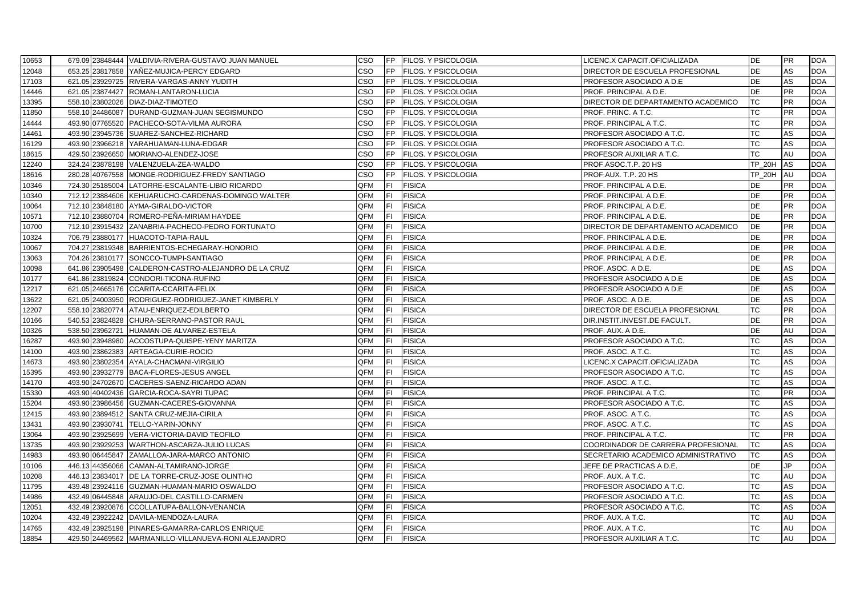| 10653 | 679.09 23848444 VALDIVIA-RIVERA-GUSTAVO JUAN MANUEL  | cso |           | FP FILOS. Y PSICOLOGIA     | LICENC.X CAPACIT.OFICIALIZADA       | DE            | <b>PR</b> | <b>DOA</b> |
|-------|------------------------------------------------------|-----|-----------|----------------------------|-------------------------------------|---------------|-----------|------------|
| 12048 | 653.25 23817858 YANEZ-MUJICA-PERCY EDGARD            | CSO | FP        | <b>FILOS. Y PSICOLOGIA</b> | DIRECTOR DE ESCUELA PROFESIONAL     | DE            | AS        | <b>DOA</b> |
| 17103 | 621.05 23929725 RIVERA-VARGAS-ANNY YUDITH            | CSO | <b>FP</b> | <b>FILOS. Y PSICOLOGIA</b> | PROFESOR ASOCIADO A D.E             | DE            | AS        | <b>DOA</b> |
| 14446 | 621.05 23874427 ROMAN-LANTARON-LUCIA                 | CSO | <b>FP</b> | <b>FILOS. Y PSICOLOGIA</b> | PROF. PRINCIPAL A D.E.              | <b>DE</b>     | <b>PR</b> | <b>DOA</b> |
| 13395 | 558.10 23802026 DIAZ-DIAZ-TIMOTEO                    | CSO | IFP       | <b>FILOS. Y PSICOLOGIA</b> | DIRECTOR DE DEPARTAMENTO ACADEMICO  | <b>TC</b>     | <b>PR</b> | <b>DOA</b> |
| 11850 | 558.10 24486087 DURAND-GUZMAN-JUAN SEGISMUNDO        | CSO | IFP       | <b>FILOS. Y PSICOLOGIA</b> | PROF. PRINC. A T.C.                 | TC            | <b>PR</b> | <b>DOA</b> |
| 14444 | 493.90 07765520 PACHECO-SOTA-VILMA AURORA            | cso | IFP       | FILOS. Y PSICOLOGIA        | PROF. PRINCIPAL A T.C.              | <b>TC</b>     | <b>PR</b> | <b>DOA</b> |
| 14461 | 493.90 23945736 SUAREZ-SANCHEZ-RICHARD               | CSO | IFP       | <b>FILOS. Y PSICOLOGIA</b> | PROFESOR ASOCIADO A T.C.            | <b>TC</b>     | AS        | <b>DOA</b> |
| 16129 | 493.90 23966218 YARAHUAMAN-LUNA-EDGAR                | cso | <b>FP</b> | <b>FILOS. Y PSICOLOGIA</b> | PROFESOR ASOCIADO A T.C.            | ТC            | AS        | <b>DOA</b> |
| 18615 | 429.50 23926650 MORIANO-ALENDEZ-JOSE                 | CSO | IFP.      | <b>FILOS. Y PSICOLOGIA</b> | PROFESOR AUXILIAR A T.C.            | <b>TC</b>     | AU        | <b>DOA</b> |
| 12240 | 324.24 23878198 VALENZUELA-ZEA-WALDO                 | CSO | IFP       | FILOS. Y PSICOLOGIA        | PROF.ASOC.T.P. 20 HS                | <b>TP_20H</b> | AS        | <b>DOA</b> |
| 18616 | 280.28 40767558 MONGE-RODRIGUEZ-FREDY SANTIAGO       | cso | <b>FP</b> | <b>FILOS. Y PSICOLOGIA</b> | PROF AUX. T.P. 20 HS                | <b>TP 20H</b> | AU        | <b>DOA</b> |
| 10346 | 724.30 25185004 LATORRE-ESCALANTE-LIBIO RICARDO      | QFM | lFI.      | <b>FISICA</b>              | PROF. PRINCIPAL A D.E.              | <b>DE</b>     | PR        | <b>DOA</b> |
| 10340 | 712.12 23884606 KEHUARUCHO-CARDENAS-DOMINGO WALTER   | QFM | FL        | <b>FISICA</b>              | PROF. PRINCIPAL A D.E.              | DE            | <b>PR</b> | <b>DOA</b> |
| 10064 | 712.10 23848180 AYMA-GIRALDO-VICTOR                  | QFM | FL        | <b>FISICA</b>              | PROF. PRINCIPAL A D.E.              | DE            | <b>PR</b> | <b>DOA</b> |
| 10571 | 712.10 23880704 ROMERO-PEÑA-MIRIAM HAYDEE            | QFM | lFL.      | <b>FISICA</b>              | PROF. PRINCIPAL A D.E.              | <b>DE</b>     | <b>PR</b> | <b>DOA</b> |
| 10700 | 712.10 23915432 ZANABRIA-PACHECO-PEDRO FORTUNATO     | QFM | lFI.      | <b>FISICA</b>              | DIRECTOR DE DEPARTAMENTO ACADEMICO  | DE            | PR        | <b>DOA</b> |
| 10324 | 706.79 23880177 HUACOTO-TAPIA-RAUL                   | QFM | IFL.      | <b>FISICA</b>              | PROF. PRINCIPAL A D.E.              | <b>DE</b>     | <b>PR</b> | <b>DOA</b> |
| 10067 | 704.27 23819348 BARRIENTOS-ECHEGARAY-HONORIO         | QFM | lFI.      | <b>FISICA</b>              | PROF. PRINCIPAL A D.E.              | DE            | <b>PR</b> | <b>DOA</b> |
| 13063 | 704.26 23810177 SONCCO-TUMPI-SANTIAGO                | QFM | FL        | <b>FISICA</b>              | PROF. PRINCIPAL A D.E.              | DE            | <b>PR</b> | <b>DOA</b> |
| 10098 | 641.86 23905498 CALDERON-CASTRO-ALEJANDRO DE LA CRUZ | QFM | lFI.      | <b>FISICA</b>              | PROF. ASOC. A D.E.                  | <b>DE</b>     | AS        | <b>DOA</b> |
| 10177 | 641.86 23819824 CONDORI-TICONA-RUFINO                | QFM | IFI.      | <b>FISICA</b>              | PROFESOR ASOCIADO A D.E.            | <b>DE</b>     | AS        | <b>DOA</b> |
| 12217 | 621.05 24665176 CCARITA-CCARITA-FELIX                | QFM | IFL.      | <b>FISICA</b>              | PROFESOR ASOCIADO A D.E             | DE            | AS        | <b>DOA</b> |
| 13622 | 621.05 24003950 RODRIGUEZ-RODRIGUEZ-JANET KIMBERLY   | QFM | lFI.      | <b>FISICA</b>              | PROF. ASOC. A D.E.                  | <b>DE</b>     | AS        | <b>DOA</b> |
| 12207 | 558.10 23820774 ATAU-ENRIQUEZ-EDILBERTO              | QFM | FI.       | <b>FISICA</b>              | DIRECTOR DE ESCUELA PROFESIONAL     | ТC            | <b>PR</b> | <b>DOA</b> |
| 10166 | 540.53 23824828 CHURA-SERRANO-PASTOR RAUL            | QFM | IFL       | <b>FISICA</b>              | DIR.INSTIT.INVEST.DE FACULT.        | DE            | <b>PR</b> | <b>DOA</b> |
| 10326 | 538.50 23962721 HUAMAN-DE ALVAREZ-ESTELA             | QFM | IFI.      | <b>FISICA</b>              | PROF. AUX. A D.E.                   | DE            | AU        | <b>DOA</b> |
| 16287 | 493.90 23948980 ACCOSTUPA-QUISPE-YENY MARITZA        | QFM | lFL.      | <b>FISICA</b>              | PROFESOR ASOCIADO A T.C.            | <b>TC</b>     | AS        | <b>DOA</b> |
| 14100 | 493.90 23862383 ARTEAGA-CURIE-ROCIO                  | QFM | lFI.      | <b>FISICA</b>              | PROF. ASOC. A T.C.                  | <b>TC</b>     | AS        | <b>DOA</b> |
| 14673 | 493.90 23802354 AYALA-CHACMANI-VIRGILIO              | QFM | FI.       | <b>FISICA</b>              | LICENC.X CAPACIT.OFICIALIZADA       | ТC            | AS        | <b>DOA</b> |
| 15395 | 493.90 23932779 BACA-FLORES-JESUS ANGEL              | QFM | FI        | <b>FISICA</b>              | PROFESOR ASOCIADO A T.C.            | <b>TC</b>     | AS        | <b>DOA</b> |
| 14170 | 493.90 24702670 CACERES-SAENZ-RICARDO ADAN           | QFM | FI        | <b>FISICA</b>              | PROF. ASOC. A T.C.                  | <b>TC</b>     | AS        | <b>DOA</b> |
| 15330 | 493.90 40402436 GARCIA-ROCA-SAYRI TUPAC              | QFM | lFI.      | <b>FISICA</b>              | PROF. PRINCIPAL A T.C.              | <b>TC</b>     | <b>PR</b> | <b>DOA</b> |
| 15204 | 493.90 23986456 GUZMAN-CACERES-GIOVANNA              | QFM | IFL.      | <b>FISICA</b>              | PROFESOR ASOCIADO A T.C.            | <b>TC</b>     | AS        | <b>DOA</b> |
| 12415 | 493.90 23894512 SANTA CRUZ-MEJIA-CIRILA              | QFM | lFI.      | <b>FISICA</b>              | PROF. ASOC. A T.C.                  | <b>TC</b>     | AS        | <b>DOA</b> |
| 13431 | 493.90 23930741 TELLO-YARIN-JONNY                    | QFM | FI        | <b>FISICA</b>              | PROF. ASOC. A T.C.                  | <b>TC</b>     | AS        | <b>DOA</b> |
| 13064 | 493.90 23925699 VERA-VICTORIA-DAVID TEOFILO          | QFM | IFI.      | <b>FISICA</b>              | PROF. PRINCIPAL A T.C.              | <b>TC</b>     | <b>PR</b> | <b>DOA</b> |
| 13735 | 493.90 23929253 WARTHON-ASCARZA-JULIO LUCAS          | QFM | IFL       | <b>FISICA</b>              | COORDINADOR DE CARRERA PROFESIONAL  | <b>TC</b>     | AS        | <b>DOA</b> |
| 14983 | 493.90 06445847 ZAMALLOA-JARA-MARCO ANTONIO          | QFM | lFI.      | <b>FISICA</b>              | SECRETARIO ACADEMICO ADMINISTRATIVO | <b>TC</b>     | AS        | <b>DOA</b> |
| 10106 | 446.13 44356066 CAMAN-ALTAMIRANO-JORGE               | QFM | FL.       | <b>FISICA</b>              | JEFE DE PRACTICAS A D.E.            | DE            | JP.       | <b>DOA</b> |
| 10208 | 446.13 23834017 DE LA TORRE-CRUZ-JOSE OLINTHO        | QFM | FL        | <b>FISICA</b>              | PROF. AUX. A T.C.                   | <b>TC</b>     | AU        | <b>DOA</b> |
| 11795 | 439.48 23924116 GUZMAN-HUAMAN-MARIO OSWALDO          | QFM | IFI.      | <b>FISICA</b>              | PROFESOR ASOCIADO A T.C.            | ТC            | AS        | <b>DOA</b> |
| 14986 | 432.49 06445848 ARAUJO-DEL CASTILLO-CARMEN           | QFM | IFL       | <b>FISICA</b>              | PROFESOR ASOCIADO A T.C.            | <b>TC</b>     | AS        | <b>DOA</b> |
| 12051 | 432.49 23920876 CCOLLATUPA-BALLON-VENANCIA           | QFM | lFI.      | <b>FISICA</b>              | PROFESOR ASOCIADO A T.C.            | TC            | AS        | <b>DOA</b> |
| 10204 | 432.49 23922242 DAVILA-MENDOZA-LAURA                 | QFM | IFL.      | <b>FISICA</b>              | PROF. AUX. A T.C.                   | <b>TC</b>     | AU        | <b>DOA</b> |
| 14765 | 432.49 23925198 PINARES-GAMARRA-CARLOS ENRIQUE       | QFM | lFI.      | <b>FISICA</b>              | PROF. AUX. A T.C.                   | TC            | AU        | <b>DOA</b> |
| 18854 | 429.50 24469562 MARMANILLO-VILLANUEVA-RONI ALEJANDRO | QFM | FL        | <b>FISICA</b>              | PROFESOR AUXILIAR A T.C.            | <b>TC</b>     | AU        | <b>DOA</b> |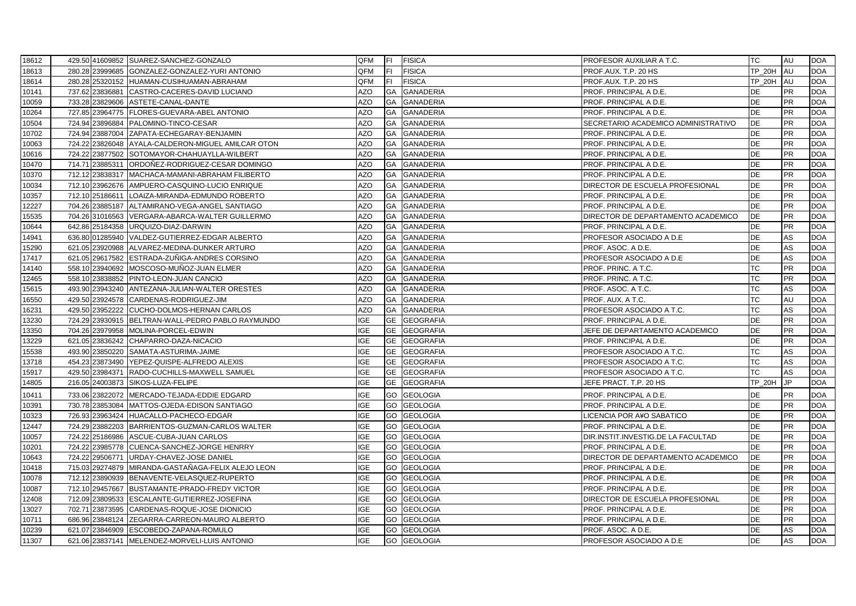| 18612 |        |                 | 429.50 41609852 SUAREZ-SANCHEZ-GONZALO             | QFM        | IFI.      | <b>FISICA</b>      | PROFESOR AUXILIAR A T.C.            | TC            | AU        | <b>DOA</b> |
|-------|--------|-----------------|----------------------------------------------------|------------|-----------|--------------------|-------------------------------------|---------------|-----------|------------|
| 18613 |        |                 | 280.28 23999685 GONZALEZ-GONZALEZ-YURI ANTONIO     | QFM        | IFI.      | <b>FISICA</b>      | PROF.AUX. T.P. 20 HS                | <b>TP 20H</b> | AU        | <b>DOA</b> |
| 18614 |        |                 | 280.28 25320152 HUAMAN-CUSIHUAMAN-ABRAHAM          | QFM        | IFI.      | <b>FISICA</b>      | PROF.AUX. T.P. 20 HS                | TP 20H        | <b>AU</b> | <b>DOA</b> |
| 10141 |        |                 | 737.62 23836881 CASTRO-CACERES-DAVID LUCIANO       | AZO        | GA        | <b>GANADERIA</b>   | PROF. PRINCIPAL A D.E.              | DE            | PR        | <b>DOA</b> |
| 10059 |        |                 | 733.28 23829606 ASTETE-CANAL-DANTE                 | <b>AZO</b> | <b>GA</b> | <b>GANADERIA</b>   | PROF. PRINCIPAL A D.E.              | <b>DE</b>     | <b>PR</b> | <b>DOA</b> |
| 10264 |        |                 | 727.85 23964775 FLORES-GUEVARA-ABEL ANTONIO        | <b>AZO</b> | <b>GA</b> | <b>GANADERIA</b>   | PROF. PRINCIPAL A D.E.              | <b>DE</b>     | PR        | <b>DOA</b> |
| 10504 |        |                 | 724.94 23896884 PALOMINO-TINCO-CESAR               | AZO        | GA        | <b>GANADERIA</b>   | SECRETARIO ACADEMICO ADMINISTRATIVO | DE            | <b>PR</b> | <b>DOA</b> |
| 10702 |        |                 | 724.94 23887004 ZAPATA-ECHEGARAY-BENJAMIN          | AZO        | GA        | <b>GANADERIA</b>   | PROF. PRINCIPAL A D.E.              | <b>DE</b>     | <b>PR</b> | <b>DOA</b> |
| 10063 |        |                 | 724.22 23826048 AYALA-CALDERON-MIGUEL AMILCAR OTON | AZO        | GA        | <b>GANADERIA</b>   | PROF. PRINCIPAL A D.E.              | DE            | <b>PR</b> | <b>DOA</b> |
| 10616 |        |                 | 724.22 23877502 SOTOMAYOR-CHAHUAYLLA-WILBERT       | AZO        | GA        | <b>GANADERIA</b>   | PROF. PRINCIPAL A D.E.              | DE            | PR        | <b>DOA</b> |
| 10470 |        |                 | 714.71 23885311 ORDOÑEZ-RODRIGUEZ-CESAR DOMINGO    | AZO        | GA        | <b>GANADERIA</b>   | PROF. PRINCIPAL A D.E.              | DE            | <b>PR</b> | <b>DOA</b> |
| 10370 |        |                 | 712.12 23838317 MACHACA-MAMANI-ABRAHAM FILIBERTO   | AZO        | GA        | <b>GANADERIA</b>   | PROF. PRINCIPAL A D.E.              | DE            | PR        | <b>DOA</b> |
| 10034 |        |                 | 712.10 23962676 AMPUERO-CASQUINO-LUCIO ENRIQUE     | <b>AZO</b> | <b>GA</b> | <b>GANADERIA</b>   | DIRECTOR DE ESCUELA PROFESIONAL     | <b>DE</b>     | PR        | <b>DOA</b> |
| 10357 |        | 712.10 25186611 | LOAIZA-MIRANDA-EDMUNDO ROBERTO                     | <b>AZO</b> | <b>GA</b> | <b>GANADERIA</b>   | PROF. PRINCIPAL A D.E.              | <b>DE</b>     | <b>PR</b> | <b>DOA</b> |
| 12227 |        |                 | 704.26 23885187 ALTAMIRANO-VEGA-ANGEL SANTIAGO     | AZO        | GA        | <b>GANADERIA</b>   | PROF. PRINCIPAL A D.E.              | DE            | <b>PR</b> | <b>DOA</b> |
| 15535 |        |                 | 704.26 31016563 VERGARA-ABARCA-WALTER GUILLERMO    | <b>AZO</b> | GA        | <b>GANADERIA</b>   | DIRECTOR DE DEPARTAMENTO ACADEMICO  | DE            | <b>PR</b> | <b>DOA</b> |
| 10644 |        |                 | 642.86 25184358 URQUIZO-DIAZ-DARWIN                | <b>AZO</b> | GA        | <b>GANADERIA</b>   | PROF. PRINCIPAL A D.E.              | <b>DE</b>     | <b>PR</b> | <b>DOA</b> |
| 14941 |        |                 | 636.80 01285940 VALDEZ-GUTIERREZ-EDGAR ALBERTO     | AZO        | GA        | <b>GANADERIA</b>   | PROFESOR ASOCIADO A D.E             | DE            | AS        | <b>DOA</b> |
| 15290 |        |                 | 621.05 23920988 ALVAREZ-MEDINA-DUNKER ARTURO       | <b>AZO</b> | <b>GA</b> | <b>GANADERIA</b>   | PROF. ASOC. A D.E.                  | <b>DE</b>     | AS        | <b>DOA</b> |
| 17417 |        |                 | 621.05 29617582 ESTRADA-ZUÑIGA-ANDRES CORSINO      | <b>AZO</b> | <b>GA</b> | <b>GANADERIA</b>   | PROFESOR ASOCIADO A D.E.            | DE            | AS        | <b>DOA</b> |
| 14140 |        |                 | 558.10 23940692 MOSCOSO-MUÑOZ-JUAN ELMER           | AZO        | GA        | <b>GANADERIA</b>   | PROF. PRINC. A T.C.                 | ТC            | <b>PR</b> | <b>DOA</b> |
| 12465 |        |                 | 558.10 23838852 PINTO-LEON-JUAN CANCIO             | <b>AZO</b> | GA        | <b>GANADERIA</b>   | PROF. PRINC. A T.C.                 | <b>TC</b>     | <b>PR</b> | <b>DOA</b> |
| 15615 |        |                 | 493.90 23943240 ANTEZANA-JULIAN-WALTER ORESTES     | <b>AZO</b> | <b>GA</b> | <b>GANADERIA</b>   | PROF. ASOC. A T.C.                  | <b>TC</b>     | AS        | <b>DOA</b> |
| 16550 |        |                 | 429.50 23924578 CARDENAS-RODRIGUEZ-JIM             | AZO        | GA        | <b>GANADERIA</b>   | PROF. AUX. A T.C.                   | TC            | AU        | <b>DOA</b> |
| 16231 |        |                 | 429.50 23952222 CUCHO-DOLMOS-HERNAN CARLOS         | AZO        | GA        | <b>GANADERIA</b>   | PROFESOR ASOCIADO A T.C.            | <b>TC</b>     | AS        | <b>DOA</b> |
| 13230 | 724.29 |                 | 23930915 BELTRAN-WALL-PEDRO PABLO RAYMUNDO         | <b>IGE</b> | <b>GE</b> | <b>GEOGRAFIA</b>   | PROF. PRINCIPAL A D.E.              | DE            | <b>PR</b> | <b>DOA</b> |
| 13350 |        |                 | 704.26 23979958 MOLINA-PORCEL-EDWIN                | <b>IGE</b> | <b>GE</b> | <b>GEOGRAFIA</b>   | JEFE DE DEPARTAMENTO ACADEMICO      | DE            | <b>PR</b> | <b>DOA</b> |
| 13229 |        |                 | 621.05 23836242 CHAPARRO-DAZA-NICACIO              | <b>IGE</b> | <b>GE</b> | <b>GEOGRAFIA</b>   | PROF. PRINCIPAL A D.E.              | <b>DE</b>     | <b>PR</b> | <b>DOA</b> |
| 15538 |        |                 | 493.90 23850220 SAMATA-ASTURIMA-JAIME              | <b>IGE</b> | <b>GE</b> | <b>GEOGRAFIA</b>   | PROFESOR ASOCIADO A T.C.            | TC            | AS        | <b>DOA</b> |
| 13718 |        |                 | 454.23 23873490 YEPEZ-QUISPE-ALFREDO ALEXIS        | <b>IGE</b> | <b>GE</b> | <b>GEOGRAFIA</b>   | PROFESOR ASOCIADO A T.C.            | <b>TC</b>     | AS        | <b>DOA</b> |
| 15917 |        | 429.50 23984371 | RADO-CUCHILLS-MAXWELL SAMUEL                       | <b>IGE</b> | <b>GE</b> | <b>GEOGRAFIA</b>   | PROFESOR ASOCIADO A T.C.            | TC            | AS        | <b>DOA</b> |
| 14805 |        |                 | 216.05 24003873 SIKOS-LUZA-FELIPE                  | <b>IGE</b> | <b>GE</b> | <b>GEOGRAFIA</b>   | JEFE PRACT. T.P. 20 HS              | TP_20H        | JP        | <b>DOA</b> |
| 10411 |        |                 | 733.06 23822072 MERCADO-TEJADA-EDDIE EDGARD        | <b>IGE</b> |           | <b>GO GEOLOGIA</b> | PROF. PRINCIPAL A D.E.              | <b>DE</b>     | PR        | <b>DOA</b> |
| 10391 |        |                 | 730.78 23853084 MATTOS-OJEDA-EDISON SANTIAGO       | <b>IGE</b> | GO        | <b>GEOLOGIA</b>    | PROF. PRINCIPAL A D.E.              | <b>DE</b>     | <b>PR</b> | <b>DOA</b> |
| 10323 |        |                 | 726.93 23963424 HUACALLO-PACHECO-EDGAR             | IGE        | GO        | <b>GEOLOGIA</b>    | LICENCIA POR A¥O SABATICO           | DE            | <b>PR</b> | <b>DOA</b> |
| 12447 |        |                 | 724.29 23882203 BARRIENTOS-GUZMAN-CARLOS WALTER    | <b>IGE</b> | GO        | <b>GEOLOGIA</b>    | PROF. PRINCIPAL A D.E.              | <b>DE</b>     | <b>PR</b> | <b>DOA</b> |
| 10057 |        |                 | 724.22 25186986 ASCUE-CUBA-JUAN CARLOS             | <b>IGE</b> | GO        | <b>GEOLOGIA</b>    | DIR.INSTIT.INVESTIG.DE LA FACULTAD  | <b>DE</b>     | <b>PR</b> | <b>DOA</b> |
| 10201 |        |                 | 724.22 23985778 CUENCA-SANCHEZ-JORGE HENRRY        | <b>IGE</b> | GO        | <b>GEOLOGIA</b>    | PROF. PRINCIPAL A D.E.              | <b>DE</b>     | <b>PR</b> | <b>DOA</b> |
| 10643 |        | 724.22 29506771 | URDAY-CHAVEZ-JOSE DANIEL                           | <b>IGE</b> | GO        | <b>GEOLOGIA</b>    | DIRECTOR DE DEPARTAMENTO ACADEMICO  | DE            | <b>PR</b> | <b>DOA</b> |
| 10418 |        |                 | 715.03 29274879 MIRANDA-GASTAÑAGA-FELIX ALEJO LEON | <b>IGE</b> | GO        | <b>GEOLOGIA</b>    | PROF. PRINCIPAL A D.E.              | DE            | PR        | <b>DOA</b> |
| 10078 |        | 712.12 23890939 | BENAVENTE-VELASQUEZ-RUPERTO                        | <b>IGE</b> | GO        | <b>GEOLOGIA</b>    | PROF. PRINCIPAL A D.E.              | DE            | PR        | <b>DOA</b> |
| 10087 |        | 712.10 29457667 | <b>BUSTAMANTE-PRADO-FREDY VICTOR</b>               | <b>IGE</b> | GO        | <b>GEOLOGIA</b>    | PROF. PRINCIPAL A D.E.              | DE            | PR        | <b>DOA</b> |
| 12408 |        |                 | 712.09 23809533 ESCALANTE-GUTIERREZ-JOSEFINA       | <b>IGE</b> | GO        | <b>GEOLOGIA</b>    | DIRECTOR DE ESCUELA PROFESIONAL     | DE            | <b>PR</b> | <b>DOA</b> |
| 13027 |        |                 | 702.71 23873595 CARDENAS-ROQUE-JOSE DIONICIO       | <b>IGE</b> | <b>GO</b> | <b>GEOLOGIA</b>    | PROF. PRINCIPAL A D.E.              | <b>DE</b>     | PR        | <b>DOA</b> |
| 10711 |        |                 | 686.96 23848124 ZEGARRA-CARREON-MAURO ALBERTO      | <b>IGE</b> | <b>GO</b> | <b>GEOLOGIA</b>    | PROF. PRINCIPAL A D.E.              | <b>DE</b>     | PR        | <b>DOA</b> |
| 10239 |        |                 | 621.07 23846909 ESCOBEDO-ZAPANA-ROMULO             | <b>IGE</b> | GO        | <b>GEOLOGIA</b>    | PROF. ASOC. A D.E.                  | DE            | AS        | <b>DOA</b> |
| 11307 |        |                 | 621.06 23837141 MELENDEZ-MORVELI-LUIS ANTONIO      | <b>IGE</b> |           | <b>GO GEOLOGIA</b> | PROFESOR ASOCIADO A D.E.            | DE            | AS        | <b>DOA</b> |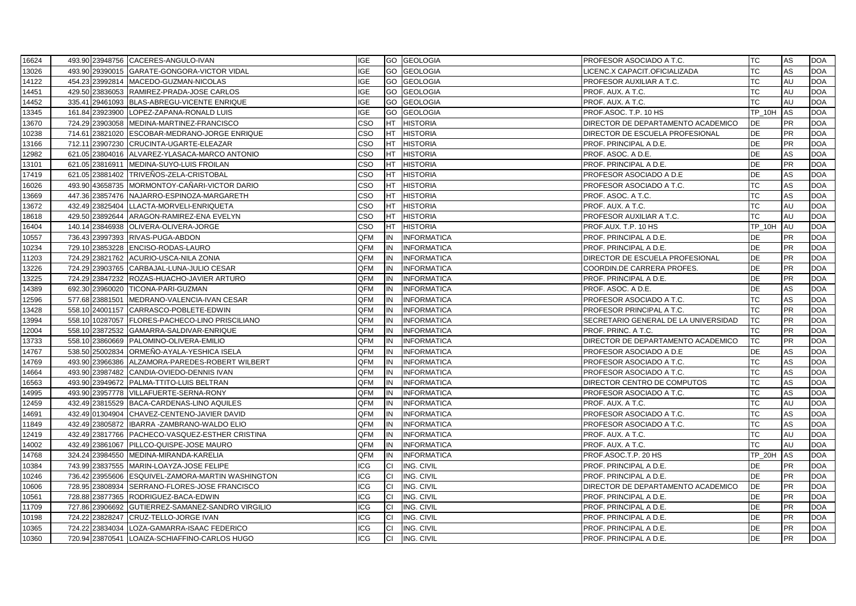| 16624 |        |                 | 493.90 23948756 CACERES-ANGULO-IVAN               | IGE        |           | <b>GO GEOLOGIA</b> | PROFESOR ASOCIADO A T.C.             | TC            | AS        | <b>DOA</b> |
|-------|--------|-----------------|---------------------------------------------------|------------|-----------|--------------------|--------------------------------------|---------------|-----------|------------|
| 13026 |        |                 | 493.90 29390015 GARATE-GONGORA-VICTOR VIDAL       | <b>IGE</b> | GO        | <b>GEOLOGIA</b>    | LICENC.X CAPACIT.OFICIALIZADA        | ТC            | AS        | <b>DOA</b> |
| 14122 |        |                 | 454.23 23992814 MACEDO-GUZMAN-NICOLAS             | <b>IGE</b> |           | <b>GO GEOLOGIA</b> | PROFESOR AUXILIAR A T.C.             | ТC            | AU        | <b>DOA</b> |
| 14451 |        |                 | 429.50 23836053 RAMIREZ-PRADA-JOSE CARLOS         | IGE        |           | GO GEOLOGIA        | PROF. AUX. A T.C.                    | TC            | AU        | <b>DOA</b> |
| 14452 |        |                 | 335.41 29461093 BLAS-ABREGU-VICENTE ENRIQUE       | <b>IGE</b> |           | GO GEOLOGIA        | PROF. AUX. A T.C.                    | TC            | AU        | <b>DOA</b> |
| 13345 |        |                 | 161.84 23923900 LOPEZ-ZAPANA-RONALD LUIS          | <b>IGE</b> | GO        | <b>GEOLOGIA</b>    | PROF ASOC. T.P. 10 HS                | TP_10H        | <b>AS</b> | <b>DOA</b> |
| 13670 |        |                 | 724.29 23903058 MEDINA-MARTINEZ-FRANCISCO         | CSO        | <b>HT</b> | <b>HISTORIA</b>    | DIRECTOR DE DEPARTAMENTO ACADEMICO   | <b>DE</b>     | <b>PR</b> | <b>DOA</b> |
| 10238 |        |                 | 714.61 23821020 ESCOBAR-MEDRANO-JORGE ENRIQUE     | cso        | <b>HT</b> | <b>HISTORIA</b>    | DIRECTOR DE ESCUELA PROFESIONAL      | DE            | PR        | <b>DOA</b> |
| 13166 |        |                 | 712.11 23907230 CRUCINTA-UGARTE-ELEAZAR           | CSO        | HT        | <b>HISTORIA</b>    | PROF. PRINCIPAL A D.E.               | DE            | <b>PR</b> | <b>DOA</b> |
| 12982 |        |                 | 621.05 23804016 ALVAREZ-YLASACA-MARCO ANTONIO     | CSO        | HT        | <b>HISTORIA</b>    | PROF. ASOC. A D.E.                   | DE            | AS        | <b>DOA</b> |
| 13101 |        |                 | 621.05 23816911 MEDINA-SUYO-LUIS FROILAN          | CSO        | <b>HT</b> | <b>HISTORIA</b>    | PROF. PRINCIPAL A D.E.               | <b>DE</b>     | <b>PR</b> | <b>DOA</b> |
| 17419 |        |                 | 621.05 23881402 TRIVEÑOS-ZELA-CRISTOBAL           | CSO        | <b>HT</b> | <b>HISTORIA</b>    | PROFESOR ASOCIADO A D.E.             | <b>DE</b>     | AS        | <b>DOA</b> |
| 16026 |        |                 | 493.90 43658735 MORMONTOY-CAÑARI-VICTOR DARIO     | CSO        | <b>HT</b> | <b>HISTORIA</b>    | PROFESOR ASOCIADO A T.C.             | <b>TC</b>     | AS        | <b>DOA</b> |
| 13669 | 447.36 |                 | 23857476 NAJARRO-ESPINOZA-MARGARETH               | cso        | HT        | <b>HISTORIA</b>    | PROF. ASOC. A T.C.                   | ТC            | AS        | <b>DOA</b> |
| 13672 |        |                 | 432.49 23825404 LLACTA-MORVELI-ENRIQUETA          | CSO        | HT        | <b>HISTORIA</b>    | PROF. AUX. A T.C.                    | ТC            | AU        | <b>DOA</b> |
| 18618 |        |                 | 429.50 23892644 ARAGON-RAMIREZ-ENA EVELYN         | CSO        | <b>HT</b> | <b>HISTORIA</b>    | PROFESOR AUXILIAR A T.C.             | <b>TC</b>     | AU        | <b>DOA</b> |
| 16404 |        |                 | 140.14 23846938 OLIVERA-OLIVERA-JORGE             | CSO        | <b>HT</b> | <b>HISTORIA</b>    | PROF.AUX. T.P. 10 HS                 | <b>TP_10H</b> | <b>AU</b> | <b>DOA</b> |
| 10557 |        |                 | 736.43 23997393 RIVAS-PUGA-ABDON                  | QFM        | IN        | <b>INFORMATICA</b> | PROF. PRINCIPAL A D.E.               | <b>DE</b>     | PR        | <b>DOA</b> |
| 10234 | 729.10 |                 | 23853228 ENCISO-RODAS-LAURO                       | QFM        | IN        | INFORMATICA        | PROF. PRINCIPAL A D.E.               | DE            | <b>PR</b> | <b>DOA</b> |
| 11203 |        |                 | 724.29 23821762 ACURIO-USCA-NILA ZONIA            | QFM        | IN        | <b>INFORMATICA</b> | DIRECTOR DE ESCUELA PROFESIONAL      | DE            | <b>PR</b> | <b>DOA</b> |
| 13226 |        |                 | 724.29 23903765 CARBAJAL-LUNA-JULIO CESAR         | QFM        | IN        | <b>INFORMATICA</b> | COORDIN.DE CARRERA PROFES.           | <b>DE</b>     | <b>PR</b> | <b>DOA</b> |
| 13225 |        |                 | 724.29 23847232 ROZAS-HUACHO-JAVIER ARTURO        | QFM        | IN        | <b>INFORMATICA</b> | PROF. PRINCIPAL A D.E.               | <b>DE</b>     | <b>PR</b> | <b>DOA</b> |
| 14389 |        |                 | 692.30 23960020 TICONA-PARI-GUZMAN                | QFM        | IN        | <b>INFORMATICA</b> | PROF. ASOC. A D.E.                   | DE            | AS        | <b>DOA</b> |
| 12596 |        | 577.68 23881501 | MEDRANO-VALENCIA-IVAN CESAR                       | QFM        | IN        | <b>INFORMATICA</b> | PROFESOR ASOCIADO A T.C.             | <b>TC</b>     | AS        | <b>DOA</b> |
| 13428 |        |                 | 558.10 24001157 CARRASCO-POBLETE-EDWIN            | QFM        | IN        | <b>INFORMATICA</b> | PROFESOR PRINCIPAL A T.C.            | ТC            | <b>PR</b> | <b>DOA</b> |
| 13994 |        |                 | 558.10 10287057 FLORES-PACHECO-LINO PRISCILIANO   | QFM        | IN        | <b>INFORMATICA</b> | SECRETARIO GENERAL DE LA UNIVERSIDAD | <b>TC</b>     | <b>PR</b> | <b>DOA</b> |
| 12004 |        |                 | 558.10 23872532 GAMARRA-SALDIVAR-ENRIQUE          | QFM        | IN        | <b>INFORMATICA</b> | PROF. PRINC. A T.C.                  | TC            | <b>PR</b> | <b>DOA</b> |
| 13733 |        |                 | 558.10 23860669 PALOMINO-OLIVERA-EMILIO           | QFM        | IN        | <b>INFORMATICA</b> | DIRECTOR DE DEPARTAMENTO ACADEMICO   | <b>TC</b>     | <b>PR</b> | <b>DOA</b> |
| 14767 |        |                 | 538.50 25002834 ORMEÑO-AYALA-YESHICA ISELA        | QFM        | IN        | <b>INFORMATICA</b> | PROFESOR ASOCIADO A D.E              | DE            | AS        | <b>DOA</b> |
| 14769 |        |                 | 493.90 23966386 ALZAMORA-PAREDES-ROBERT WILBERT   | QFM        | IN        | <b>INFORMATICA</b> | PROFESOR ASOCIADO A T.C.             | <b>TC</b>     | AS        | <b>DOA</b> |
| 14664 |        |                 | 493.90 23987482 CANDIA-OVIEDO-DENNIS IVAN         | QFM        | IN        | <b>INFORMATICA</b> | PROFESOR ASOCIADO A T.C.             | ТC            | AS        | <b>DOA</b> |
| 16563 |        |                 | 493.90 23949672 PALMA-TTITO-LUIS BELTRAN          | QFM        | IN        | <b>INFORMATICA</b> | DIRECTOR CENTRO DE COMPUTOS          | <b>TC</b>     | AS        | <b>DOA</b> |
| 14995 |        |                 | 493.90 23957778 VILLAFUERTE-SERNA-RONY            | OFM        | IN        | <b>INFORMATICA</b> | PROFESOR ASOCIADO A T.C.             | <b>TC</b>     | AS        | <b>DOA</b> |
| 12459 |        |                 | 432.49 23815529 BACA-CARDENAS-LINO AQUILES        | QFM        | IN        | <b>INFORMATICA</b> | PROF. AUX. A T.C.                    | <b>TC</b>     | AU        | <b>DOA</b> |
| 14691 |        |                 | 432.49 01304904 CHAVEZ-CENTENO-JAVIER DAVID       | QFM        | IN        | <b>INFORMATICA</b> | PROFESOR ASOCIADO A T.C.             | ТC            | ۹S        | <b>DOA</b> |
| 11849 |        |                 | 432.49 23805872   IBARRA - ZAMBRANO-WALDO ELIO    | QFM        | IN        | <b>INFORMATICA</b> | PROFESOR ASOCIADO A T.C.             | <b>TC</b>     | AS        | <b>DOA</b> |
| 12419 |        |                 | 432.49 23817766 PACHECO-VASQUEZ-ESTHER CRISTINA   | QFM        | IN        | <b>INFORMATICA</b> | PROF. AUX. A T.C.                    | <b>TC</b>     | AU        | <b>DOA</b> |
| 14002 |        |                 | 432.49 23861067 PILLCO-QUISPE-JOSE MAURO          | QFM        | IN        | <b>INFORMATICA</b> | PROF. AUX. A T.C.                    | <b>TC</b>     | AU        | <b>DOA</b> |
| 14768 |        |                 | 324.24 23984550 MEDINA-MIRANDA-KARELIA            | QFM        | IN        | <b>INFORMATICA</b> | PROF.ASOC.T.P. 20 HS                 | <b>TP 20H</b> | AS        | <b>DOA</b> |
| 10384 |        |                 | 743.99 23837555 MARIN-LOAYZA-JOSE FELIPE          | ICG        | СI        | ING. CIVIL         | PROF. PRINCIPAL A D.E.               | <b>DE</b>     | PR        | <b>DOA</b> |
| 10246 |        |                 | 736.42 23955606 ESQUIVEL-ZAMORA-MARTIN WASHINGTON | ICG        | CI        | ING. CIVIL         | PROF. PRINCIPAL A D.E.               | <b>DE</b>     | <b>PR</b> | <b>DOA</b> |
| 10606 |        |                 | 728.95 23808934 SERRANO-FLORES-JOSE FRANCISCO     | ICG        | СI        | ING. CIVIL         | DIRECTOR DE DEPARTAMENTO ACADEMICO   | DE            | <b>PR</b> | <b>DOA</b> |
| 10561 |        |                 | 728.88 23877365 RODRIGUEZ-BACA-EDWIN              | ICG        | CI        | ING. CIVIL         | PROF. PRINCIPAL A D.E.               | DE            | <b>PR</b> | <b>DOA</b> |
| 11709 |        |                 | 727.86 23906692 GUTIERREZ-SAMANEZ-SANDRO VIRGILIO | ICG        | lCI.      | ING. CIVIL         | PROF. PRINCIPAL A D.E.               | DE            | <b>PR</b> | <b>DOA</b> |
| 10198 |        |                 | 724.22 23828247 CRUZ-TELLO-JORGE IVAN             | <b>ICG</b> | <b>CI</b> | ING. CIVIL         | PROF. PRINCIPAL A D.E.               | <b>DE</b>     | <b>PR</b> | <b>DOA</b> |
| 10365 |        | 724.22 23834034 | LOZA-GAMARRA-ISAAC FEDERICO                       | ICG        | <b>CI</b> | ING. CIVIL         | PROF. PRINCIPAL A D.E.               | <b>DE</b>     | <b>PR</b> | <b>DOA</b> |
| 10360 |        |                 | 720.94 23870541 LOAIZA-SCHIAFFINO-CARLOS HUGO     | ICG        | CI        | ING. CIVIL         | PROF. PRINCIPAL A D.E.               | <b>DE</b>     | <b>PR</b> | <b>DOA</b> |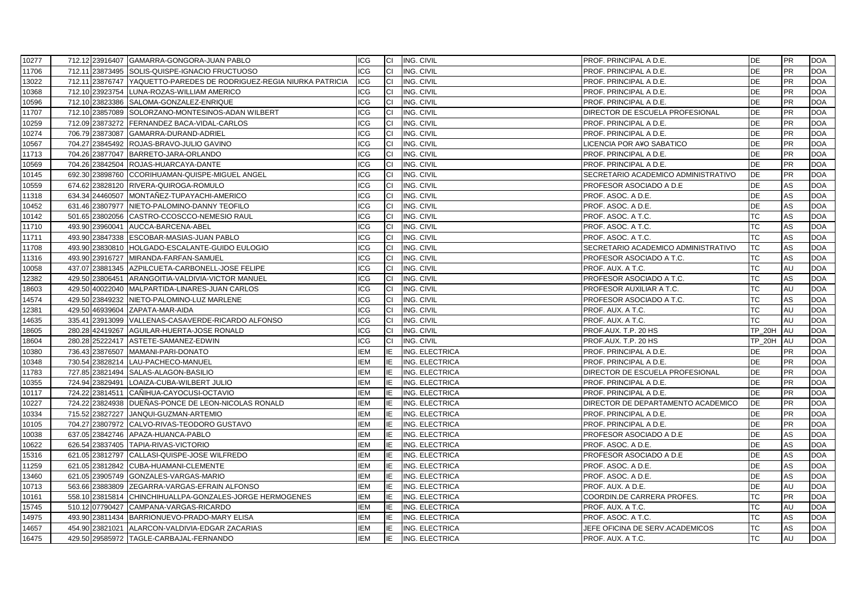| 10277 |        |                 | 712.12 23916407 GAMARRA-GONGORA-JUAN PABLO                          | ICG               | СI        | ING. CIVIL            | PROF. PRINCIPAL A D.E.              | <b>DE</b>              | <b>PR</b>       | <b>DOA</b> |
|-------|--------|-----------------|---------------------------------------------------------------------|-------------------|-----------|-----------------------|-------------------------------------|------------------------|-----------------|------------|
| 11706 |        |                 | 712.11 23873495 SOLIS-QUISPE-IGNACIO FRUCTUOSO                      | <b>ICG</b>        | <b>CI</b> | ING. CIVIL            | PROF. PRINCIPAL A D.E.              | <b>DE</b>              | <b>PR</b>       | <b>DOA</b> |
| 13022 |        |                 | 712.11 23876747 YAQUETTO-PAREDES DE RODRIGUEZ-REGIA NIURKA PATRICIA | <b>ICG</b>        | СI        | ING. CIVIL            | PROF. PRINCIPAL A D.E.              | DE                     | PR              | <b>DOA</b> |
| 10368 |        |                 | 712.10 23923754 LUNA-ROZAS-WILLIAM AMERICO                          | <b>ICG</b>        | CI        | ING. CIVIL            | PROF. PRINCIPAL A D.E.              | <b>DE</b>              | <b>PR</b>       | <b>DOA</b> |
| 10596 |        |                 | 712.10 23823386 SALOMA-GONZALEZ-ENRIQUE                             | <b>ICG</b>        | CI        | ING. CIVIL            | PROF. PRINCIPAL A D.E.              | <b>DE</b>              | <b>PR</b>       | <b>DOA</b> |
| 11707 |        |                 | 712.10 23857089 SOLORZANO-MONTESINOS-ADAN WILBERT                   | <b>ICG</b>        | СI        | ING. CIVIL            | DIRECTOR DE ESCUELA PROFESIONAL     | <b>DE</b>              | <b>PR</b>       | <b>DOA</b> |
| 10259 |        |                 | 712.09 23873272 FERNANDEZ BACA-VIDAL-CARLOS                         | <b>ICG</b>        | IСI       | ING. CIVIL            | PROF. PRINCIPAL A D.E.              | DE                     | PR              | <b>DOA</b> |
| 10274 |        | 706.79 23873087 | GAMARRA-DURAND-ADRIEL                                               | ICG               | CI        | ING. CIVIL            | PROF. PRINCIPAL A D.E.              | DE                     | PR              | <b>DOA</b> |
| 10567 |        |                 | 704.27 23845492 ROJAS-BRAVO-JULIO GAVINO                            | <b>ICG</b>        | CI        | ING. CIVIL            | LICENCIA POR A¥O SABATICO           | <b>DE</b>              | <b>PR</b>       | <b>DOA</b> |
| 11713 |        |                 | 704.26 23877047 BARRETO-JARA-ORLANDO                                | <b>ICG</b>        | lCI.      | ING. CIVIL            | PROF. PRINCIPAL A D.E.              | <b>DE</b>              | <b>PR</b>       | <b>DOA</b> |
| 10569 |        |                 | 704.26 23842504 ROJAS-HUARCAYA-DANTE                                | ICG               | СI        | ING. CIVIL            | PROF. PRINCIPAL A D.E.              | DE                     | <b>PR</b>       | <b>DOA</b> |
| 10145 | 692.30 |                 | 23898760 CCORIHUAMAN-QUISPE-MIGUEL ANGEL                            | <b>ICG</b>        | СI        | ING. CIVIL            | SECRETARIO ACADEMICO ADMINISTRATIVO | DE                     | <b>PR</b>       | <b>DOA</b> |
| 10559 |        |                 | 674.62 23828120 RIVERA-QUIROGA-ROMULO                               | ICG               | СI        | ING. CIVIL            | PROFESOR ASOCIADO A D.E             | <b>DE</b>              | AS              | <b>DOA</b> |
| 11318 |        | 634.34 24460507 | MONTAÑEZ-TUPAYACHI-AMERICO                                          | ICG               | СI        | ING. CIVIL            | PROF. ASOC. A D.E.                  | DE                     | AS              | <b>DOA</b> |
| 10452 |        | 631.46 23807977 | NIETO-PALOMINO-DANNY TEOFILO                                        | ICG               | СI        | ING. CIVIL            | PROF. ASOC. A D.E.                  | DE                     | AS              | <b>DOA</b> |
| 10142 |        |                 | 501.65 23802056 CASTRO-CCOSCCO-NEMESIO RAUL                         | <b>ICG</b>        | CI        | ING. CIVIL            | PROF. ASOC. A T.C.                  | <b>TC</b>              | AS              | <b>DOA</b> |
| 11710 |        |                 | 493.90 23960041 AUCCA-BARCENA-ABEL                                  | <b>ICG</b>        | СI        | ING. CIVIL            | PROF. ASOC. A T.C.                  | <b>TC</b>              | AS              | <b>DOA</b> |
| 11711 |        |                 | 493.90 23847338 ESCOBAR-MASIAS-JUAN PABLO                           | ICG               | СI        | ING. CIVIL            | PROF. ASOC. A T.C.                  | <b>TC</b>              | AS              | <b>DOA</b> |
| 11708 | 493.90 | 23830810        | HOLGADO-ESCALANTE-GUIDO EULOGIO                                     | <b>ICG</b>        | СI        | ING. CIVIL            | SECRETARIO ACADEMICO ADMINISTRATIVO | <b>TC</b>              | AS              | <b>DOA</b> |
| 11316 |        |                 | 493.90 23916727 MIRANDA-FARFAN-SAMUEL                               | ICG               | СI        | ING. CIVIL            | PROFESOR ASOCIADO A T.C.            | <b>TC</b>              | AS              | <b>DOA</b> |
| 10058 |        |                 | 437.07 23881345 AZPILCUETA-CARBONELL-JOSE FELIPE                    | ICG               | CI        | ING. CIVIL            | PROF. AUX. A T.C.                   | <b>TC</b>              | AU              | <b>DOA</b> |
| 12382 |        |                 | 429.50 23806451 ARANGOITIA-VALDIVIA-VICTOR MANUEL                   | <b>ICG</b>        | СI        | ING. CIVIL            | PROFESOR ASOCIADO A T.C.            | <b>TC</b>              | AS              | <b>DOA</b> |
| 18603 |        |                 | 429.50 40022040 MALPARTIDA-LINARES-JUAN CARLOS                      | <b>ICG</b>        | СI        | ING. CIVIL            | PROFESOR AUXILIAR A T.C.            | <b>TC</b>              | AU              | <b>DOA</b> |
| 14574 | 429.50 |                 | 23849232 NIETO-PALOMINO-LUZ MARLENE                                 | <b>ICG</b>        | CI        | ING. CIVIL            | PROFESOR ASOCIADO A T.C.            | TC                     | AS              | <b>DOA</b> |
| 12381 |        |                 | 429.50 46939604 ZAPATA-MAR-AIDA                                     | ICG               | CI        | ING. CIVIL            | PROF. AUX. A T.C.                   | ТC                     | AU              | <b>DOA</b> |
| 14635 |        |                 | 335.41 23913099 VALLENAS-CASAVERDE-RICARDO ALFONSO                  | ICG               | CI        | ING. CIVIL            | PROF. AUX. A T.C.                   | <b>TC</b>              | AU              | <b>DOA</b> |
| 18605 |        |                 | 280.28 42419267 AGUILAR-HUERTA-JOSE RONALD                          | <b>ICG</b>        | СI        | ING. CIVIL            | PROF.AUX. T.P. 20 HS                | <b>TP 20H</b>          | AU              | <b>DOA</b> |
| 18604 |        |                 | 280.28 25222417 ASTETE-SAMANEZ-EDWIN                                | <b>ICG</b>        | СI        | ING. CIVIL            | PROF.AUX. T.P. 20 HS                | <b>TP 20H</b>          | AU              | <b>DOA</b> |
| 10380 |        | 736.43 23876507 | MAMANI-PARI-DONATO                                                  | IEM               | IE        | ING. ELECTRICA        | PROF. PRINCIPAL A D.E.              | DE                     | <b>PR</b>       | <b>DOA</b> |
| 10348 |        |                 | 730.54 23828214 LAU-PACHECO-MANUEL                                  | <b>IEM</b>        | IE        | ING. ELECTRICA        | PROF. PRINCIPAL A D.E.              | DE                     | PR              | <b>DOA</b> |
| 11783 |        |                 | 727.85 23821494 SALAS-ALAGON-BASILIO                                | <b>IEM</b>        | IE        | ING. ELECTRICA        | DIRECTOR DE ESCUELA PROFESIONAL     | <b>DE</b>              | <b>PR</b>       | <b>DOA</b> |
| 10355 |        |                 | 724.94 23829491 LOAIZA-CUBA-WILBERT JULIO                           | IEM               | IE        | <b>ING. ELECTRICA</b> | PROF. PRINCIPAL A D.E.              | <b>DE</b>              | <b>PR</b>       | <b>DOA</b> |
| 10117 |        |                 | 724.22 23814511 CAÑIHUA-CAYOCUSI-OCTAVIO                            | <b>IEM</b>        | IE        | ING. ELECTRICA        | PROF. PRINCIPAL A D.E.              | <b>DE</b>              | PR              | <b>DOA</b> |
| 10227 |        |                 | 724.22 23824938 DUEÑAS-PONCE DE LEON-NICOLAS RONALD                 | IEM               | IE        | ING. ELECTRICA        | DIRECTOR DE DEPARTAMENTO ACADEMICO  | DE                     | <b>PR</b>       | <b>DOA</b> |
| 10334 |        |                 | 715.52 23827227 JANQUI-GUZMAN-ARTEMIO                               | IEM               | IE        | ING. ELECTRICA        | PROF. PRINCIPAL A D.E.              | DE                     | <b>PR</b>       | <b>DOA</b> |
| 10105 |        |                 | 704.27 23807972 CALVO-RIVAS-TEODORO GUSTAVO                         | IEM               | IE        | <b>ING. ELECTRICA</b> | PROF. PRINCIPAL A D.E.              | DE                     | <b>PR</b>       | <b>DOA</b> |
| 10038 |        |                 | 637.05 23842746 APAZA-HUANCA-PABLO                                  | IEM               | IE        | ING. ELECTRICA        | PROFESOR ASOCIADO A D.E.            | <b>DE</b><br><b>DE</b> | AS<br>AS        | <b>DOA</b> |
| 10622 |        |                 | 626.54 23837405 TAPIA-RIVAS-VICTORIO                                | <b>IEM</b>        | IE        | ING. ELECTRICA        | PROF. ASOC. A D.E.                  |                        |                 | <b>DOA</b> |
| 15316 |        |                 | 621.05 23812797 CALLASI-QUISPE-JOSE WILFREDO                        | IEM               | IE        | ING. ELECTRICA        | PROFESOR ASOCIADO A D.E             | DE                     | AS              | <b>DOA</b> |
| 11259 |        |                 | 621.05 23812842 CUBA-HUAMANI-CLEMENTE                               | <b>IEM</b>        | IE        | ING. ELECTRICA        | PROF. ASOC. A D.E.                  | DE                     | AS              | <b>DOA</b> |
| 13460 |        |                 | 621.05 23905749 GONZALES-VARGAS-MARIO                               | <b>IEM</b>        | IE        | <b>ING. ELECTRICA</b> | PROF. ASOC. A D.E.                  | <b>DE</b>              | AS              | <b>DOA</b> |
| 10713 |        |                 | 563.66 23883809 ZEGARRA-VARGAS-EFRAIN ALFONSO                       | IEM<br><b>IEM</b> | IE<br>IE  | ING. ELECTRICA        | PROF. AUX. A D.E.                   | DE<br><b>TC</b>        | AU<br><b>PR</b> | <b>DOA</b> |
| 10161 |        |                 | 558.10 23815814 CHINCHIHUALLPA-GONZALES-JORGE HERMOGENES            |                   |           | ING. ELECTRICA        | COORDIN.DE CARRERA PROFES.          |                        |                 | <b>DOA</b> |
| 15745 |        |                 | 510.12 07790427 CAMPANA-VARGAS-RICARDO                              | IEM<br><b>IEM</b> | IE<br>IE  | ING. ELECTRICA        | PROF. AUX. A T.C.                   | TC<br><b>TC</b>        | AU<br>AS        | <b>DOA</b> |
| 14975 |        |                 | 493.90 23811434 BARRIONUEVO-PRADO-MARY ELISA                        | <b>IEM</b>        |           | ING. ELECTRICA        | PROF. ASOC. A T.C.                  |                        |                 | <b>DOA</b> |
| 14657 | 454.90 |                 | 23821021 ALARCON-VALDIVIA-EDGAR ZACARIAS                            |                   | IE        | ING. ELECTRICA        | JEFE OFICINA DE SERV.ACADEMICOS     | TC                     | AS<br>AU        | <b>DOA</b> |
| 16475 |        |                 | 429.50 29585972 TAGLE-CARBAJAL-FERNANDO                             | <b>IEM</b>        | IE        | ING. ELECTRICA        | PROF. AUX. A T.C.                   | <b>TC</b>              |                 | <b>DOA</b> |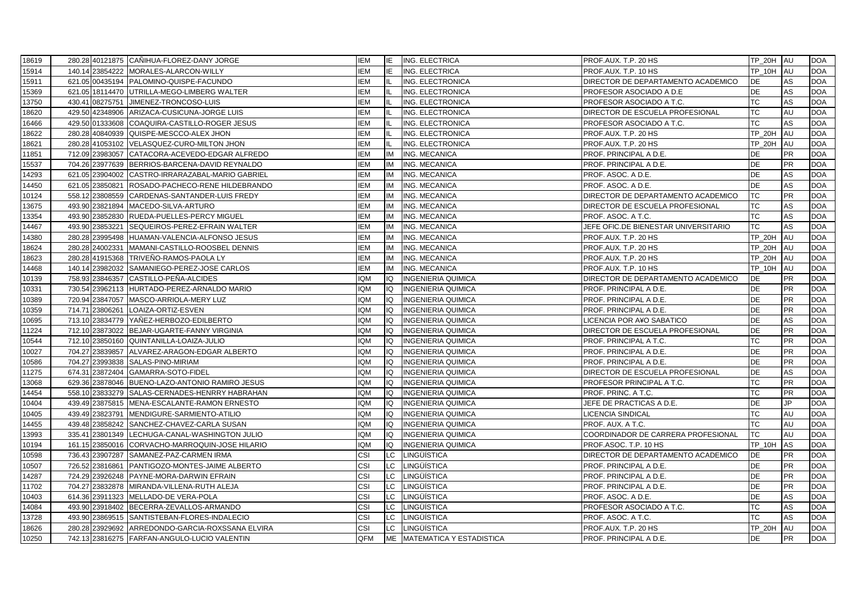| 18619 |                 | 280.28 40121875 CANIHUA-FLOREZ-DANY JORGE        | <b>IEM</b> | IE        | <b>ING. ELECTRICA</b>       | PROF.AUX. T.P. 20 HS                   | TP 20H AU     |           | <b>DOA</b> |
|-------|-----------------|--------------------------------------------------|------------|-----------|-----------------------------|----------------------------------------|---------------|-----------|------------|
| 15914 |                 | 140.14 23854222 MORALES-ALARCON-WILLY            | IEM        | IE        | ING. ELECTRICA              | PROF AUX T.P. 10 HS                    | <b>TP 10H</b> | <b>AU</b> | <b>DOA</b> |
| 15911 |                 | 621.05 00435194 PALOMINO-QUISPE-FACUNDO          | <b>IEM</b> |           | ING. ELECTRONICA            | DIRECTOR DE DEPARTAMENTO ACADEMICO     | DE            | AS        | <b>DOA</b> |
| 15369 |                 | 621.05 18114470 UTRILLA-MEGO-LIMBERG WALTER      | <b>IEM</b> |           | ING. ELECTRONICA            | PROFESOR ASOCIADO A D.E                | <b>DE</b>     | AS        | <b>DOA</b> |
| 13750 |                 | 430.41 08275751 JIMENEZ-TRONCOSO-LUIS            | <b>IEM</b> |           | ING. ELECTRONICA            | PROFESOR ASOCIADO A T.C.               | <b>TC</b>     | AS        | <b>DOA</b> |
| 18620 |                 | 429.50 42348906 ARIZACA-CUSICUNA-JORGE LUIS      | <b>IEM</b> |           | ING. ELECTRONICA            | DIRECTOR DE ESCUELA PROFESIONAL        | TC            | AU        | <b>DOA</b> |
| 16466 | 429.50 01333608 | COAQUIRA-CASTILLO-ROGER JESUS                    | <b>IEM</b> |           | ING. ELECTRONICA            | PROFESOR ASOCIADO A T.C.               | TC            | AS        | <b>DOA</b> |
| 18622 |                 | 280.28 40840939 QUISPE-MESCCO-ALEX JHON          | <b>IEM</b> |           | ING. ELECTRONICA            | PROF.AUX. T.P. 20 HS                   | <b>TP 20H</b> | AU        | <b>DOA</b> |
| 18621 |                 | 280.28 41053102 VELASQUEZ-CURO-MILTON JHON       | IEM        |           | ING. ELECTRONICA            | PROF.AUX. T.P. 20 HS                   | <b>TP 20H</b> | AU        | <b>DOA</b> |
| 11851 |                 | 712.09 23983057 CATACORA-ACEVEDO-EDGAR ALFREDO   | <b>IEM</b> | IM        | <b>ING. MECANICA</b>        | PROF. PRINCIPAL A D.E.                 | DE            | PR        | <b>DOA</b> |
| 15537 |                 | 704.26 23977639 BERRIOS-BARCENA-DAVID REYNALDO   | <b>IEM</b> | <b>IM</b> | ING. MECANICA               | PROF. PRINCIPAL A D.E.                 | <b>DE</b>     | <b>PR</b> | <b>DOA</b> |
| 14293 | 621.05 23904002 | CASTRO-IRRARAZABAL-MARIO GABRIEL                 | <b>IEM</b> | <b>IM</b> | <b>ING. MECANICA</b>        | PROF. ASOC. A D.E.                     | <b>DE</b>     | AS        | <b>DOA</b> |
| 14450 | 621.05 23850821 | ROSADO-PACHECO-RENE HILDEBRANDO                  | <b>IEM</b> | IM        | ING. MECANICA               | PROF. ASOC. A D.E.                     | <b>DE</b>     | AS        | <b>DOA</b> |
| 10124 | 558.12 23808559 | CARDENAS-SANTANDER-LUIS FREDY                    | IEM        | IM        | ING. MECANICA               | DIRECTOR DE DEPARTAMENTO ACADEMICO     | <b>TC</b>     | PR        | <b>DOA</b> |
| 13675 | 493.90 23821894 | MACEDO-SILVA-ARTURO                              | <b>IEM</b> | IM        | <b>ING. MECANICA</b>        | DIRECTOR DE ESCUELA PROFESIONAL        | <b>TC</b>     | AS        | <b>DOA</b> |
| 13354 | 493.90 23852830 | RUEDA-PUELLES-PERCY MIGUEL                       | <b>IEM</b> | <b>IM</b> | ING. MECANICA               | PROF. ASOC. A T.C.                     | TC            | AS        | <b>DOA</b> |
| 14467 | 493.90 23853221 | SEQUEIROS-PEREZ-EFRAIN WALTER                    | <b>IEM</b> | IM        | ING. MECANICA               | JEFE OFIC.DE BIENESTAR UNIVERSITARIO   | <b>TC</b>     | AS        | <b>DOA</b> |
| 14380 | 280.28 23995498 | HUAMAN-VALENCIA-ALFONSO JESUS                    | <b>IEM</b> | <b>IM</b> | ING. MECANICA               | PROF AUX. T.P. 20 HS                   | TP_20H        | AU        | <b>DOA</b> |
| 18624 | 280.28 24002331 | MAMANI-CASTILLO-ROOSBEL DENNIS                   | <b>IEM</b> | IM        | <b>ING. MECANICA</b>        | PROF.AUX. T.P. 20 HS                   | TP_20H        | AU        | <b>DOA</b> |
| 18623 |                 | 280.28 41915368 TRIVEÑO-RAMOS-PAOLA LY           | <b>IEM</b> | IM        | <b>ING. MECANICA</b>        | PROF.AUX. T.P. 20 HS                   | TP_20H AU     |           | <b>DOA</b> |
| 14468 | 140.14 23982032 | SAMANIEGO-PEREZ-JOSE CARLOS                      | <b>IEM</b> | <b>IM</b> | ING. MECANICA               | PROF.AUX. T.P. 10 HS                   | <b>TP 10H</b> | AU        | <b>DOA</b> |
| 10139 |                 | 758.93 23846357 CASTILLO-PEÑA-ALCIDES            | <b>IQM</b> | IQ        | <b>INGENIERIA QUIMICA</b>   | DIRECTOR DE DEPARTAMENTO ACADEMICO     | DE            | <b>PR</b> | <b>DOA</b> |
| 10331 |                 | 730.54 23962113 HURTADO-PEREZ-ARNALDO MARIO      | <b>IQM</b> | IQ        | <b>INGENIERIA QUIMICA</b>   | PROF. PRINCIPAL A D.E.                 | <b>DE</b>     | PR        | <b>DOA</b> |
| 10389 | 720.94 23847057 | MASCO-ARRIOLA-MERY LUZ                           | <b>IQM</b> | IO        | INGENIERIA QUIMICA          | PROF. PRINCIPAL A D.E.                 | <b>DE</b>     | <b>PR</b> | <b>DOA</b> |
| 10359 | 714.71 23806261 | LOAIZA-ORTIZ-ESVEN                               | <b>IQM</b> | IQ        | <b>INGENIERIA QUIMICA</b>   | PROF. PRINCIPAL A D.E.                 | DE            | PR        | <b>DOA</b> |
| 10695 |                 | 713.10 23834779 YAÑEZ-HERBOZO-EDILBERTO          | <b>IQM</b> | IQ        | <b>INGENIERIA QUIMICA</b>   | LICENCIA POR A¥O SABATICO              | <b>DE</b>     | AS        | <b>DOA</b> |
| 11224 |                 | 712.10 23873022 BEJAR-UGARTE-FANNY VIRGINIA      | <b>IQM</b> | IQ        | <b>INGENIERIA QUIMICA</b>   | DIRECTOR DE ESCUELA PROFESIONAL        | <b>DE</b>     | <b>PR</b> | <b>DOA</b> |
| 10544 |                 | 712.10 23850160 QUINTANILLA-LOAIZA-JULIO         | <b>IQM</b> | IQ        | <b>INGENIERIA QUIMICA</b>   | PROF. PRINCIPAL A T.C.                 | TC            | <b>PR</b> | <b>DOA</b> |
| 10027 |                 | 704.27 23839857 ALVAREZ-ARAGON-EDGAR ALBERTO     | <b>IQM</b> | IQ        | <b>INGENIERIA QUIMICA</b>   | PROF. PRINCIPAL A D.E.                 | DE            | <b>PR</b> | <b>DOA</b> |
| 10586 |                 | 704.27 23993838 SALAS-PINO-MIRIAM                | <b>IQM</b> | IO        | <b>INGENIERIA QUIMICA</b>   | PROF. PRINCIPAL A D.E.                 | DE            | <b>PR</b> | <b>DOA</b> |
| 11275 |                 | 674.31 23872404 GAMARRA-SOTO-FIDEL               | <b>IQM</b> | IQ        | <b>INGENIERIA QUIMICA</b>   | <b>DIRECTOR DE ESCUELA PROFESIONAL</b> | <b>DE</b>     | AS        | <b>DOA</b> |
| 13068 |                 | 629.36 23878046 BUENO-LAZO-ANTONIO RAMIRO JESUS  | <b>IQM</b> | IO        | <b>INGENIERIA QUIMICA</b>   | PROFESOR PRINCIPAL A T.C.              | TC            | <b>PR</b> | <b>DOA</b> |
| 14454 |                 | 558.10 23833279 SALAS-CERNADES-HENRRY HABRAHAN   | <b>IQM</b> | IO.       | <b>INGENIERIA QUIMICA</b>   | PROF. PRINC. A T.C.                    | TC            | <b>PR</b> | <b>DOA</b> |
| 10404 |                 | 439.49 23875815 MENA-ESCALANTE-RAMON ERNESTO     | <b>IQM</b> | IQ        | <b>INGENIERIA QUIMICA</b>   | JEFE DE PRACTICAS A D.E.               | <b>DE</b>     | JP.       | <b>DOA</b> |
| 10405 | 439.49 23823791 | MENDIGURE-SARMIENTO-ATILIO                       | <b>IQM</b> | IQ        | <b>INGENIERIA QUIMICA</b>   | <b>LICENCIA SINDICAL</b>               | <b>TC</b>     | AU        | <b>DOA</b> |
| 14455 | 439.48 23858242 | SANCHEZ-CHAVEZ-CARLA SUSAN                       | <b>IQM</b> | IQ        | <b>INGENIERIA QUIMICA</b>   | PROF. AUX. A T.C.                      | <b>TC</b>     | AU        | <b>DOA</b> |
| 13993 |                 | 335.41 23801349 LECHUGA-CANAL-WASHINGTON JULIO   | <b>IQM</b> | IQ        | <b>INGENIERIA QUIMICA</b>   | COORDINADOR DE CARRERA PROFESIONAL     | ТC            | AU        | <b>DOA</b> |
| 10194 |                 | 161.15 23850016 CORVACHO-MARROQUIN-JOSE HILARIO  | <b>IQM</b> | IQ        | <b>INGENIERIA QUIMICA</b>   | PROF ASOC. T.P. 10 HS                  | <b>TP 10H</b> | AS        | <b>DOA</b> |
| 10598 |                 | 736.43 23907287 SAMANEZ-PAZ-CARMEN IRMA          | CSI        | LC        | LINGÜÍSTICA                 | DIRECTOR DE DEPARTAMENTO ACADEMICO     | <b>DE</b>     | <b>PR</b> | <b>DOA</b> |
| 10507 | 726.52 23816861 | PANTIGOZO-MONTES-JAIME ALBERTO                   | CSI        | <b>LC</b> | LINGÜÍSTICA                 | PROF. PRINCIPAL A D.E.                 | <b>DE</b>     | <b>PR</b> | <b>DOA</b> |
| 14287 |                 | 724.29 23926248 PAYNE-MORA-DARWIN EFRAIN         | CSI        | LC.       | LINGÜÍSTICA                 | PROF. PRINCIPAL A D.E.                 | DE            | PR        | <b>DOA</b> |
| 11702 |                 | 704.27 23832878 MIRANDA-VILLENA-RUTH ALEJA       | CSI        | <b>LC</b> | <b>LINGÜÍSTICA</b>          | PROF. PRINCIPAL A D.E.                 | <b>DE</b>     | <b>PR</b> | <b>DOA</b> |
| 10403 |                 | 614.36 23911323 MELLADO-DE VERA-POLA             | CSI        | <b>LC</b> | <b>LINGÜÍSTICA</b>          | PROF. ASOC. A D.E.                     | <b>DE</b>     | AS        | <b>DOA</b> |
| 14084 |                 | 493.90 23918402 BECERRA-ZEVALLOS-ARMANDO         | CSI        | LC        | <b>LINGÜÍSTICA</b>          | PROFESOR ASOCIADO A T.C.               | <b>TC</b>     | AS        | <b>DOA</b> |
| 13728 |                 | 493.90 23869515 SANTISTEBAN-FLORES-INDALECIO     | CSI        | <b>LC</b> | LINGÜÍSTICA                 | PROF. ASOC. A T.C.                     | <b>TC</b>     | AS        | <b>DOA</b> |
| 18626 |                 | 280.28 23929692 ARREDONDO-GARCIA-ROXSSANA ELVIRA | CSI        | LC        | LINGÜÍSTICA                 | PROF.AUX. T.P. 20 HS                   | TP_20H        | AU        | <b>DOA</b> |
| 10250 |                 | 742.13 23816275 FARFAN-ANGULO-LUCIO VALENTIN     | QFM        |           | ME MATEMATICA Y ESTADISTICA | PROF. PRINCIPAL A D.E.                 | <b>DE</b>     | <b>PR</b> | <b>DOA</b> |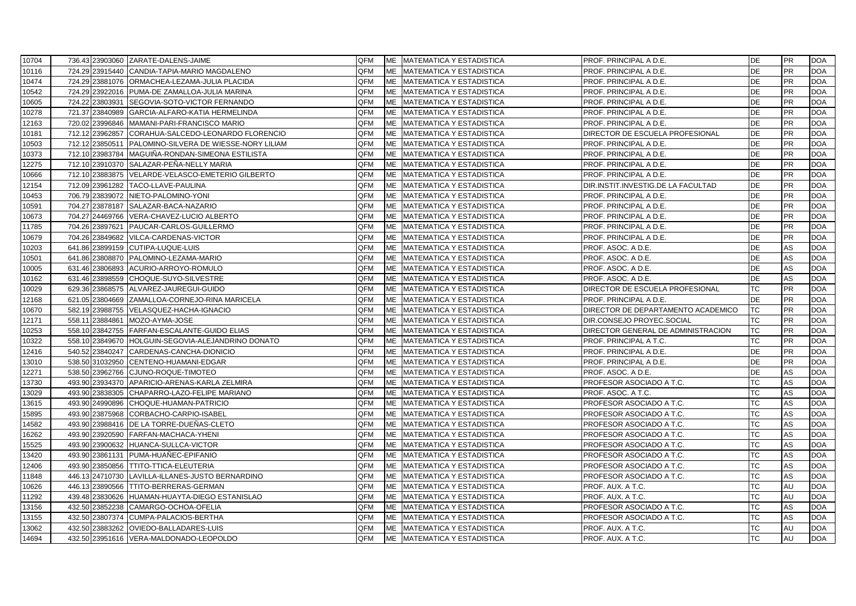| 10704 | 736.43 23903060 ZARATE-DALENS-JAIME                    | QFM |    | ME MATEMATICA Y ESTADISTICA         | PROF. PRINCIPAL A D.E.<br>DE                    | PR        | <b>DOA</b> |
|-------|--------------------------------------------------------|-----|----|-------------------------------------|-------------------------------------------------|-----------|------------|
| 10116 | 724.29 23915440 CANDIA-TAPIA-MARIO MAGDALENO           | QFM |    | ME MATEMATICA Y ESTADISTICA         | DE<br>PROF. PRINCIPAL A D.E.                    | <b>PR</b> | <b>DOA</b> |
| 10474 | 724.29 23881076 ORMACHEA-LEZAMA-JULIA PLACIDA          | QFM |    | ME MATEMATICA Y ESTADISTICA         | DE<br>PROF. PRINCIPAL A D.E.                    | PR        | <b>DOA</b> |
| 10542 | 724.29 23922016 PUMA-DE ZAMALLOA-JULIA MARINA          | QFM |    | ME MATEMATICA Y ESTADISTICA         | <b>DE</b><br>PROF. PRINCIPAL A D.E.             | <b>PR</b> | <b>DOA</b> |
| 10605 | 724.22 23803931 SEGOVIA-SOTO-VICTOR FERNANDO           | QFM |    | ME MATEMATICA Y ESTADISTICA         | DE<br>PROF. PRINCIPAL A D.E.                    | <b>PR</b> | <b>DOA</b> |
| 10278 | 721.37 23840989 GARCIA-ALFARO-KATIA HERMELINDA         | QFM |    | ME MATEMATICA Y ESTADISTICA         | <b>DE</b><br>PROF. PRINCIPAL A D.E.             | <b>PR</b> | <b>DOA</b> |
| 12163 | 720.02 23996846 MAMANI-PARI-FRANCISCO MARIO            | QFM |    | ME MATEMATICA Y ESTADISTICA         | <b>DE</b><br>PROF. PRINCIPAL A D.E.             | <b>PR</b> | <b>DOA</b> |
| 10181 | 712.12 23962857 CORAHUA-SALCEDO-LEONARDO FLORENCIO     | QFM |    | ME MATEMATICA Y ESTADISTICA         | DE<br>DIRECTOR DE ESCUELA PROFESIONAL           | <b>PR</b> | <b>DOA</b> |
| 10503 | 712.12 23850511 PALOMINO-SILVERA DE WIESSE-NORY LILIAM | QFM | ME | MATEMATICA Y ESTADISTICA            | DE<br>PROF. PRINCIPAL A D.E.                    | <b>PR</b> | <b>DOA</b> |
| 10373 | 712.10 23983784 MAGUIÑA-RONDAN-SIMEONA ESTILISTA       | QFM |    | ME MATEMATICA Y ESTADISTICA         | DE<br>PROF. PRINCIPAL A D.E.                    | <b>PR</b> | <b>DOA</b> |
| 12275 | 712.10 23910370 SALAZAR-PEÑA-NELLY MARIA               | QFM |    | ME MATEMATICA Y ESTADISTICA         | <b>DE</b><br>PROF. PRINCIPAL A D.E.             | <b>PR</b> | <b>DOA</b> |
| 10666 | 712.10 23883875 VELARDE-VELASCO-EMETERIO GILBERTO      | QFM |    | ME MATEMATICA Y ESTADISTICA         | <b>DE</b><br>PROF. PRINCIPAL A D.E.             | <b>PR</b> | <b>DOA</b> |
| 12154 | 712.09 23961282 TACO-LLAVE-PAULINA                     | QFM |    | ME MATEMATICA Y ESTADISTICA         | DE<br>DIR.INSTIT.INVESTIG.DE LA FACULTAD        | <b>PR</b> | <b>DOA</b> |
| 10453 | 706.79 23839072 NIETO-PALOMINO-YONI                    | QFM |    | ME MATEMATICA Y ESTADISTICA         | DE<br>PROF. PRINCIPAL A D.E.                    | <b>PR</b> | <b>DOA</b> |
| 10591 | 704.27 23878187 SALAZAR-BACA-NAZARIO                   | QFM |    | <b>IME</b> MATEMATICA Y ESTADISTICA | <b>DE</b><br>PROF. PRINCIPAL A D.E.             | PR        | <b>DOA</b> |
| 10673 | 704.27 24469766 VERA-CHAVEZ-LUCIO ALBERTO              | QFM |    | ME MATEMATICA Y ESTADISTICA         | <b>DE</b><br>PROF. PRINCIPAL A D.E.             | <b>PR</b> | <b>DOA</b> |
| 11785 | 704.26 23897621 PAUCAR-CARLOS-GUILLERMO                | QFM |    | ME MATEMATICA Y ESTADISTICA         | <b>DE</b><br>PROF. PRINCIPAL A D.E.             | <b>PR</b> | <b>DOA</b> |
| 10679 | 704.26 23849682 VILCA-CARDENAS-VICTOR                  | QFM |    | ME MATEMATICA Y ESTADISTICA         | <b>DE</b><br>PROF. PRINCIPAL A D.E.             | <b>PR</b> | <b>DOA</b> |
| 10203 | 641.86 23899159 CUTIPA-LUQUE-LUIS                      | QFM | ME | <b>MATEMATICA Y ESTADISTICA</b>     | <b>DE</b><br>PROF. ASOC. A D.E.                 | AS        | <b>DOA</b> |
| 10501 | 641.86 23808870 PALOMINO-LEZAMA-MARIO                  | QFM |    | ME MATEMATICA Y ESTADISTICA         | DE<br>PROF. ASOC. A D.E.                        | AS        | <b>DOA</b> |
| 10005 | 631.46 23806893 ACURIO-ARROYO-ROMULO                   | QFM |    | ME MATEMATICA Y ESTADISTICA         | DE<br>PROF. ASOC. A D.E.                        | <b>AS</b> | <b>DOA</b> |
| 10162 | 631.46 23898559 CHOQUE-SUYO-SILVESTRE                  | QFM |    | ME MATEMATICA Y ESTADISTICA         | <b>DE</b><br>PROF. ASOC. A D.E.                 | AS        | <b>DOA</b> |
| 10029 | 629.36 23868575 ALVAREZ-JAUREGUI-GUIDO                 | QFM |    | ME MATEMATICA Y ESTADISTICA         | DIRECTOR DE ESCUELA PROFESIONAL<br><b>TC</b>    | <b>PR</b> | <b>DOA</b> |
| 12168 | 621.05 23804669 ZAMALLOA-CORNEJO-RINA MARICELA         | QFM |    | ME MATEMATICA Y ESTADISTICA         | <b>DE</b><br>PROF. PRINCIPAL A D.E.             | <b>PR</b> | <b>DOA</b> |
| 10670 | 582.19 23988755 VELASQUEZ-HACHA-IGNACIO                | QFM |    | ME MATEMATICA Y ESTADISTICA         | <b>TC</b><br>DIRECTOR DE DEPARTAMENTO ACADEMICO | <b>PR</b> | <b>DOA</b> |
| 12171 | 558.11 23884861 MOZO-AYMA-JOSE                         | QFM |    | ME MATEMATICA Y ESTADISTICA         | <b>TC</b><br>DIR.CONSEJO PROYEC.SOCIAL          | <b>PR</b> | <b>DOA</b> |
| 10253 | 558.10 23842755 FARFAN-ESCALANTE-GUIDO ELIAS           | QFM |    | ME MATEMATICA Y ESTADISTICA         | <b>TC</b><br>DIRECTOR GENERAL DE ADMINISTRACION | <b>PR</b> | <b>DOA</b> |
| 10322 | 558.10 23849670 HOLGUIN-SEGOVIA-ALEJANDRINO DONATO     | QFM |    | ME MATEMATICA Y ESTADISTICA         | <b>TC</b><br>PROF. PRINCIPAL A T.C.             | <b>PR</b> | <b>DOA</b> |
| 12416 | 540.52 23840247 CARDENAS-CANCHA-DIONICIO               | QFM |    | ME MATEMATICA Y ESTADISTICA         | PROF. PRINCIPAL A D.E.<br><b>DE</b>             | <b>PR</b> | <b>DOA</b> |
| 13010 | 538.50 31032950 CENTENO-HUAMANI-EDGAR                  | QFM |    | ME MATEMATICA Y ESTADISTICA         | DE<br>PROF. PRINCIPAL A D.E.                    | <b>PR</b> | <b>DOA</b> |
| 12271 | 538.50 23962766 CJUNO-ROQUE-TIMOTEO                    | QFM |    | ME MATEMATICA Y ESTADISTICA         | DE<br>PROF. ASOC. A D.E.                        | AS        | <b>DOA</b> |
| 13730 | 493.90 23934370 APARICIO-ARENAS-KARLA ZELMIRA          | QFM |    | ME MATEMATICA Y ESTADISTICA         | PROFESOR ASOCIADO A T.C.<br><b>TC</b>           | AS        | <b>DOA</b> |
| 13029 | 493.90 23838305 CHAPARRO-LAZO-FELIPE MARIANO           | QFM |    | ME MATEMATICA Y ESTADISTICA         | <b>TC</b><br>PROF. ASOC. A T.C.                 | <b>AS</b> | <b>DOA</b> |
| 13615 | 493.90 24990896 CHOQUE-HUAMAN-PATRICIO                 | QFM |    | ME MATEMATICA Y ESTADISTICA         | <b>TC</b><br>PROFESOR ASOCIADO A T.C.           | AS        | <b>DOA</b> |
| 15895 | 493.90 23875968 CORBACHO-CARPIO-ISABEL                 | QFM |    | ME MATEMATICA Y ESTADISTICA         | <b>TC</b><br>PROFESOR ASOCIADO A T.C.           | AS        | <b>DOA</b> |
| 14582 | DE LA TORRE-DUEÑAS-CLETO<br>493.90 23988416            | QFM |    | ME MATEMATICA Y ESTADISTICA         | <b>TC</b><br>PROFESOR ASOCIADO A T.C.           | AS        | <b>DOA</b> |
| 16262 | 493.90 23920590 FARFAN-MACHACA-YHENI                   | QFM |    | ME MATEMATICA Y ESTADISTICA         | <b>TC</b><br>PROFESOR ASOCIADO A T.C.           | AS        | <b>DOA</b> |
| 15525 | 493.90 23900632 HUANCA-SULLCA-VICTOR                   | QFM |    | ME MATEMATICA Y ESTADISTICA         | <b>TC</b><br>PROFESOR ASOCIADO A T.C.           | AS        | <b>DOA</b> |
| 13420 | 493.90 23861131 PUMA-HUAÑEC-EPIFANIO                   | QFM |    | ME MATEMATICA Y ESTADISTICA         | <b>TC</b><br>PROFESOR ASOCIADO A T.C.           | AS        | <b>DOA</b> |
| 12406 | 493.90 23850856 TTITO-TTICA-ELEUTERIA                  | QFM |    | ME MATEMATICA Y ESTADISTICA         | <b>TC</b><br>PROFESOR ASOCIADO A T.C.           | AS        | <b>DOA</b> |
| 11848 | 446.13 24710730 LAVILLA-ILLANES-JUSTO BERNARDINO       | QFM |    | ME MATEMATICA Y ESTADISTICA         | <b>TC</b><br>PROFESOR ASOCIADO A T.C.           | AS        | <b>DOA</b> |
| 10626 | 446.13 23890566 TTITO-BERRERAS-GERMAN                  | QFM |    | ME MATEMATICA Y ESTADISTICA         | <b>TC</b><br>PROF. AUX. A T.C.                  | AU        | <b>DOA</b> |
| 11292 | 439.48 23830626 HUAMAN-HUAYTA-DIEGO ESTANISLAO         | QFM |    | ME MATEMATICA Y ESTADISTICA         | <b>TC</b><br>PROF. AUX. A T.C.                  | AU        | <b>DOA</b> |
| 13156 | 432.50 23852238 CAMARGO-OCHOA-OFELIA                   | QFM |    | ME MATEMATICA Y ESTADISTICA         | <b>TC</b><br>PROFESOR ASOCIADO A T.C.           | AS        | <b>DOA</b> |
| 13155 | 432.50 23807374 CUMPA-PALACIOS-BERTHA                  | QFM |    | ME MATEMATICA Y ESTADISTICA         | <b>TC</b><br>PROFESOR ASOCIADO A T.C.           | AS        | <b>DOA</b> |
| 13062 | 432.50 23883262 OVIEDO-BALLADARES-LUIS                 | QFM | ME | MATEMATICA Y ESTADISTICA            | PROF. AUX. A T.C.<br><b>TC</b>                  | AU        | <b>DOA</b> |
| 14694 | 432.50 23951616 VERA-MALDONADO-LEOPOLDO                | QFM |    | ME MATEMATICA Y ESTADISTICA         | <b>TC</b><br>PROF. AUX. A T.C.                  | AU        | <b>DOA</b> |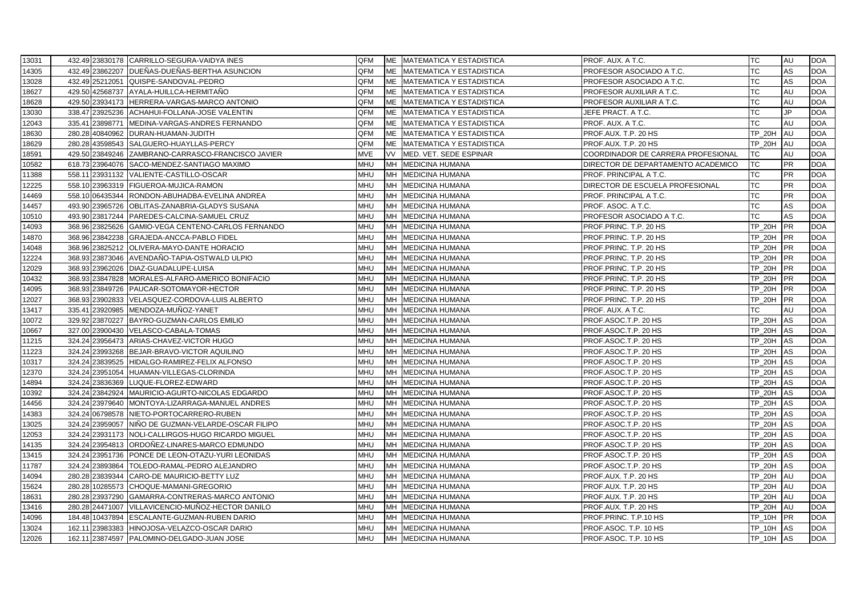| 13031 | 432.49 23830178 CARRILLO-SEGURA-VAIDYA INES         | QFM |           | ME MATEMATICA Y ESTADISTICA | PROF. AUX. A T.C.                  | TC                   | AU         | <b>DOA</b> |
|-------|-----------------------------------------------------|-----|-----------|-----------------------------|------------------------------------|----------------------|------------|------------|
| 14305 | 432.49 23862207 DUEÑAS-DUEÑAS-BERTHA ASUNCION       | QFM |           | ME MATEMATICA Y ESTADISTICA | PROFESOR ASOCIADO A T.C.           | <b>TC</b>            | AS         | <b>DOA</b> |
| 13028 | 432.49 25212051 QUISPE-SANDOVAL-PEDRO               | QFM |           | ME MATEMATICA Y ESTADISTICA | PROFESOR ASOCIADO A T.C.           | ТC                   | AS         | <b>DOA</b> |
| 18627 | 429.50 42568737 AYALA-HUILLCA-HERMITAÑO             | QFM |           | ME MATEMATICA Y ESTADISTICA | PROFESOR AUXILIAR A T.C.           | <b>TC</b>            | AU         | <b>DOA</b> |
| 18628 | 429.50 23934173 HERRERA-VARGAS-MARCO ANTONIO        | QFM |           | ME MATEMATICA Y ESTADISTICA | PROFESOR AUXILIAR A T.C.           | <b>TC</b>            | AU         | <b>DOA</b> |
| 13030 | 338.47 23925236 ACHAHUI-FOLLANA-JOSE VALENTIN       | QFM |           | ME MATEMATICA Y ESTADISTICA | JEFE PRACT. A T.C.                 | TC                   | JP         | <b>DOA</b> |
| 12043 | 335.41 23898771 MEDINA-VARGAS-ANDRES FERNANDO       | QFM |           | ME MATEMATICA Y ESTADISTICA | PROF. AUX. A T.C.                  | TC                   | AU         | <b>DOA</b> |
| 18630 | 280.28 40840962 DURAN-HUAMAN-JUDITH                 | QFM |           | ME MATEMATICA Y ESTADISTICA | PROF.AUX. T.P. 20 HS               | <b>TP 20H</b>        | AU         | <b>DOA</b> |
| 18629 | 280.28 43598543 SALGUERO-HUAYLLAS-PERCY             | QFM |           | ME MATEMATICA Y ESTADISTICA | PROF.AUX. T.P. 20 HS               | <b>TP 20H</b>        | <b>AU</b>  | <b>DOA</b> |
| 18591 | 429.50 23849246 ZAMBRANO-CARRASCO-FRANCISCO JAVIER  | MVE |           | VV MED. VET. SEDE ESPINAR   | COORDINADOR DE CARRERA PROFESIONAL | TC                   | AU         | <b>DOA</b> |
| 10582 | 618.73 23964076 SACO-MENDEZ-SANTIAGO MAXIMO         | MHU |           | MH MEDICINA HUMANA          | DIRECTOR DE DEPARTAMENTO ACADEMICO | <b>TC</b>            | <b>PR</b>  | <b>DOA</b> |
| 11388 | 558.11 23931132 VALIENTE-CASTILLO-OSCAR             | MHU |           | MH MEDICINA HUMANA          | PROF. PRINCIPAL A T.C.             | <b>TC</b>            | <b>PR</b>  | <b>DOA</b> |
| 12225 | 558.10 23963319 FIGUEROA-MUJICA-RAMON               | MHU |           | MH MEDICINA HUMANA          | DIRECTOR DE ESCUELA PROFESIONAL    | <b>TC</b>            | PR         | <b>DOA</b> |
| 14469 | 558.10 06435344 RONDON-ABUHADBA-EVELINA ANDREA      | MHU |           | MH MEDICINA HUMANA          | PROF. PRINCIPAL A T.C.             | <b>TC</b>            | <b>PR</b>  | <b>DOA</b> |
| 14457 | 493.90 23965726 OBLITAS-ZANABRIA-GLADYS SUSANA      | MHU |           | MH MEDICINA HUMANA          | PROF. ASOC. A T.C.                 | ТC                   | AS         | <b>DOA</b> |
| 10510 | 493.90 23817244 PAREDES-CALCINA-SAMUEL CRUZ         | MHU |           | MH MEDICINA HUMANA          | PROFESOR ASOCIADO A T.C.           | <b>TC</b>            | AS         | <b>DOA</b> |
| 14093 | 368.96 23825626 GAMIO-VEGA CENTENO-CARLOS FERNANDO  | MHU |           | MH MEDICINA HUMANA          | PROF.PRINC. T.P. 20 HS             | TP_20H               | <b>IPR</b> | <b>DOA</b> |
| 14870 | 368.96 23842238 GRAJEDA-ANCCA-PABLO FIDEL           | MHU |           | MH MEDICINA HUMANA          | PROF.PRINC. T.P. 20 HS             | <b>TP_20H</b>        | <b>IPR</b> | <b>DOA</b> |
| 14048 | 368.96 23825212 OLIVERA-MAYO-DANTE HORACIO          | MHU |           | MH MEDICINA HUMANA          | PROF.PRINC. T.P. 20 HS             | <b>TP_20H</b>        | <b>PR</b>  | <b>DOA</b> |
| 12224 | 368.93 23873046 AVENDAÑO-TAPIA-OSTWALD ULPIO        | MHU |           | MH MEDICINA HUMANA          | PROF.PRINC. T.P. 20 HS             | <b>TP_20H</b>        | <b>IPR</b> | <b>DOA</b> |
| 12029 | 368.93 23962026 DIAZ-GUADALUPE-LUISA                | MHU |           | MH MEDICINA HUMANA          | PROF.PRINC. T.P. 20 HS             | <b>TP 20H</b>        | <b>PR</b>  | <b>DOA</b> |
| 10432 | 368.93 23847828 MORALES-ALFARO-AMERICO BONIFACIO    | MHU |           | MH MEDICINA HUMANA          | PROF.PRINC. T.P. 20 HS             | <b>TP_20H</b>        | <b>PR</b>  | <b>DOA</b> |
| 14095 | 368.93 23849726 PAUCAR-SOTOMAYOR-HECTOR             | MHU |           | MH MEDICINA HUMANA          | PROF.PRINC. T.P. 20 HS             | <b>TP_20H</b>        | <b>PR</b>  | <b>DOA</b> |
| 12027 | 368.93 23902833 VELASQUEZ-CORDOVA-LUIS ALBERTO      | MHU | <b>MH</b> | <b>MEDICINA HUMANA</b>      | PROF.PRINC. T.P. 20 HS             | <b>TP 20H</b>        | <b>IPR</b> | <b>DOA</b> |
| 13417 | 335.41 23920985 MENDOZA-MUÑOZ-YANET                 | MHU |           | MH MEDICINA HUMANA          | PROF. AUX. A T.C.                  | ТC                   | AU         | <b>DOA</b> |
| 10072 | 329.92 23870227 BAYRO-GUZMAN-CARLOS EMILIO          | MHU |           | MH MEDICINA HUMANA          | PROF.ASOC.T.P. 20 HS               | <b>TP 20H</b>        | AS         | <b>DOA</b> |
| 10667 | 327.00 23900430 VELASCO-CABALA-TOMAS                | MHU |           | MH MEDICINA HUMANA          | PROF.ASOC.T.P. 20 HS               | <b>TP_20H</b>        | AS         | <b>DOA</b> |
| 11215 | 324.24 23956473 ARIAS-CHAVEZ-VICTOR HUGO            | MHU |           | MH MEDICINA HUMANA          | PROF.ASOC.T.P. 20 HS               | TP_20H               | AS         | <b>DOA</b> |
| 11223 | 324.24 23993268 BEJAR-BRAVO-VICTOR AQUILINO         | MHU |           | MH MEDICINA HUMANA          | PROF.ASOC.T.P. 20 HS               | <b>TP_20H</b>        | AS         | <b>DOA</b> |
| 10317 | 324.24 23839525 HIDALGO-RAMIREZ-FELIX ALFONSO       | MHU |           | MH MEDICINA HUMANA          | PROF.ASOC.T.P. 20 HS               | <b>TP_20H</b>        | AS         | <b>DOA</b> |
| 12370 | 324.24 23951054 HUAMAN-VILLEGAS-CLORINDA            | MHU |           | MH MEDICINA HUMANA          | PROF ASOC.T.P. 20 HS               | <b>TP_20H</b>        | AS         | <b>DOA</b> |
| 14894 | 324.24 23836369 LUQUE-FLOREZ-EDWARD                 | MHU |           | MH MEDICINA HUMANA          | PROF.ASOC.T.P. 20 HS               | TP_20H               | AS         | <b>DOA</b> |
| 10392 | 324.24 23842924   MAURICIO-AGURTO-NICOLAS EDGARDO   | MHU |           | MH MEDICINA HUMANA          | PROF.ASOC.T.P. 20 HS               | TP_20H               | AS         | <b>DOA</b> |
| 14456 | 324.24 23979640 MONTOYA-LIZARRAGA-MANUEL ANDRES     | MHU |           | MH MEDICINA HUMANA          | PROF.ASOC.T.P. 20 HS               | <b>TP_20H</b>        | AS         | <b>DOA</b> |
| 14383 | 324.24 06798578 NIETO-PORTOCARRERO-RUBEN            | MHU |           | MH MEDICINA HUMANA          | PROF.ASOC.T.P. 20 HS               | <b>TP 20H</b>        | AS         | <b>DOA</b> |
| 13025 | 324.24 23959057 NIÑO DE GUZMAN-VELARDE-OSCAR FILIPO | MHU |           | MH MEDICINA HUMANA          | PROF.ASOC.T.P. 20 HS               | <b>TP_20H</b>        | AS         | <b>DOA</b> |
| 12053 | 324.24 23931173 NOLI-CALLIRGOS-HUGO RICARDO MIGUEL  | MHU |           | MH MEDICINA HUMANA          | PROF ASOC.T.P. 20 HS               | <b>TP_20H</b>        | AS         | <b>DOA</b> |
| 14135 | 324.24 23954813 ORDOÑEZ-LINARES-MARCO EDMUNDO       | MHU |           | MH MEDICINA HUMANA          | PROF ASOC T.P. 20 HS               | <b>TP 20H</b>        | AS         | <b>DOA</b> |
| 13415 | 324.24 23951736 PONCE DE LEON-OTAZU-YURI LEONIDAS   | MHU |           | MH MEDICINA HUMANA          | PROF.ASOC.T.P. 20 HS               | TP_20H               | AS         | <b>DOA</b> |
| 11787 | 324.24 23893864 TOLEDO-RAMAL-PEDRO ALEJANDRO        | MHU |           | MH MEDICINA HUMANA          | PROF.ASOC.T.P. 20 HS               | <b>TP_20H</b>        | AS         | <b>DOA</b> |
| 14094 | 280.28 23839344 CARO-DE MAURICIO-BETTY LUZ          | MHU |           | MH MEDICINA HUMANA          | PROF AUX. T.P. 20 HS               | <b>TP 20H</b>        | <b>AU</b>  | <b>DOA</b> |
| 15624 | 280.28 10285573 CHOQUE-MAMANI-GREGORIO              | MHU |           | MH MEDICINA HUMANA          | PROF.AUX. T.P. 20 HS               | <b>TP_20H</b>        | AU         | <b>DOA</b> |
| 18631 | 280.28 23937290 GAMARRA-CONTRERAS-MARCO ANTONIO     | MHU |           | MH MEDICINA HUMANA          | PROF.AUX. T.P. 20 HS               | <b>TP 20H</b>        | AU         | <b>DOA</b> |
| 13416 | 280.28 24471007 VILLAVICENCIO-MUÑOZ-HECTOR DANILO   | MHU |           | MH MEDICINA HUMANA          | PROF.AUX. T.P. 20 HS               | <b>TP_20H</b>        | AU         | <b>DOA</b> |
| 14096 | 184.48 10437894 ESCALANTE-GUZMAN-RUBEN DARIO        | MHU |           | MH MEDICINA HUMANA          | PROF PRINC. T.P.10 HS              | <b>TP 10H</b>        | <b>IPR</b> | <b>DOA</b> |
| 13024 | 162.11 23983383 HINOJOSA-VELAZCO-OSCAR DARIO        | MHU | MH        | <b>MEDICINA HUMANA</b>      | PROF ASOC. T.P. 10 HS              | <b>TP 10H</b>        | AS         | <b>DOA</b> |
| 12026 | 162.11 23874597 PALOMINO-DELGADO-JUAN JOSE          | MHU |           | MH MEDICINA HUMANA          | PROF.ASOC. T.P. 10 HS              | $TP_1$ <sub>OH</sub> | AS         | <b>DOA</b> |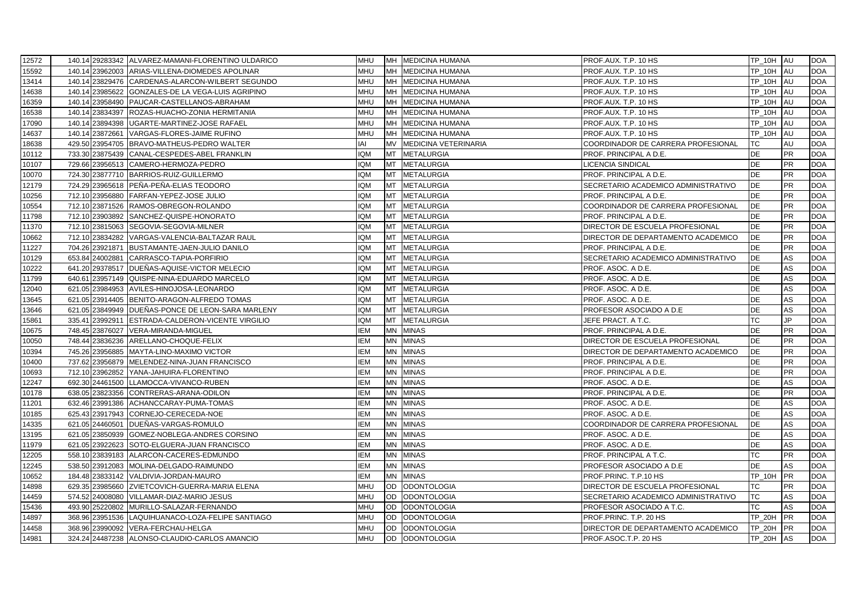| 12572 |                 | 140.14 29283342 ALVAREZ-MAMANI-FLORENTINO ULDARICO | <b>MHU</b> |           | MH MEDICINA HUMANA          | PROF.AUX. T.P. 10 HS                | TP_10H AU     |            | <b>DOA</b> |
|-------|-----------------|----------------------------------------------------|------------|-----------|-----------------------------|-------------------------------------|---------------|------------|------------|
| 15592 |                 | 140.14 23962003 ARIAS-VILLENA-DIOMEDES APOLINAR    | <b>MHU</b> | <b>MH</b> | <b>MEDICINA HUMANA</b>      | PROF.AUX. T.P. 10 HS                | <b>TP 10H</b> | AU         | <b>DOA</b> |
| 13414 |                 | 140.14 23829476 CARDENAS-ALARCON-WILBERT SEGUNDO   | MHU        |           | MH MEDICINA HUMANA          | PROF.AUX. T.P. 10 HS                | TP_10H        | <b>IAU</b> | <b>DOA</b> |
| 14638 |                 | 140.14 23985622 GONZALES-DE LA VEGA-LUIS AGRIPINO  | MHU        |           | MH MEDICINA HUMANA          | PROF.AUX. T.P. 10 HS                | <b>TP 10H</b> | AU         | <b>DOA</b> |
| 16359 |                 | 140.14 23958490 PAUCAR-CASTELLANOS-ABRAHAM         | <b>MHU</b> |           | MH MEDICINA HUMANA          | PROF.AUX. T.P. 10 HS                | TP_10H        | AU         | <b>DOA</b> |
| 16538 | 140.14 23834397 | ROZAS-HUACHO-ZONIA HERMITANIA                      | <b>MHU</b> |           | MH MEDICINA HUMANA          | PROF.AUX. T.P. 10 HS                | TP_10H        | AU         | <b>DOA</b> |
| 17090 |                 | 140.14 23894398 UGARTE-MARTINEZ-JOSE RAFAEL        | <b>MHU</b> | <b>MH</b> | <b>MEDICINA HUMANA</b>      | PROF.AUX. T.P. 10 HS                | TP_10H        | AU         | <b>DOA</b> |
| 14637 |                 | 140.14 23872661 VARGAS-FLORES-JAIME RUFINO         | MHU        |           | MH MEDICINA HUMANA          | PROF.AUX. T.P. 10 HS                | <b>TP 10H</b> | AU         | <b>DOA</b> |
| 18638 |                 | 429.50 23954705 BRAVO-MATHEUS-PEDRO WALTER         | IAI        | <b>MV</b> | <b>MEDICINA VETERINARIA</b> | COORDINADOR DE CARRERA PROFESIONAL  | <b>TC</b>     | AU         | <b>DOA</b> |
| 10112 |                 | 733.30 23875439 CANAL-CESPEDES-ABEL FRANKLIN       | <b>IQM</b> | MT        | <b>METALURGIA</b>           | PROF. PRINCIPAL A D.E.              | DE            | <b>PR</b>  | <b>DOA</b> |
| 10107 |                 | 729.66 23956513 CAMERO-HERMOZA-PEDRO               | <b>IQM</b> | <b>MT</b> | <b>METALURGIA</b>           | LICENCIA SINDICAL                   | <b>DE</b>     | <b>PR</b>  | <b>DOA</b> |
| 10070 |                 | 724.30 23877710 BARRIOS-RUIZ-GUILLERMO             | <b>IQM</b> | <b>MT</b> | <b>METALURGIA</b>           | PROF. PRINCIPAL A D.E.              | <b>DE</b>     | <b>PR</b>  | <b>DOA</b> |
| 12179 |                 | 724.29 23965618 PEÑA-PEÑA-ELIAS TEODORO            | <b>IQM</b> | <b>MT</b> | <b>METALURGIA</b>           | SECRETARIO ACADEMICO ADMINISTRATIVO | <b>DE</b>     | PR         | <b>DOA</b> |
| 10256 |                 | 712.10 23956880 FARFAN-YEPEZ-JOSE JULIO            | IQM        | <b>MT</b> | <b>METALURGIA</b>           | PROF. PRINCIPAL A D.E.              | DE            | <b>PR</b>  | <b>DOA</b> |
| 10554 |                 | 712.10 23871526 RAMOS-OBREGON-ROLANDO              | IQM        | MT        | <b>METALURGIA</b>           | COORDINADOR DE CARRERA PROFESIONAL  | DE            | PR         | <b>DOA</b> |
| 11798 |                 | 712.10 23903892 SANCHEZ-QUISPE-HONORATO            | <b>IQM</b> | <b>MT</b> | <b>METALURGIA</b>           | PROF. PRINCIPAL A D.E.              | <b>DE</b>     | <b>PR</b>  | <b>DOA</b> |
| 11370 |                 | 712.10 23815063 SEGOVIA-SEGOVIA-MILNER             | IQM        | <b>MT</b> | <b>METALURGIA</b>           | DIRECTOR DE ESCUELA PROFESIONAL     | DE            | PR         | <b>DOA</b> |
| 10662 |                 | 712.10 23834282 VARGAS-VALENCIA-BALTAZAR RAUL      | IQM        | <b>MT</b> | <b>METALURGIA</b>           | DIRECTOR DE DEPARTAMENTO ACADEMICO  | DE            | PR         | <b>DOA</b> |
| 11227 | 704.26 23921871 | BUSTAMANTE-JAEN-JULIO DANILO                       | IQM        | MT        | <b>METALURGIA</b>           | PROF. PRINCIPAL A D.E.              | DE            | <b>PR</b>  | <b>DOA</b> |
| 10129 | 653.84 24002881 | CARRASCO-TAPIA-PORFIRIO                            | IQM        | <b>MT</b> | <b>METALURGIA</b>           | SECRETARIO ACADEMICO ADMINISTRATIVO | DE            | AS         | <b>DOA</b> |
| 10222 | 641.20 29378517 | DUEÑAS-AQUISE-VICTOR MELECIO                       | <b>IQM</b> | <b>MT</b> | <b>METALURGIA</b>           | PROF. ASOC. A D.E.                  | <b>DE</b>     | AS         | <b>DOA</b> |
| 11799 |                 | 640.61 23957149 QUISPE-NINA-EDUARDO MARCELO        | IQM        | MT        | <b>METALURGIA</b>           | PROF. ASOC. A D.E.                  | <b>DE</b>     | AS         | <b>DOA</b> |
| 12040 |                 | 621.05 23984953 AVILES-HINOJOSA-LEONARDO           | IQM        | MT        | <b>METALURGIA</b>           | PROF. ASOC. A D.E.                  | DE            | AS         | <b>DOA</b> |
| 13645 |                 | 621.05 23914405 BENITO-ARAGON-ALFREDO TOMAS        | <b>IQM</b> | <b>MT</b> | <b>METALURGIA</b>           | PROF. ASOC. A D.E.                  | <b>DE</b>     | AS         | <b>DOA</b> |
| 13646 |                 | 621.05 23849949 DUENAS-PONCE DE LEON-SARA MARLENY  | <b>IQM</b> | <b>MT</b> | <b>METALURGIA</b>           | PROFESOR ASOCIADO A D.E             | DE            | AS         | <b>DOA</b> |
| 15861 |                 | 335.41 23992911 ESTRADA-CALDERON-VICENTE VIRGILIO  | IQM        | <b>MT</b> | <b>METALURGIA</b>           | JEFE PRACT. A T.C.                  | <b>TC</b>     | JP         | <b>DOA</b> |
| 10675 |                 | 748.45 23876027 VERA-MIRANDA-MIGUEL                | <b>IEM</b> | <b>MN</b> | <b>MINAS</b>                | PROF. PRINCIPAL A D.E.              | <b>DE</b>     | <b>PR</b>  | <b>DOA</b> |
| 10050 |                 | 748.44 23836236 ARELLANO-CHOQUE-FELIX              | <b>IEM</b> |           | MN MINAS                    | DIRECTOR DE ESCUELA PROFESIONAL     | <b>DE</b>     | <b>PR</b>  | <b>DOA</b> |
| 10394 |                 | 745.26 23956885 MAYTA-LINO-MAXIMO VICTOR           | <b>IEM</b> | <b>MN</b> | <b>MINAS</b>                | DIRECTOR DE DEPARTAMENTO ACADEMICO  | DE            | PR         | <b>DOA</b> |
| 10400 |                 | 737.62 23956879 MELENDEZ-NINA-JUAN FRANCISCO       | <b>IEM</b> | <b>MN</b> | <b>MINAS</b>                | PROF. PRINCIPAL A D.E.              | DE            | <b>PR</b>  | <b>DOA</b> |
| 10693 |                 | 712.10 23962852 YANA-JAHUIRA-FLORENTINO            | IEM        | <b>MN</b> | <b>MINAS</b>                | PROF. PRINCIPAL A D.E.              | DE            | PR         | <b>DOA</b> |
| 12247 |                 | 692.30 24461500 LLAMOCCA-VIVANCO-RUBEN             | IEM        | <b>MN</b> | <b>MINAS</b>                | PROF. ASOC. A D.E.                  | DE            | AS         | <b>DOA</b> |
| 10178 |                 | 638.05 23823356 CONTRERAS-ARANA-ODILON             | <b>IEM</b> | <b>MN</b> | <b>MINAS</b>                | PROF. PRINCIPAL A D.E.              | <b>DE</b>     | <b>PR</b>  | <b>DOA</b> |
| 11201 |                 | 632.46 23991386 ACHANCCARAY-PUMA-TOMAS             | IEM        | <b>MN</b> | <b>MINAS</b>                | PROF. ASOC. A D.E.                  | DE            | AS         | <b>DOA</b> |
| 10185 |                 | 625.43 23917943 CORNEJO-CERECEDA-NOE               | <b>IEM</b> | <b>MN</b> | <b>MINAS</b>                | PROF. ASOC. A D.E.                  | <b>DE</b>     | ۹S         | <b>DOA</b> |
| 14335 | 621.05 24460501 | DUEÑAS-VARGAS-ROMULO                               | IEM        | <b>MN</b> | <b>MINAS</b>                | COORDINADOR DE CARRERA PROFESIONAL  | DE            | AS         | <b>DOA</b> |
| 13195 |                 | 621.05 23850939 GOMEZ-NOBLEGA-ANDRES CORSINO       | IEM        | <b>MN</b> | <b>MINAS</b>                | PROF. ASOC. A D.E.                  | <b>DE</b>     | AS         | <b>DOA</b> |
| 11979 |                 | 621.05 23922623 SOTO-ELGUERA-JUAN FRANCISCO        | IEM        | <b>MN</b> | <b>MINAS</b>                | PROF. ASOC. A D.E.                  | <b>DE</b>     | AS         | <b>DOA</b> |
| 12205 |                 | 558.10 23839183 ALARCON-CACERES-EDMUNDO            | IEM        | <b>MN</b> | <b>MINAS</b>                | PROF. PRINCIPAL A T.C.              | TC            | <b>PR</b>  | <b>DOA</b> |
| 12245 |                 | 538.50 23912083 MOLINA-DELGADO-RAIMUNDO            | IEM        | <b>MN</b> | <b>MINAS</b>                | PROFESOR ASOCIADO A D.E             | DE            | AS         | <b>DOA</b> |
| 10652 |                 | 184.48 23833142 VALDIVIA-JORDAN-MAURO              | <b>IEM</b> | <b>MN</b> | <b>MINAS</b>                | PROF.PRINC. T.P.10 HS               | <b>TP 10H</b> | <b>IPR</b> | <b>DOA</b> |
| 14898 |                 | 629.35 23985660 ZVIETCOVICH-GUERRA-MARIA ELENA     | MHU        | OD        | <b>ODONTOLOGIA</b>          | DIRECTOR DE ESCUELA PROFESIONAL     | ТC            | <b>PR</b>  | <b>DOA</b> |
| 14459 |                 | 574.52 24008080 VILLAMAR-DIAZ-MARIO JESUS          | <b>MHU</b> | OD        | <b>ODONTOLOGIA</b>          | SECRETARIO ACADEMICO ADMINISTRATIVO | <b>TC</b>     | AS         | <b>DOA</b> |
| 15436 |                 | 493.90 25220802 MURILLO-SALAZAR-FERNANDO           | MHU        | OD        | <b>ODONTOLOGIA</b>          | PROFESOR ASOCIADO A T.C.            | <b>TC</b>     | AS         | <b>DOA</b> |
| 14897 |                 | 368.96 23951536 LAQUIHUANACO-LOZA-FELIPE SANTIAGO  | <b>MHU</b> | <b>OD</b> | <b>ODONTOLOGIA</b>          | PROF.PRINC. T.P. 20 HS              | TP_20H        | <b>IPR</b> | <b>DOA</b> |
| 14458 |                 | 368.96 23990092 VERA-FERCHAU-HELGA                 | <b>MHU</b> | <b>OD</b> | <b>ODONTOLOGIA</b>          | DIRECTOR DE DEPARTAMENTO ACADEMICO  | <b>TP 20H</b> | <b>IPR</b> | <b>DOA</b> |
| 14981 |                 | 324.24 24487238 ALONSO-CLAUDIO-CARLOS AMANCIO      | <b>MHU</b> |           | OD ODONTOLOGIA              | PROF.ASOC.T.P. 20 HS                | TP_20H        | <b>AS</b>  | <b>DOA</b> |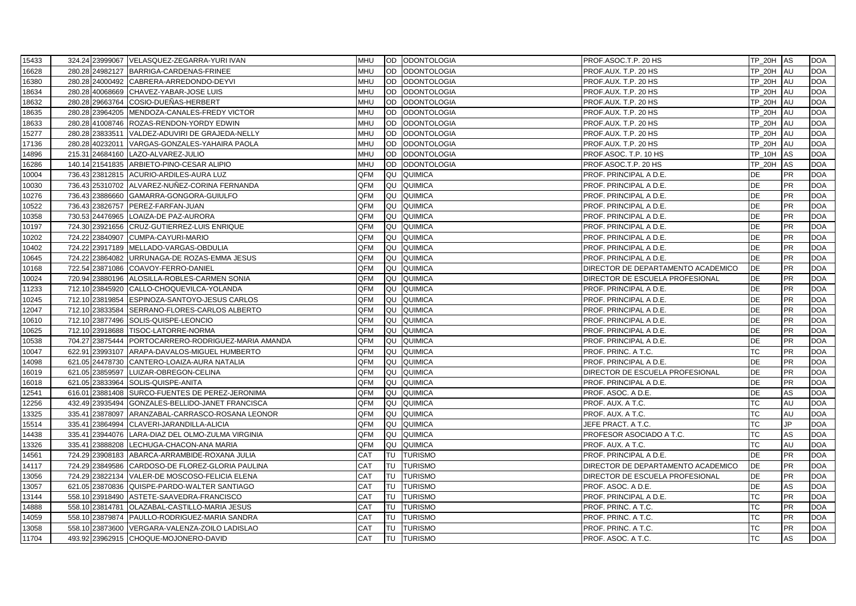| 15433 |                 | 324.24 23999067 VELASQUEZ-ZEGARRA-YURI IVAN         | <b>MHU</b> |           | OD ODONTOLOGIA     | PROF.ASOC.T.P. 20 HS               | TP_20H AS     |           | <b>DOA</b> |
|-------|-----------------|-----------------------------------------------------|------------|-----------|--------------------|------------------------------------|---------------|-----------|------------|
| 16628 |                 | 280.28 24982127 BARRIGA-CARDENAS-FRINEE             | <b>MHU</b> |           | OD ODONTOLOGIA     | PROF.AUX. T.P. 20 HS               | <b>TP 20H</b> | AU        | <b>DOA</b> |
| 16380 |                 | 280.28 24000492 CABRERA-ARREDONDO-DEYVI             | <b>MHU</b> |           | OD ODONTOLOGIA     | PROF.AUX. T.P. 20 HS               | TP_20H AU     |           | <b>DOA</b> |
| 18634 |                 | 280.28 40068669 CHAVEZ-YABAR-JOSE LUIS              | <b>MHU</b> |           | OD ODONTOLOGIA     | PROF.AUX. T.P. 20 HS               | <b>TP 20H</b> | <b>AU</b> | <b>DOA</b> |
| 18632 |                 | 280.28 29663764 COSIO-DUEÑAS-HERBERT                | <b>MHU</b> |           | OD ODONTOLOGIA     | PROF.AUX. T.P. 20 HS               | <b>TP 20H</b> | AU        | <b>DOA</b> |
| 18635 |                 | 280.28 23964205 MENDOZA-CANALES-FREDY VICTOR        | <b>MHU</b> |           | OD ODONTOLOGIA     | PROF.AUX. T.P. 20 HS               | TP_20H        | AU        | <b>DOA</b> |
| 18633 |                 | 280.28 41008746 ROZAS-RENDON-YORDY EDWIN            | <b>MHU</b> | OD        | <b>ODONTOLOGIA</b> | PROF.AUX. T.P. 20 HS               | TP_20H        | AU        | <b>DOA</b> |
| 15277 |                 | 280.28 23833511 VALDEZ-ADUVIRI DE GRAJEDA-NELLY     | <b>MHU</b> |           | OD ODONTOLOGIA     | PROF.AUX. T.P. 20 HS               | <b>TP 20H</b> | AU        | <b>DOA</b> |
| 17136 |                 | 280.28 40232011 VARGAS-GONZALES-YAHAIRA PAOLA       | <b>MHU</b> |           | OD ODONTOLOGIA     | PROF.AUX. T.P. 20 HS               | <b>TP 20H</b> | AU        | <b>DOA</b> |
| 14896 |                 | 215.31 24684160 LAZO-ALVAREZ-JULIO                  | <b>MHU</b> |           | OD ODONTOLOGIA     | PROF ASOC. T.P. 10 HS              | TP_10H        | AS        | <b>DOA</b> |
| 16286 |                 | 140.14 21541835 ARBIETO-PINO-CESAR ALIPIO           | <b>MHU</b> | OD.       | <b>ODONTOLOGIA</b> | PROF.ASOC.T.P. 20 HS               | TP_20H        | AS        | <b>DOA</b> |
| 10004 |                 | 736.43 23812815 ACURIO-ARDILES-AURA LUZ             | QFM        | QU        | <b>QUIMICA</b>     | PROF. PRINCIPAL A D.E.             | <b>DE</b>     | <b>PR</b> | <b>DOA</b> |
| 10030 |                 | 736.43 25310702 ALVAREZ-NUÑEZ-CORINA FERNANDA       | <b>QFM</b> | QU        | <b>QUIMICA</b>     | PROF. PRINCIPAL A D.E.             | <b>DE</b>     | <b>PR</b> | <b>DOA</b> |
| 10276 |                 | 736.43 23886660 GAMARRA-GONGORA-GUIULFO             | QFM        | QU        | <b>QUIMICA</b>     | PROF. PRINCIPAL A D.E.             | DE            | <b>PR</b> | <b>DOA</b> |
| 10522 |                 | 736.43 23826757 PEREZ-FARFAN-JUAN                   | QFM        | QU        | <b>QUIMICA</b>     | PROF. PRINCIPAL A D.E.             | DE            | <b>PR</b> | <b>DOA</b> |
| 10358 |                 | 730.53 24476965 LOAIZA-DE PAZ-AURORA                | <b>OFM</b> | QU        | <b>QUIMICA</b>     | PROF. PRINCIPAL A D.E.             | <b>DE</b>     | <b>PR</b> | <b>DOA</b> |
| 10197 |                 | 724.30 23921656 CRUZ-GUTIERREZ-LUIS ENRIQUE         | QFM        | QU        | <b>QUIMICA</b>     | PROF. PRINCIPAL A D.E.             | <b>DE</b>     | <b>PR</b> | <b>DOA</b> |
| 10202 |                 | 724.22 23840907 CUMPA-CAYURI-MARIO                  | <b>QFM</b> | QU        | <b>QUIMICA</b>     | PROF. PRINCIPAL A D.E.             | <b>DE</b>     | <b>PR</b> | <b>DOA</b> |
| 10402 |                 | 724.22 23917189 MELLADO-VARGAS-OBDULIA              | QFM        | QU        | <b>QUIMICA</b>     | PROF. PRINCIPAL A D.E.             | DE            | <b>PR</b> | <b>DOA</b> |
| 10645 |                 | 724.22 23864082 URRUNAGA-DE ROZAS-EMMA JESUS        | QFM        | QU        | <b>QUIMICA</b>     | PROF. PRINCIPAL A D.E.             | <b>DE</b>     | <b>PR</b> | <b>DOA</b> |
| 10168 | 722.54 23871086 | COAVOY-FERRO-DANIEL                                 | QFM        | QU        | <b>QUIMICA</b>     | DIRECTOR DE DEPARTAMENTO ACADEMICO | <b>DE</b>     | <b>PR</b> | <b>DOA</b> |
| 10024 |                 | 720.94 23880196 ALOSILLA-ROBLES-CARMEN SONIA        | QFM        | QU        | <b>QUIMICA</b>     | DIRECTOR DE ESCUELA PROFESIONAL    | DE            | <b>PR</b> | <b>DOA</b> |
| 11233 |                 | 712.10 23845920 CALLO-CHOQUEVILCA-YOLANDA           | QFM        | QU        | <b>QUIMICA</b>     | PROF. PRINCIPAL A D.E.             | DE            | <b>PR</b> | <b>DOA</b> |
| 10245 |                 | 712.10 23819854 ESPINOZA-SANTOYO-JESUS CARLOS       | QFM        | QU        | QUIMICA            | PROF. PRINCIPAL A D.E.             | <b>DE</b>     | <b>PR</b> | <b>DOA</b> |
| 12047 |                 | 712.10 23833584 SERRANO-FLORES-CARLOS ALBERTO       | QFM        | QU        | <b>QUIMICA</b>     | PROF. PRINCIPAL A D.E.             | DE            | <b>PR</b> | <b>DOA</b> |
| 10610 |                 | 712.10 23877496 SOLIS-QUISPE-LEONCIO                | <b>QFM</b> | QU        | <b>QUIMICA</b>     | PROF. PRINCIPAL A D.E.             | <b>DE</b>     | <b>PR</b> | <b>DOA</b> |
| 10625 |                 | 712.10 23918688 TISOC-LATORRE-NORMA                 | <b>QFM</b> | QU        | <b>QUIMICA</b>     | PROF. PRINCIPAL A D.E.             | <b>DE</b>     | <b>PR</b> | <b>DOA</b> |
| 10538 |                 | 704.27 23875444 PORTOCARRERO-RODRIGUEZ-MARIA AMANDA | <b>OFM</b> |           | QU QUIMICA         | PROF. PRINCIPAL A D.E.             | <b>DE</b>     | <b>PR</b> | <b>DOA</b> |
| 10047 |                 | 622.91 23993107 ARAPA-DAVALOS-MIGUEL HUMBERTO       | QFM        | QU        | <b>QUIMICA</b>     | PROF. PRINC. A T.C.                | <b>TC</b>     | <b>PR</b> | <b>DOA</b> |
| 14098 |                 | 621.05 24478730 CANTERO-LOAIZA-AURA NATALIA         | QFM        | QU        | <b>QUIMICA</b>     | PROF. PRINCIPAL A D.E.             | <b>DE</b>     | <b>PR</b> | <b>DOA</b> |
| 16019 | 621.05 23859597 | LUIZAR-OBREGON-CELINA                               | QFM        | QU        | <b>QUIMICA</b>     | DIRECTOR DE ESCUELA PROFESIONAL    | DE            | PR        | <b>DOA</b> |
| 16018 | 621.05 23833964 | SOLIS-QUISPE-ANITA                                  | QFM        | QU        | <b>QUIMICA</b>     | PROF. PRINCIPAL A D.E.             | DE            | <b>PR</b> | <b>DOA</b> |
| 12541 |                 | 616.01 23881408 SURCO-FUENTES DE PEREZ-JERONIMA     | QFM        | QU        | <b>QUIMICA</b>     | PROF. ASOC. A D.E.                 | <b>DE</b>     | AS        | <b>DOA</b> |
| 12256 |                 | 432.49 23935494 GONZALES-BELLIDO-JANET FRANCISCA    | QFM        | QU        | <b>QUIMICA</b>     | PROF. AUX. A T.C.                  | <b>TC</b>     | AU        | <b>DOA</b> |
| 13325 | 335.41 23878097 | ARANZABAL-CARRASCO-ROSANA LEONOR                    | QFM        | QU        | <b>QUIMICA</b>     | PROF. AUX. A T.C.                  | <b>TC</b>     | AU        | <b>DOA</b> |
| 15514 | 335.41 23864994 | CLAVERI-JARANDILLA-ALICIA                           | QFM        | QU        | <b>QUIMICA</b>     | JEFE PRACT. A T.C.                 | ТC            | JP.       | <b>DOA</b> |
| 14438 |                 | 335.41 23944076 LARA-DIAZ DEL OLMO-ZULMA VIRGINIA   | QFM        |           | <b>QU</b> QUIMICA  | PROFESOR ASOCIADO A T.C.           | <b>TC</b>     | AS        | <b>DOA</b> |
| 13326 |                 | 335.41 23888208 LECHUGA-CHACON-ANA MARIA            | <b>QFM</b> | QU        | <b>QUIMICA</b>     | PROF. AUX. A T.C.                  | <b>TC</b>     | AU        | <b>DOA</b> |
| 14561 |                 | 724.29 23908183 ABARCA-ARRAMBIDE-ROXANA JULIA       | <b>CAT</b> | TU        | <b>TURISMO</b>     | PROF. PRINCIPAL A D.E.             | DE            | <b>PR</b> | <b>DOA</b> |
| 14117 |                 | 724.29 23849586 CARDOSO-DE FLOREZ-GLORIA PAULINA    | <b>CAT</b> | TU        | <b>TURISMO</b>     | DIRECTOR DE DEPARTAMENTO ACADEMICO | DE            | <b>PR</b> | <b>DOA</b> |
| 13056 |                 | 724.29 23822134 VALER-DE MOSCOSO-FELICIA ELENA      | <b>CAT</b> | TU        | <b>TURISMO</b>     | DIRECTOR DE ESCUELA PROFESIONAL    | <b>DE</b>     | <b>PR</b> | <b>DOA</b> |
| 13057 |                 | 621.05 23870836 QUISPE-PARDO-WALTER SANTIAGO        | <b>CAT</b> | TU        | <b>TURISMO</b>     | PROF. ASOC. A D.E.                 | DE            | AS        | <b>DOA</b> |
| 13144 |                 | 558.10 23918490 ASTETE-SAAVEDRA-FRANCISCO           | <b>CAT</b> | TU        | <b>TURISMO</b>     | PROF. PRINCIPAL A D.E.             | <b>TC</b>     | <b>PR</b> | <b>DOA</b> |
| 14888 |                 | 558.10 23814781 OLAZABAL-CASTILLO-MARIA JESUS       | CAT        |           | TU TURISMO         | PROF. PRINC. A T.C.                | TC            | <b>PR</b> | <b>DOA</b> |
| 14059 |                 | 558.10 23879874 PAULLO-RODRIGUEZ-MARIA SANDRA       | <b>CAT</b> |           | TU TURISMO         | PROF. PRINC. A T.C.                | <b>TC</b>     | <b>PR</b> | <b>DOA</b> |
| 13058 | 558.10 23873600 | VERGARA-VALENZA-ZOILO LADISLAO                      | <b>CAT</b> | <b>TU</b> | <b>TURISMO</b>     | PROF. PRINC. A T.C.                | TC            | <b>PR</b> | <b>DOA</b> |
| 11704 |                 | 493.92 23962915 CHOQUE-MOJONERO-DAVID               | CAT        | <b>TU</b> | <b>TURISMO</b>     | PROF. ASOC. A T.C.                 | <b>TC</b>     | AS        | <b>DOA</b> |